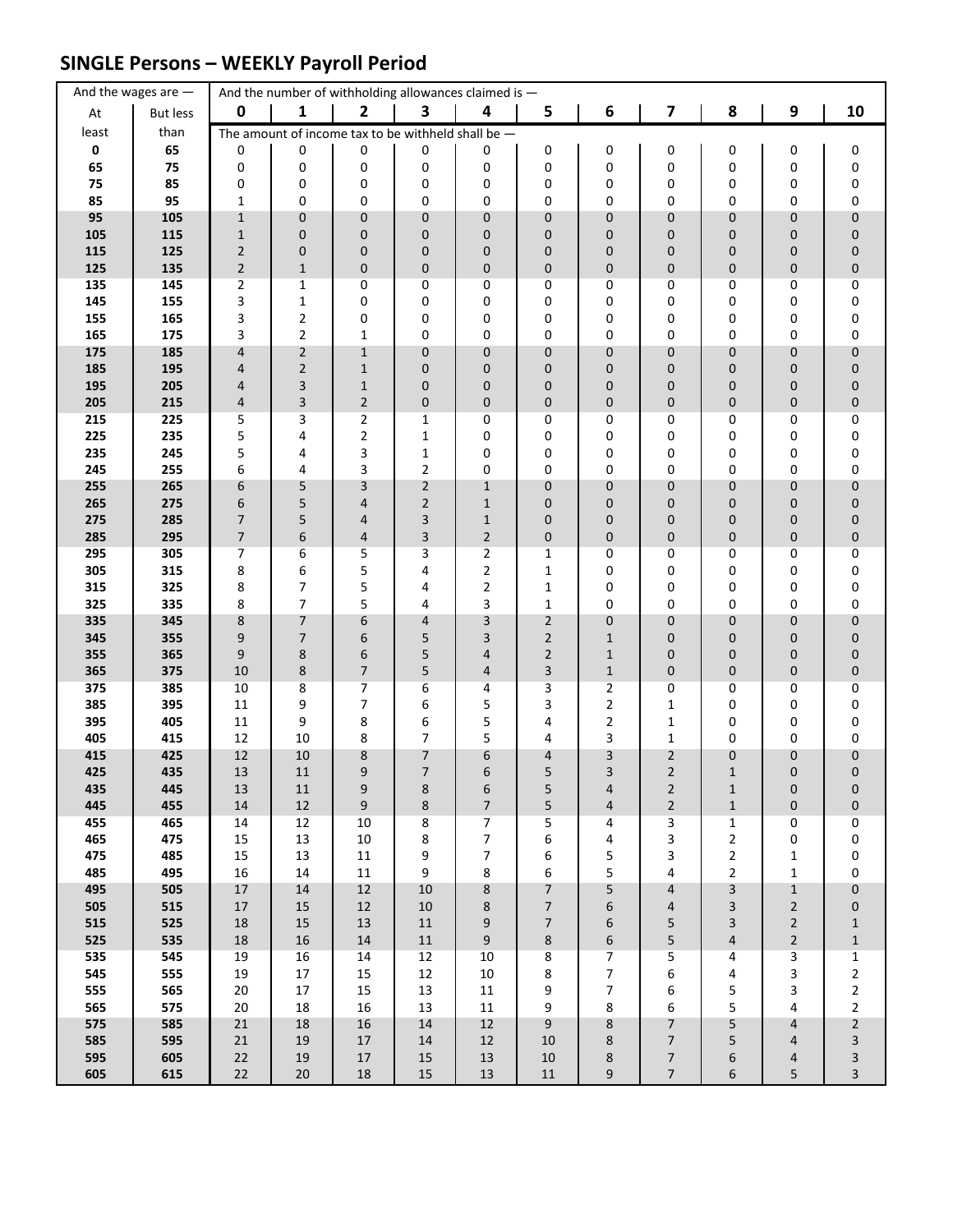# **SINGLE Persons – WEEKLY Payroll Period**

|             | And the wages are $-$ |                  |                                  | And the number of withholding allowances claimed is - |                              |                                  |                             |                                                    |                                      |                         |                                  |                            |
|-------------|-----------------------|------------------|----------------------------------|-------------------------------------------------------|------------------------------|----------------------------------|-----------------------------|----------------------------------------------------|--------------------------------------|-------------------------|----------------------------------|----------------------------|
| At          | <b>But less</b>       | $\mathbf 0$      | 1                                | $\mathbf{2}$                                          | 3                            | 4                                | 5                           | 6                                                  | $\overline{\mathbf{z}}$              | 8                       | $\boldsymbol{9}$                 | 10                         |
| least       | than                  |                  |                                  | The amount of income tax to be withheld shall be $-$  |                              |                                  |                             |                                                    |                                      |                         |                                  |                            |
| $\mathbf 0$ | 65                    | 0                | 0                                | 0                                                     | 0                            | 0                                | 0                           | 0                                                  | 0                                    | 0                       | 0                                | 0                          |
| 65          | 75                    | 0                | 0                                | 0                                                     | 0                            | 0                                | 0                           | 0                                                  | 0                                    | 0                       | 0                                | 0                          |
| 75<br>85    | 85<br>95              | 0<br>$\mathbf 1$ | 0<br>0                           | 0<br>0                                                | 0<br>0                       | 0<br>0                           | 0<br>0                      | 0<br>0                                             | 0<br>0                               | 0<br>0                  | 0<br>0                           | 0<br>0                     |
| 95          | 105                   | $\mathbf{1}$     | $\pmb{0}$                        | $\pmb{0}$                                             | $\mathbf 0$                  | $\mathbf 0$                      | 0                           | 0                                                  | 0                                    | 0                       | 0                                | $\pmb{0}$                  |
| 105         | 115                   | $\mathbf{1}$     | $\pmb{0}$                        | $\mathbf 0$                                           | 0                            | 0                                | 0                           | 0                                                  | 0                                    | 0                       | 0                                | $\pmb{0}$                  |
| 115         | 125                   | $\overline{2}$   | $\pmb{0}$                        | $\mathbf 0$                                           | 0                            | 0                                | 0                           | 0                                                  | 0                                    | 0                       | 0                                | $\pmb{0}$                  |
| 125         | 135                   | $\overline{2}$   | $\mathbf 1$                      | $\pmb{0}$                                             | $\mathbf 0$                  | $\pmb{0}$                        | 0                           | 0                                                  | 0                                    | 0                       | 0                                | $\pmb{0}$                  |
| 135         | 145                   | 2                | $\mathbf 1$                      | 0                                                     | 0                            | 0                                | 0                           | 0                                                  | 0                                    | 0                       | 0                                | 0                          |
| 145         | 155                   | 3                | $\mathbf 1$                      | 0                                                     | 0                            | 0                                | 0                           | 0                                                  | 0                                    | 0                       | 0                                | 0                          |
| 155<br>165  | 165<br>175            | 3<br>3           | $\overline{2}$<br>$\overline{2}$ | 0<br>$\mathbf{1}$                                     | 0<br>0                       | 0<br>0                           | 0<br>0                      | 0<br>0                                             | 0<br>0                               | 0<br>0                  | 0<br>0                           | 0<br>0                     |
| 175         | 185                   | 4                | $\mathbf 2$                      | $\mathbf 1$                                           | $\mathbf 0$                  | $\pmb{0}$                        | 0                           | 0                                                  | 0                                    | 0                       | 0                                | $\pmb{0}$                  |
| 185         | 195                   | 4                | $\mathbf 2$                      | $1\,$                                                 | $\mathbf 0$                  | 0                                | 0                           | 0                                                  | 0                                    | 0                       | 0                                | 0                          |
| 195         | 205                   | 4                | $\mathsf{3}$                     | $\mathbf 1$                                           | 0                            | $\mathbf 0$                      | 0                           | 0                                                  | 0                                    | 0                       | 0                                | $\pmb{0}$                  |
| 205         | 215                   | 4                | $\mathsf 3$                      | $\overline{2}$                                        | $\mathbf 0$                  | $\mathbf 0$                      | 0                           | 0                                                  | 0                                    | 0                       | 0                                | $\pmb{0}$                  |
| 215         | 225                   | 5                | 3                                | $\overline{2}$                                        | 1                            | 0                                | 0                           | 0                                                  | 0                                    | 0                       | 0                                | 0                          |
| 225<br>235  | 235<br>245            | 5<br>5           | 4<br>4                           | $\mathbf 2$<br>3                                      | $\mathbf{1}$<br>$\mathbf{1}$ | 0<br>0                           | 0<br>0                      | 0<br>0                                             | 0<br>0                               | 0<br>0                  | 0<br>0                           | 0<br>0                     |
| 245         | 255                   | 6                | 4                                | 3                                                     | $\overline{2}$               | 0                                | 0                           | 0                                                  | 0                                    | 0                       | 0                                | 0                          |
| 255         | 265                   | 6                | 5                                | 3                                                     | $\overline{2}$               | $\mathbf{1}$                     | 0                           | 0                                                  | 0                                    | 0                       | 0                                | $\pmb{0}$                  |
| 265         | 275                   | 6                | 5                                | $\overline{4}$                                        | $\overline{2}$               | $\mathbf{1}$                     | 0                           | 0                                                  | 0                                    | 0                       | 0                                | $\pmb{0}$                  |
| 275         | 285                   | 7                | 5                                | $\overline{4}$                                        | 3                            | $\mathbf{1}$                     | 0                           | 0                                                  | 0                                    | 0                       | 0                                | $\pmb{0}$                  |
| 285         | 295                   | $\overline{7}$   | 6                                | $\overline{4}$                                        | 3                            | $\overline{2}$                   | $\pmb{0}$                   | 0                                                  | 0                                    | 0                       | 0                                | $\pmb{0}$                  |
| 295         | 305                   | $\overline{7}$   | 6                                | 5                                                     | 3                            | $\overline{2}$                   | $\mathbf 1$                 | 0                                                  | 0                                    | 0                       | 0                                | 0                          |
| 305<br>315  | 315<br>325            | 8<br>8           | 6<br>$\overline{7}$              | 5<br>5                                                | 4<br>4                       | $\overline{2}$<br>$\overline{2}$ | $\mathbf{1}$<br>$\mathbf 1$ | 0<br>0                                             | 0<br>0                               | 0<br>0                  | 0<br>0                           | 0<br>0                     |
| 325         | 335                   | 8                | $\overline{7}$                   | 5                                                     | 4                            | 3                                | $\mathbf 1$                 | 0                                                  | 0                                    | 0                       | 0                                | 0                          |
| 335         | 345                   | 8                | $\overline{7}$                   | 6                                                     | $\overline{4}$               | 3                                | $\overline{2}$              | 0                                                  | 0                                    | 0                       | 0                                | $\pmb{0}$                  |
| 345         | 355                   | 9                | $\overline{7}$                   | 6                                                     | 5                            | 3                                | $\overline{2}$              | $\mathbf{1}$                                       | 0                                    | 0                       | 0                                | $\pmb{0}$                  |
| 355         | 365                   | 9                | 8                                | 6                                                     | 5                            | 4                                | $\overline{2}$              | $\mathbf{1}$                                       | 0                                    | 0                       | 0                                | $\pmb{0}$                  |
| 365         | 375                   | $10\,$           | $\bf 8$                          | $\overline{7}$                                        | 5                            | 4                                | 3                           | $1\,$                                              | 0                                    | 0                       | 0                                | $\pmb{0}$                  |
| 375<br>385  | 385<br>395            | 10<br>11         | 8<br>9                           | $\overline{\phantom{a}}$<br>$\overline{7}$            | 6<br>6                       | 4<br>5                           | 3<br>3                      | $\overline{\mathbf{c}}$<br>$\overline{\mathbf{c}}$ | 0<br>1                               | 0<br>0                  | 0<br>0                           | 0<br>0                     |
| 395         | 405                   | 11               | 9                                | 8                                                     | 6                            | 5                                | 4                           | 2                                                  | $\mathbf{1}$                         | 0                       | 0                                | 0                          |
| 405         | 415                   | 12               | 10                               | 8                                                     | $\overline{7}$               | 5                                | 4                           | 3                                                  | $\mathbf{1}$                         | 0                       | 0                                | 0                          |
| 415         | 425                   | 12               | 10                               | 8                                                     | $\overline{7}$               | 6                                | 4                           | 3                                                  | $\overline{2}$                       | 0                       | 0                                | $\pmb{0}$                  |
| 425         | 435                   | 13               | 11                               | 9                                                     | $\overline{7}$               | 6                                | 5                           | 3                                                  | $\overline{2}$                       | $\mathbf{1}$            | 0                                | $\mathbf 0$                |
| 435         | 445                   | 13               | 11                               | 9                                                     | 8                            | 6                                | 5                           | 4                                                  | $\overline{2}$                       | $\mathbf{1}$            | $\boldsymbol{0}$                 | $\pmb{0}$                  |
| 445<br>455  | 455<br>465            | $14\,$<br>14     | $12\,$<br>12                     | $\boldsymbol{9}$<br>10                                | $\bf 8$<br>8                 | $\boldsymbol{7}$<br>7            | 5<br>5                      | 4<br>4                                             | $\overline{2}$<br>3                  | $\mathbf 1$<br>1        | 0<br>0                           | $\pmb{0}$<br>0             |
| 465         | 475                   | 15               | 13                               | $10\,$                                                | 8                            | $\overline{7}$                   | 6                           | 4                                                  | 3                                    | $\overline{2}$          | 0                                | 0                          |
| 475         | 485                   | 15               | 13                               | $11\,$                                                | 9                            | $\boldsymbol{7}$                 | 6                           | 5                                                  | 3                                    | $\overline{2}$          | $\mathbf 1$                      | $\pmb{0}$                  |
| 485         | 495                   | 16               | 14                               | $11\,$                                                | 9                            | 8                                | 6                           | 5                                                  | 4                                    | $\overline{\mathbf{c}}$ | 1                                | 0                          |
| 495         | 505                   | $17\,$           | $14\,$                           | $12\,$                                                | 10                           | $\bf 8$                          | $\overline{7}$              | 5                                                  | 4                                    | 3                       | $\mathbf 1$                      | $\pmb{0}$                  |
| 505         | 515                   | $17\,$           | 15                               | 12                                                    | $10\,$                       | 8                                | $\overline{\phantom{a}}$    | 6                                                  | 4                                    | 3                       | $\mathbf 2$                      | $\bf{0}$                   |
| 515<br>525  | 525<br>535            | $18\,$<br>$18\,$ | 15<br>16                         | 13<br>$14\,$                                          | $11\,$<br>$11\,$             | 9<br>$\boldsymbol{9}$            | 7<br>8                      | 6<br>6                                             | 5<br>5                               | 3<br>4                  | $\overline{2}$<br>$\overline{2}$ | $\mathbf 1$<br>$\mathbf 1$ |
| 535         | 545                   | 19               | 16                               | $14\,$                                                | 12                           | $10\,$                           | 8                           | 7                                                  | 5                                    | 4                       | 3                                | $\mathbf{1}$               |
| 545         | 555                   | 19               | $17\,$                           | 15                                                    | 12                           | $10\,$                           | 8                           | 7                                                  | 6                                    | 4                       | 3                                | $\overline{c}$             |
| 555         | 565                   | $20\,$           | $17\,$                           | 15                                                    | 13                           | $11\,$                           | 9                           | 7                                                  | 6                                    | 5                       | 3                                | $\overline{\mathbf{c}}$    |
| 565         | 575                   | $20\,$           | 18                               | $16\,$                                                | 13                           | $11\,$                           | 9                           | 8                                                  | 6                                    | 5                       | 4                                | $\overline{c}$             |
| 575         | 585                   | 21               | $18\,$                           | 16                                                    | 14                           | 12                               | 9                           | 8                                                  | 7                                    | 5                       | 4                                | $\overline{c}$             |
| 585<br>595  | 595<br>605            | $21\,$<br>22     | 19<br>19                         | $17\,$<br>$17\,$                                      | 14<br>$15\,$                 | 12<br>$13\,$                     | 10<br>10                    | 8<br>8                                             | $\boldsymbol{7}$<br>$\boldsymbol{7}$ | 5<br>6                  | 4<br>4                           | 3<br>3                     |
| 605         | 615                   | 22               | $20\,$                           | $18\,$                                                | $15\,$                       | $13\,$                           | $11\,$                      | 9                                                  | $\overline{7}$                       | 6                       | 5                                | 3                          |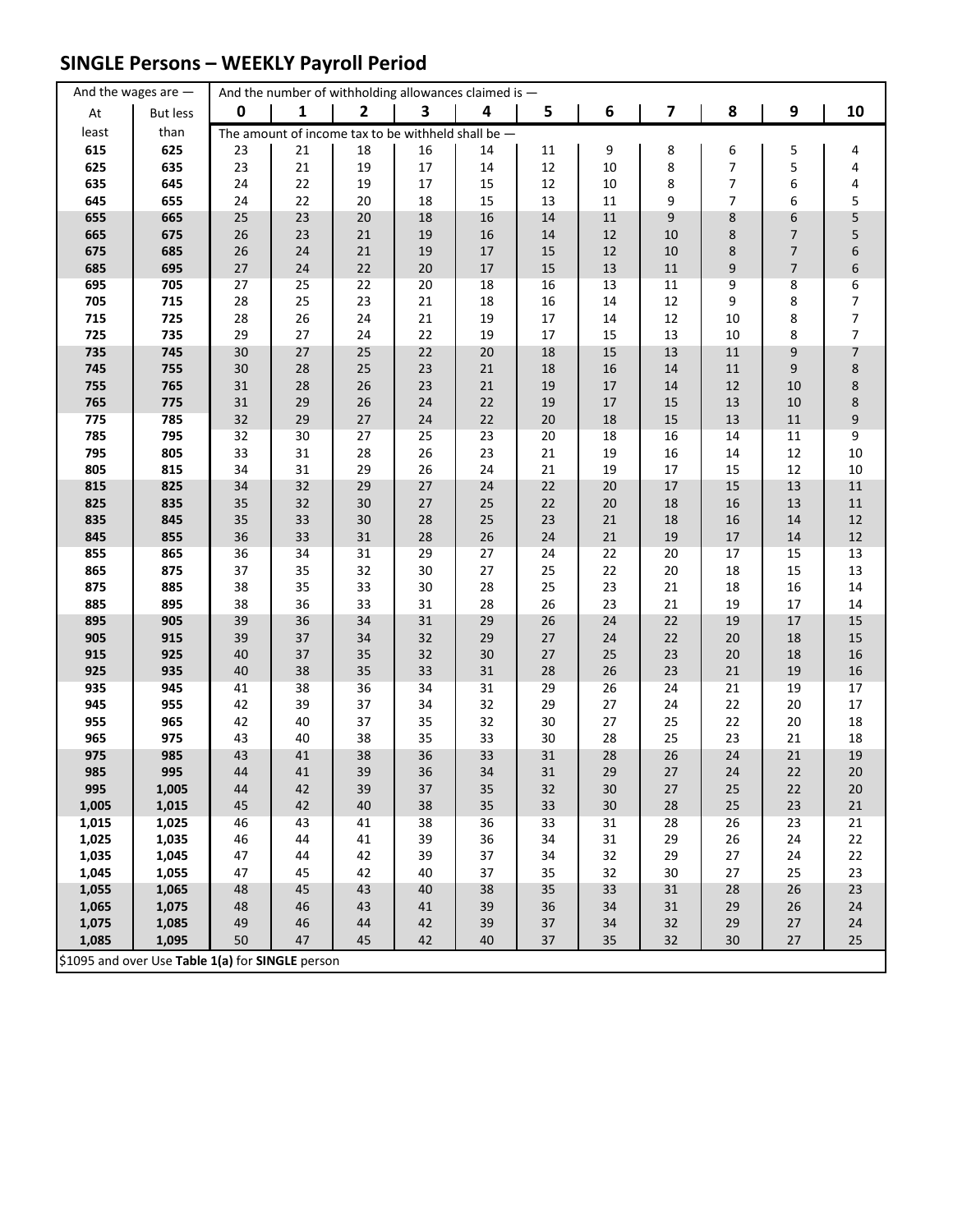## **SINGLE Persons – WEEKLY Payroll Period**

|            | And the wages are $-$                            |                 | And the number of withholding allowances claimed is - |              |          |              |              |          |                         |                |          |                  |
|------------|--------------------------------------------------|-----------------|-------------------------------------------------------|--------------|----------|--------------|--------------|----------|-------------------------|----------------|----------|------------------|
| At         | <b>But less</b>                                  | $\mathbf 0$     | 1                                                     | $\mathbf{2}$ | 3        | 4            | 5            | 6        | $\overline{\mathbf{z}}$ | 8              | 9        | 10               |
| least      | than                                             |                 | The amount of income tax to be withheld shall be $-$  |              |          |              |              |          |                         |                |          |                  |
| 615        | 625                                              | 23              | 21                                                    | 18           | 16       | 14           | 11           | 9        | 8                       | 6              | 5        | 4                |
| 625        | 635                                              | 23              | 21                                                    | 19           | $17\,$   | $14\,$       | $12\,$       | 10       | 8                       | $\overline{7}$ | 5        | 4                |
| 635        | 645                                              | 24              | 22                                                    | 19           | 17       | 15           | 12           | $10\,$   | 8                       | 7              | 6        | 4                |
| 645        | 655                                              | 24              | 22                                                    | 20           | 18       | 15           | 13           | 11       | 9                       | 7              | 6        | 5                |
| 655        | 665                                              | 25              | 23                                                    | $20\,$       | 18       | $16\,$       | $14\,$       | $11\,$   | 9                       | 8              | 6        | 5                |
| 665        | 675                                              | 26              | 23                                                    | 21           | 19       | 16           | 14           | $12\,$   | 10                      | 8              | 7        | 5                |
| 675        | 685                                              | 26              | 24                                                    | $21\,$       | 19       | 17           | 15           | $12\,$   | 10                      | 8              | 7        | 6                |
| 685        | 695                                              | $27$            | 24                                                    | 22           | 20       | $17\,$       | 15           | 13       | ${\bf 11}$              | 9              | 7        | 6                |
| 695        | 705                                              | 27              | 25                                                    | 22           | 20       | 18           | 16           | 13       | 11                      | 9              | 8        | 6                |
| 705        | 715                                              | 28              | 25                                                    | 23           | 21       | $18\,$       | 16           | 14       | 12                      | 9              | 8        | $\boldsymbol{7}$ |
| 715        | 725                                              | 28              | 26                                                    | 24           | 21       | 19           | $17\,$       | 14       | 12                      | 10             | 8        | $\boldsymbol{7}$ |
| 725        | 735                                              | 29              | 27                                                    | 24           | 22       | 19           | $17\,$       | 15       | 13                      | 10             | 8        | $\overline{7}$   |
| 735        | 745                                              | 30 <sub>o</sub> | $27$                                                  | 25           | 22       | $20\,$       | 18           | 15       | 13                      | $11\,$         | 9        | $\overline{7}$   |
| 745        | 755                                              | 30              | 28                                                    | 25           | 23       | $21\,$       | $18\,$       | 16       | 14                      | 11             | 9        | 8                |
| 755        | 765                                              | 31              | 28                                                    | 26           | 23       | $21\,$       | 19           | $17\,$   | 14                      | 12             | 10       | 8                |
| 765        | 775                                              | 31              | 29                                                    | 26           | 24       | $22\,$       | 19           | $17\,$   | 15                      | 13             | 10       | 8                |
| 775        | 785                                              | 32              | 29                                                    | 27           | 24       | $22\,$       | $20\,$       | 18       | 15                      | 13             | $11\,$   | 9                |
| 785        | 795                                              | 32              | 30                                                    | 27           | 25       | 23           | 20           | 18       | 16                      | 14             | 11       | 9                |
| 795        | 805                                              | 33              | 31                                                    | 28           | 26       | 23           | $21\,$       | 19       | 16                      | 14             | 12       | $10\,$           |
| 805        | 815                                              | 34              | 31                                                    | 29           | 26       | 24           | $21\,$       | 19       | 17                      | 15             | 12       | $10\,$           |
| 815        | 825                                              | 34              | 32                                                    | 29           | 27       | 24           | 22           | $20\,$   | $17\,$                  | 15             | 13       | $11\,$           |
| 825        | 835                                              | 35              | 32                                                    | 30           | 27       | 25           | 22           | $20\,$   | 18                      | 16             | 13       | $11\,$           |
| 835        | 845                                              | 35              | 33                                                    | 30           | 28       | 25           | 23           | $21\,$   | 18                      | 16             | 14       | $12\,$           |
| 845        | 855                                              | 36              | 33                                                    | 31           | 28       | $26\,$       | 24           | $21\,$   | 19                      | 17             | 14       | 12               |
| 855        | 865                                              | 36              | 34                                                    | 31           | 29       | 27           | 24           | 22       | 20                      | 17             | 15       | 13               |
| 865        | 875                                              | 37              | 35                                                    | 32           | $30\,$   | 27           | 25           | 22       | $20\,$                  | 18             | 15       | 13               |
| 875        | 885                                              | 38              | 35                                                    | 33           | $30\,$   | 28           | 25           | 23       | 21                      | 18             | 16       | $14\,$           |
| 885        | 895                                              | 38              | 36                                                    | 33           | 31       | 28           | 26           | 23       | 21                      | 19             | $17\,$   | 14               |
| 895        | 905                                              | 39              | 36                                                    | 34           | 31       | 29           | 26           | 24       | $22\,$                  | 19             | 17       | 15               |
| 905        | 915                                              | 39              | 37                                                    | 34           | 32       | 29           | $27\,$       | 24       | 22                      | 20             | 18       | 15               |
| 915<br>925 | 925<br>935                                       | 40              | 37<br>38                                              | 35<br>35     | 32<br>33 | $30\,$<br>31 | $27\,$<br>28 | 25<br>26 | 23<br>23                | 20<br>21       | 18       | 16<br>16         |
| 935        | 945                                              | 40<br>41        | 38                                                    | 36           | 34       | 31           | 29           | 26       | 24                      | 21             | 19<br>19 | 17               |
| 945        | 955                                              | 42              | 39                                                    | 37           | 34       | 32           | 29           | $27\,$   | 24                      | 22             | 20       | $17\,$           |
| 955        | 965                                              | 42              | 40                                                    | 37           | 35       | 32           | $30\,$       | 27       | 25                      | 22             | 20       | $18\,$           |
| 965        | 975                                              | 43              | 40                                                    | 38           | 35       | 33           | 30           | 28       | 25                      | 23             | 21       | 18               |
| 975        | 985                                              | 43              | 41                                                    | 38           | 36       | 33           | 31           | 28       | 26                      | 24             | 21       | 19               |
| 985        | 995                                              | 44              | 41                                                    | 39           | 36       | 34           | 31           | 29       | 27                      | 24             | 22       | 20               |
| 995        | 1,005                                            | 44              | 42                                                    | 39           | 37       | 35           | 32           | 30       | 27                      | 25             | 22       | 20               |
| 1,005      | 1,015                                            | 45              | 42                                                    | 40           | 38       | 35           | 33           | 30       | 28                      | 25             | 23       | 21               |
| 1,015      | 1,025                                            | 46              | 43                                                    | 41           | 38       | 36           | 33           | 31       | 28                      | 26             | 23       | 21               |
| 1,025      | 1,035                                            | 46              | 44                                                    | 41           | 39       | 36           | 34           | 31       | 29                      | 26             | 24       | 22               |
| 1,035      | 1,045                                            | 47              | 44                                                    | 42           | 39       | 37           | 34           | 32       | 29                      | 27             | 24       | 22               |
| 1,045      | 1,055                                            | 47              | 45                                                    | 42           | 40       | 37           | 35           | 32       | 30                      | 27             | 25       | 23               |
| 1,055      | 1,065                                            | 48              | 45                                                    | 43           | 40       | 38           | 35           | 33       | 31                      | 28             | 26       | 23               |
| 1,065      | 1,075                                            | 48              | 46                                                    | 43           | 41       | 39           | 36           | 34       | 31                      | 29             | 26       | 24               |
| 1,075      | 1,085                                            | 49              | 46                                                    | 44           | 42       | 39           | 37           | 34       | 32                      | 29             | 27       | 24               |
| 1,085      | 1,095                                            | 50              | 47                                                    | 45           | 42       | 40           | 37           | 35       | 32                      | 30             | 27       | 25               |
|            | \$1095 and over Use Table 1(a) for SINGLE person |                 |                                                       |              |          |              |              |          |                         |                |          |                  |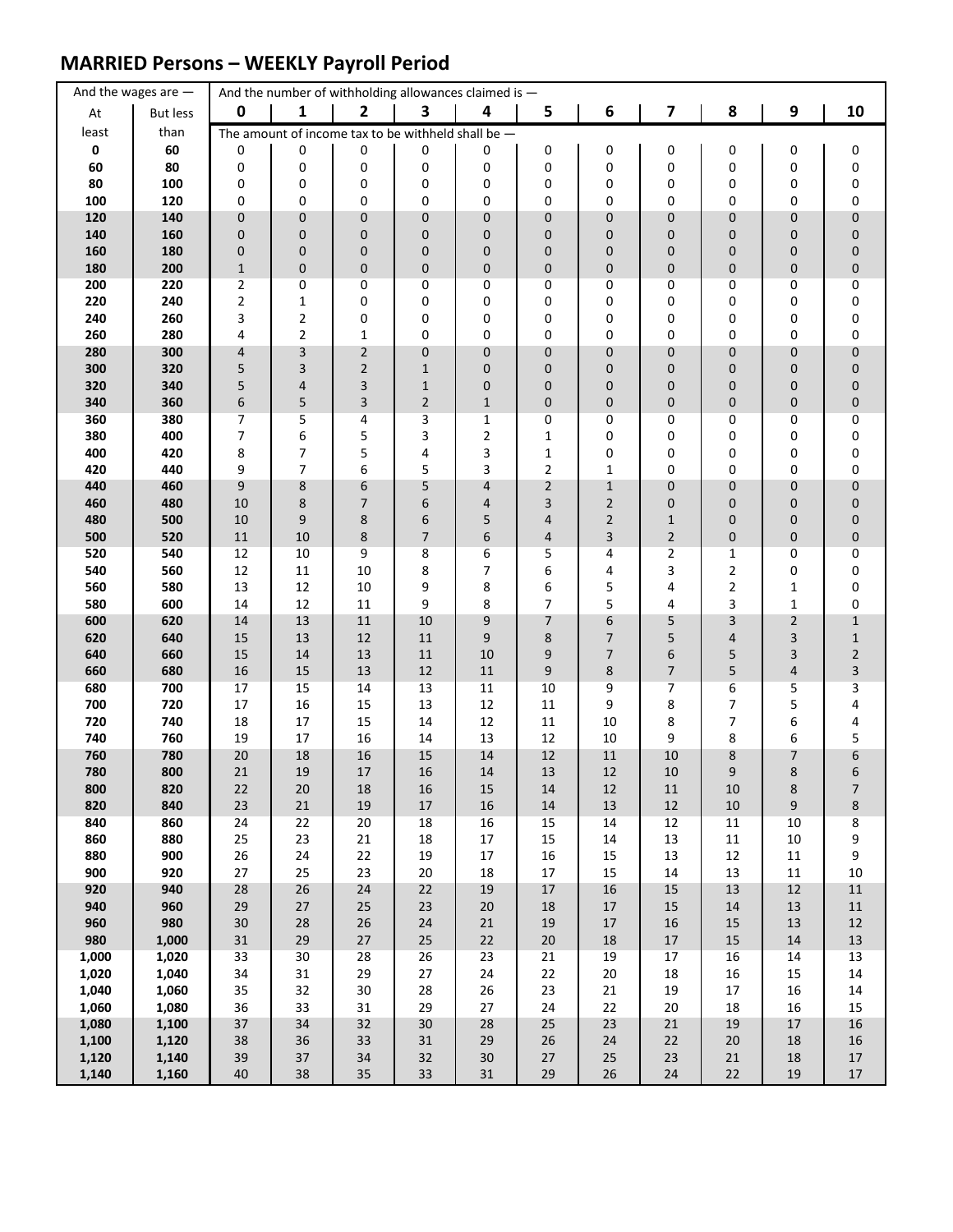### **MARRIED Persons – WEEKLY Payroll Period**

|                | And the wages are $-$ |                 |                     | And the number of withholding allowances claimed is - |                |                  |                     |                                |                |                |                  |                             |
|----------------|-----------------------|-----------------|---------------------|-------------------------------------------------------|----------------|------------------|---------------------|--------------------------------|----------------|----------------|------------------|-----------------------------|
| At             | <b>But less</b>       | $\mathbf 0$     | 1                   | $\mathbf{2}$                                          | 3              | 4                | 5                   | 6                              | 7              | 8              | $\boldsymbol{9}$ | 10                          |
| least          | than                  |                 |                     | The amount of income tax to be withheld shall be $-$  |                |                  |                     |                                |                |                |                  |                             |
| 0              | 60                    | 0               | 0                   | 0                                                     | 0              | 0                | 0                   | 0                              | 0              | 0              | 0                | 0                           |
| 60             | 80                    | 0               | 0                   | 0                                                     | 0              | 0                | 0                   | 0                              | 0              | 0              | 0                | 0                           |
| 80             | 100                   | 0               | 0                   | 0                                                     | 0<br>0         | 0                | 0                   | 0                              | 0              | 0              | 0                | 0                           |
| 100<br>120     | 120<br>140            | 0<br>0          | 0<br>$\pmb{0}$      | 0<br>$\mathbf 0$                                      | $\mathbf 0$    | 0<br>0           | 0<br>0              | 0<br>0                         | 0<br>0         | 0<br>0         | 0<br>0           | 0<br>0                      |
| 140            | 160                   | 0               | $\pmb{0}$           | $\mathbf 0$                                           | 0              | 0                | 0                   | 0                              | 0              | 0              | 0                | 0                           |
| 160            | 180                   | 0               | $\pmb{0}$           | $\pmb{0}$                                             | 0              | 0                | 0                   | 0                              | 0              | 0              | 0                | 0                           |
| 180            | 200                   | $1\,$           | $\pmb{0}$           | $\pmb{0}$                                             | $\pmb{0}$      | $\pmb{0}$        | 0                   | 0                              | 0              | 0              | 0                | $\mathbf 0$                 |
| 200            | 220                   | 2               | 0                   | 0                                                     | 0              | 0                | 0                   | 0                              | 0              | 0              | 0                | 0                           |
| 220            | 240                   | 2               | $\mathbf 1$         | 0                                                     | 0              | 0                | 0                   | 0                              | 0              | 0              | 0                | 0                           |
| 240            | 260                   | 3               | $\overline{2}$      | 0                                                     | 0              | 0                | 0                   | 0                              | 0              | 0              | 0                | 0                           |
| 260<br>280     | 280<br>300            | 4<br>4          | $\overline{2}$<br>3 | $\mathbf{1}$<br>$\sqrt{2}$                            | 0<br>0         | 0<br>0           | 0<br>0              | 0<br>0                         | 0<br>0         | 0<br>0         | 0<br>0           | 0<br>0                      |
| 300            | 320                   | 5               | 3                   | $\overline{2}$                                        | $\mathbf{1}$   | 0                | 0                   | 0                              | 0              | 0              | 0                | 0                           |
| 320            | 340                   | 5               | 4                   | 3                                                     | $\mathbf{1}$   | 0                | 0                   | 0                              | 0              | 0              | 0                | 0                           |
| 340            | 360                   | 6               | 5                   | 3                                                     | $\overline{2}$ | $\mathbf{1}$     | 0                   | 0                              | 0              | 0              | 0                | $\mathbf 0$                 |
| 360            | 380                   | 7               | 5                   | 4                                                     | 3              | 1                | 0                   | 0                              | 0              | 0              | 0                | 0                           |
| 380            | 400                   | 7               | 6                   | 5                                                     | 3              | $\overline{2}$   | 1                   | 0                              | 0              | 0              | 0                | $\pmb{0}$                   |
| 400            | 420                   | 8               | 7                   | 5                                                     | 4              | 3                | 1                   | 0                              | 0              | 0              | 0                | 0                           |
| 420            | 440                   | 9<br>9          | $\overline{7}$      | 6<br>6                                                | 5<br>5         | 3                | 2                   | $\mathbf{1}$                   | 0<br>0         | 0<br>0         | 0<br>0           | 0                           |
| 440<br>460     | 460<br>480            | 10              | 8<br>8              | $\overline{7}$                                        | 6              | 4<br>4           | $\overline{2}$<br>3 | $\mathbf{1}$<br>$\overline{2}$ | 0              | 0              | 0                | 0<br>$\pmb{0}$              |
| 480            | 500                   | 10              | 9                   | 8                                                     | 6              | 5                | 4                   | $\overline{2}$                 | $\mathbf{1}$   | 0              | 0                | 0                           |
| 500            | 520                   | 11              | 10                  | 8                                                     | $\overline{7}$ | 6                | 4                   | 3                              | $\overline{2}$ | 0              | 0                | $\pmb{0}$                   |
| 520            | 540                   | 12              | 10                  | 9                                                     | 8              | 6                | 5                   | 4                              | 2              | 1              | 0                | 0                           |
| 540            | 560                   | 12              | 11                  | 10                                                    | 8              | 7                | 6                   | 4                              | 3              | 2              | 0                | 0                           |
| 560            | 580                   | 13              | 12                  | 10                                                    | 9              | 8                | 6                   | 5                              | 4              | $\overline{2}$ | 1                | 0                           |
| 580            | 600                   | 14              | 12                  | 11                                                    | 9              | 8                | 7                   | 5                              | 4              | 3              | $\mathbf{1}$     | $\pmb{0}$                   |
| 600<br>620     | 620<br>640            | 14<br>15        | 13<br>13            | 11<br>12                                              | 10<br>11       | 9<br>9           | 7<br>8              | 6<br>7                         | 5<br>5         | 3<br>4         | $\mathbf 2$<br>3 | $\mathbf{1}$<br>$\mathbf 1$ |
| 640            | 660                   | 15              | 14                  | 13                                                    | 11             | 10               | 9                   | 7                              | 6              | 5              | 3                | $\overline{\mathbf{c}}$     |
| 660            | 680                   | 16              | 15                  | 13                                                    | $12\,$         | $11\,$           | 9                   | 8                              | 7              | 5              | 4                | 3                           |
| 680            | 700                   | 17              | 15                  | 14                                                    | 13             | 11               | 10                  | 9                              | 7              | 6              | 5                | 3                           |
| 700            | 720                   | 17              | 16                  | 15                                                    | 13             | 12               | 11                  | 9                              | 8              | 7              | 5                | 4                           |
| 720            | 740                   | 18              | 17                  | 15                                                    | 14             | 12               | 11                  | 10                             | 8              | 7              | 6                | 4                           |
| 740<br>760     | 760<br>780            | 19<br>$20\,$    | 17<br>18            | 16<br>16                                              | 14<br>15       | 13<br>14         | 12<br>12            | 10<br>$11\,$                   | 9<br>10        | 8<br>8         | 6<br>7           | 5<br>6                      |
| 780            | 800                   | 21              | 19                  | 17                                                    | 16             | 14               | 13                  | 12                             | 10             | 9              | 8                | 6                           |
| 800            | 820                   | 22              | 20                  | 18                                                    | 16             | 15               | 14                  | 12                             | 11             | 10             | 8                | 7                           |
| 820            | 840                   | 23              | 21                  | 19                                                    | $17\,$         | $16\,$           | $14\,$              | $13\,$                         | 12             | $10\,$         | 9                | 8                           |
| 840            | 860                   | 24              | 22                  | 20                                                    | 18             | 16               | 15                  | 14                             | 12             | 11             | $10\,$           | 8                           |
| 860            | 880                   | 25              | 23                  | 21                                                    | 18             | $17\,$           | 15                  | 14                             | 13             | $11\,$         | 10               | 9                           |
| 880<br>900     | 900<br>920            | 26<br>27        | 24<br>25            | 22<br>23                                              | 19<br>$20\,$   | $17\,$<br>$18\,$ | 16<br>17            | 15<br>15                       | 13<br>14       | 12<br>13       | 11<br>11         | 9<br>$10\,$                 |
| 920            | 940                   | 28              | 26                  | 24                                                    | 22             | $19\,$           | $17\,$              | 16                             | $15\,$         | 13             | 12               | $11\,$                      |
| 940            | 960                   | 29              | $27$                | $25\,$                                                | 23             | 20               | $18\,$              | $17\,$                         | $15\,$         | $14\,$         | 13               | ${\bf 11}$                  |
| 960            | 980                   | 30 <sub>o</sub> | 28                  | 26                                                    | 24             | $21\,$           | 19                  | $17\,$                         | 16             | 15             | 13               | $12\,$                      |
| 980            | 1,000                 | 31              | 29                  | $27\,$                                                | $25\,$         | 22               | $20\,$              | $18\,$                         | $17\,$         | 15             | 14               | $13\,$                      |
| 1,000          | 1,020                 | 33              | 30                  | 28                                                    | 26             | 23               | 21                  | 19                             | 17             | 16             | 14               | 13                          |
| 1,020          | 1,040                 | 34              | 31                  | 29                                                    | $27\,$         | 24               | 22                  | 20                             | 18             | 16             | 15               | $14\,$                      |
| 1,040<br>1,060 | 1,060<br>1,080        | 35<br>36        | 32<br>33            | $30\,$<br>31                                          | 28<br>29       | 26<br>27         | 23<br>24            | 21<br>22                       | 19<br>$20\,$   | 17<br>18       | 16<br>16         | $14\,$<br>15                |
| 1,080          | 1,100                 | 37              | 34                  | 32                                                    | 30             | 28               | 25                  | 23                             | 21             | 19             | 17               | 16                          |
| 1,100          | 1,120                 | 38              | 36                  | 33                                                    | $31\,$         | 29               | 26                  | 24                             | 22             | 20             | 18               | 16                          |
| 1,120          | 1,140                 | 39              | 37                  | 34                                                    | 32             | 30               | $27\,$              | 25                             | 23             | 21             | $18\,$           | $17\,$                      |
| 1,140          | 1,160                 | 40              | 38                  | 35                                                    | 33             | 31               | 29                  | 26                             | 24             | 22             | 19               | $17\,$                      |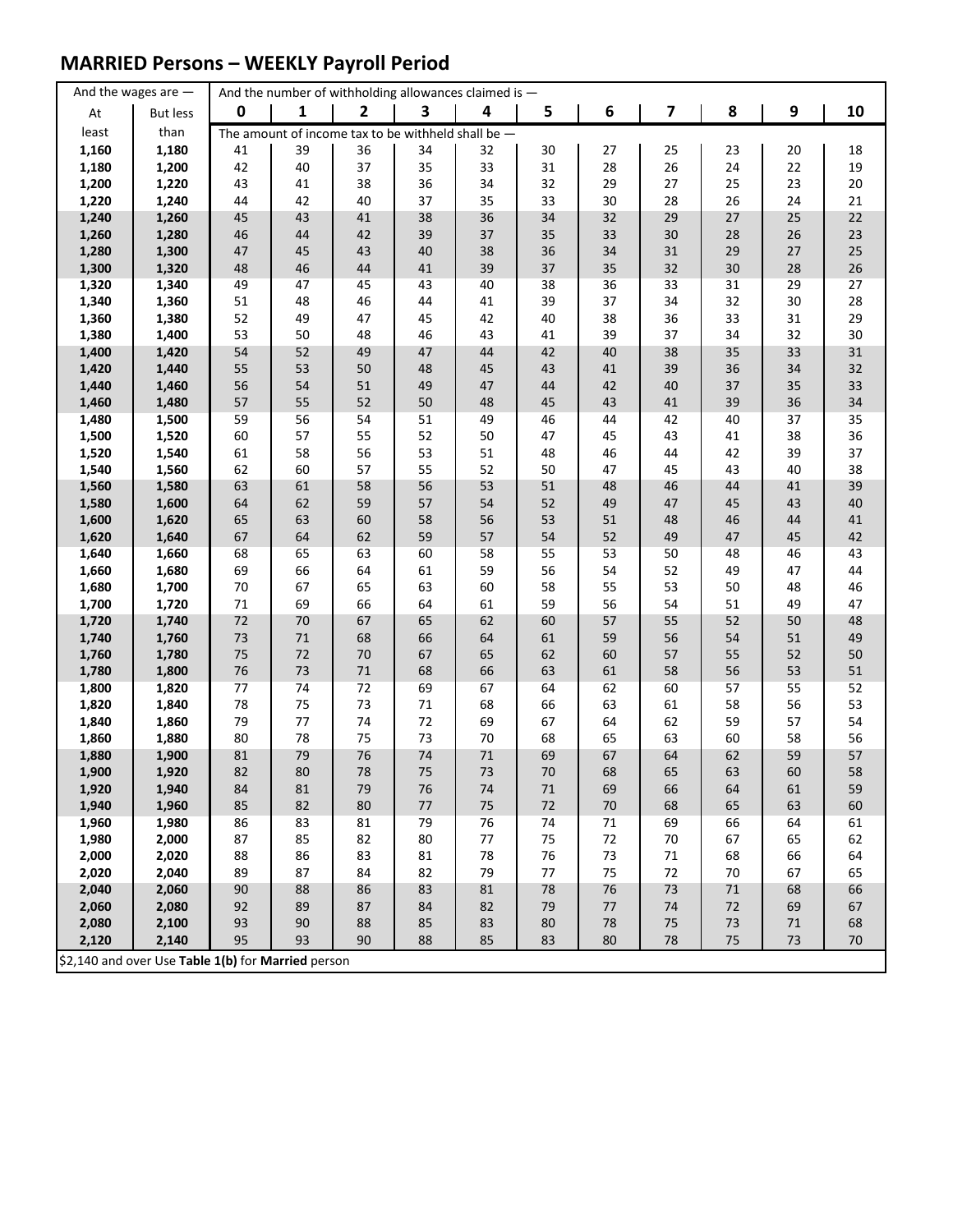### **MARRIED Persons – WEEKLY Payroll Period**

|                | And the wages are $-$                              |             |          |                | And the number of withholding allowances claimed is - |          |          |          |          |          |          |          |
|----------------|----------------------------------------------------|-------------|----------|----------------|-------------------------------------------------------|----------|----------|----------|----------|----------|----------|----------|
| At             | <b>But less</b>                                    | $\mathbf 0$ | 1        | $\overline{2}$ | 3                                                     | 4        | 5        | 6        | 7        | 8        | 9        | 10       |
| least          | than                                               |             |          |                | The amount of income tax to be withheld shall be $-$  |          |          |          |          |          |          |          |
| 1,160          | 1,180                                              | 41          | 39       | 36             | 34                                                    | 32       | 30       | 27       | 25       | 23       | 20       | 18       |
| 1,180          | 1,200                                              | 42          | 40       | 37             | 35                                                    | 33       | 31       | 28       | 26       | 24       | 22       | 19       |
| 1,200          | 1,220                                              | 43          | 41       | 38             | 36                                                    | 34       | 32       | 29       | 27       | 25       | 23       | 20       |
| 1,220          | 1,240                                              | 44          | 42       | 40             | 37                                                    | 35       | 33       | 30       | 28       | 26       | 24       | 21       |
| 1,240          | 1,260                                              | 45          | 43       | 41             | 38                                                    | 36       | 34       | 32       | 29       | 27       | 25       | 22       |
| 1,260          | 1,280                                              | 46          | 44       | 42             | 39                                                    | 37       | 35       | 33       | 30       | 28       | 26       | 23       |
| 1,280          | 1,300                                              | 47          | 45       | 43             | 40                                                    | 38       | 36       | 34       | 31       | 29       | 27       | 25       |
| 1,300          | 1,320                                              | 48          | 46       | 44             | 41                                                    | 39       | 37       | 35       | 32       | 30       | 28       | 26       |
| 1,320          | 1,340                                              | 49          | 47       | 45             | 43                                                    | 40       | 38       | 36       | 33       | 31       | 29       | 27       |
| 1,340          | 1,360                                              | 51          | 48       | 46             | 44                                                    | 41       | 39       | 37       | 34       | 32       | 30       | 28       |
| 1,360          | 1,380<br>1,400                                     | 52          | 49<br>50 | 47<br>48       | 45                                                    | 42       | 40       | 38<br>39 | 36<br>37 | 33<br>34 | 31<br>32 | 29<br>30 |
| 1,380<br>1,400 | 1,420                                              | 53<br>54    | 52       | 49             | 46<br>47                                              | 43<br>44 | 41<br>42 | 40       | 38       | 35       | 33       | 31       |
| 1,420          | 1,440                                              | 55          | 53       | 50             | 48                                                    | 45       | 43       | 41       | 39       | 36       | 34       | 32       |
| 1,440          | 1,460                                              | 56          | 54       | 51             | 49                                                    | 47       | 44       | 42       | 40       | 37       | 35       | 33       |
| 1,460          | 1,480                                              | 57          | 55       | 52             | 50                                                    | 48       | 45       | 43       | 41       | 39       | 36       | 34       |
| 1,480          | 1,500                                              | 59          | 56       | 54             | 51                                                    | 49       | 46       | 44       | 42       | 40       | 37       | 35       |
| 1,500          | 1,520                                              | 60          | 57       | 55             | 52                                                    | 50       | 47       | 45       | 43       | 41       | 38       | 36       |
| 1,520          | 1,540                                              | 61          | 58       | 56             | 53                                                    | 51       | 48       | 46       | 44       | 42       | 39       | 37       |
| 1,540          | 1,560                                              | 62          | 60       | 57             | 55                                                    | 52       | 50       | 47       | 45       | 43       | 40       | 38       |
| 1,560          | 1,580                                              | 63          | 61       | 58             | 56                                                    | 53       | 51       | 48       | 46       | 44       | 41       | 39       |
| 1,580          | 1,600                                              | 64          | 62       | 59             | 57                                                    | 54       | 52       | 49       | 47       | 45       | 43       | 40       |
| 1,600          | 1,620                                              | 65          | 63       | 60             | 58                                                    | 56       | 53       | 51       | 48       | 46       | 44       | 41       |
| 1,620          | 1,640                                              | 67          | 64       | 62             | 59                                                    | 57       | 54       | 52       | 49       | 47       | 45       | 42       |
| 1,640          | 1,660                                              | 68          | 65       | 63             | 60                                                    | 58       | 55       | 53       | 50       | 48       | 46       | 43       |
| 1,660          | 1,680                                              | 69          | 66       | 64             | 61                                                    | 59       | 56       | 54       | 52       | 49       | 47       | 44       |
| 1,680          | 1,700                                              | $70\,$      | 67       | 65             | 63                                                    | 60       | 58       | 55       | 53       | 50       | 48       | 46       |
| 1,700          | 1,720                                              | $71\,$      | 69       | 66             | 64                                                    | 61       | 59       | 56       | 54       | 51       | 49       | 47       |
| 1,720          | 1,740                                              | $72\,$      | 70       | 67             | 65                                                    | 62       | 60       | 57       | 55       | 52       | 50       | 48       |
| 1,740          | 1,760                                              | 73          | 71       | 68             | 66                                                    | 64       | 61       | 59       | 56       | 54       | 51       | 49       |
| 1,760          | 1,780                                              | 75          | $72\,$   | 70             | 67                                                    | 65       | 62       | 60       | 57       | 55       | 52       | 50       |
| 1,780          | 1,800                                              | 76          | 73       | $71\,$         | 68                                                    | 66       | 63       | 61       | 58       | 56       | 53       | 51       |
| 1,800<br>1,820 | 1,820<br>1,840                                     | 77<br>78    | 74<br>75 | 72<br>73       | 69<br>$71\,$                                          | 67<br>68 | 64<br>66 | 62<br>63 | 60<br>61 | 57<br>58 | 55<br>56 | 52<br>53 |
| 1,840          | 1,860                                              | 79          | 77       | 74             | 72                                                    | 69       | 67       | 64       | 62       | 59       | 57       | 54       |
| 1,860          | 1,880                                              | 80          | 78       | 75             | 73                                                    | 70       | 68       | 65       | 63       | 60       | 58       | 56       |
| 1,880          | 1,900                                              | 81          | 79       | 76             | 74                                                    | $71\,$   | 69       | 67       | 64       | 62       | 59       | 57       |
| 1,900          | 1,920                                              | 82          | 80       | 78             | 75                                                    | 73       | 70       | 68       | 65       | 63       | 60       | 58       |
| 1,920          | 1,940                                              | 84          | 81       | 79             | 76                                                    | 74       | 71       | 69       | 66       | 64       | 61       | 59       |
| 1,940          | 1,960                                              | 85          | 82       | 80             | 77                                                    | 75       | 72       | 70       | 68       | 65       | 63       | 60       |
| 1,960          | 1,980                                              | 86          | 83       | 81             | 79                                                    | 76       | 74       | $71\,$   | 69       | 66       | 64       | 61       |
| 1,980          | 2,000                                              | 87          | 85       | 82             | 80                                                    | $77$     | 75       | 72       | 70       | 67       | 65       | 62       |
| 2,000          | 2,020                                              | 88          | 86       | 83             | 81                                                    | 78       | 76       | 73       | 71       | 68       | 66       | 64       |
| 2,020          | 2,040                                              | 89          | 87       | 84             | 82                                                    | 79       | 77       | 75       | 72       | 70       | 67       | 65       |
| 2,040          | 2,060                                              | 90          | 88       | 86             | 83                                                    | 81       | 78       | 76       | 73       | $71\,$   | 68       | 66       |
| 2,060          | 2,080                                              | 92          | 89       | 87             | 84                                                    | 82       | 79       | 77       | 74       | $72\,$   | 69       | 67       |
| 2,080          | 2,100                                              | 93          | 90       | 88             | 85                                                    | 83       | 80       | 78       | 75       | 73       | 71       | 68       |
| 2,120          | 2,140                                              | 95          | 93       | 90             | 88                                                    | 85       | 83       | 80       | 78       | 75       | 73       | 70       |
|                | \$2,140 and over Use Table 1(b) for Married person |             |          |                |                                                       |          |          |          |          |          |          |          |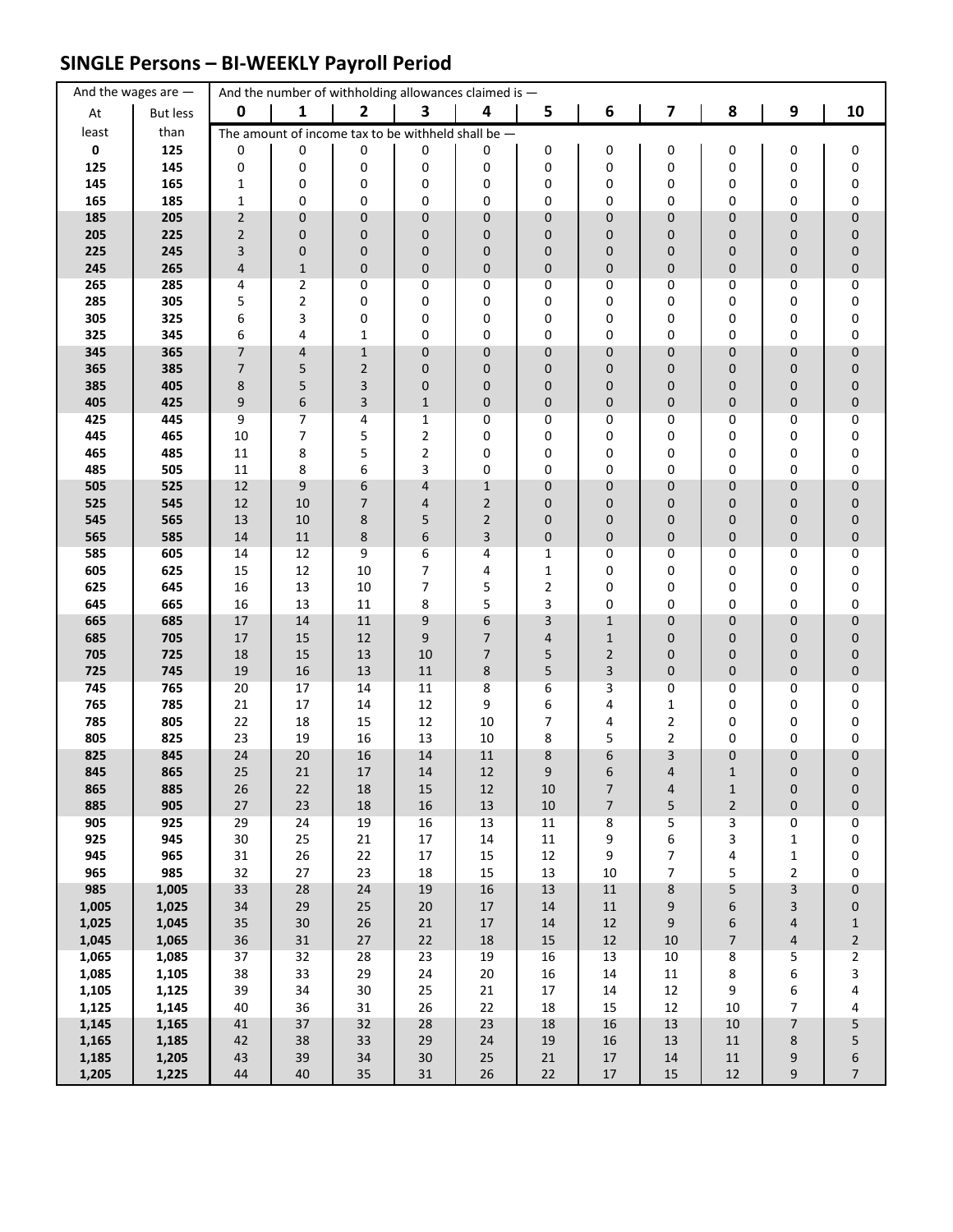### **SINGLE Persons – BI-WEEKLY Payroll Period**

|                | And the wages are $-$ |                |                  | And the number of withholding allowances claimed is - |                     |                |                  |                          |                |                           |                   |                                  |
|----------------|-----------------------|----------------|------------------|-------------------------------------------------------|---------------------|----------------|------------------|--------------------------|----------------|---------------------------|-------------------|----------------------------------|
| At             | <b>But less</b>       | $\mathbf 0$    | 1                | $\mathbf{2}$                                          | 3                   | 4              | 5                | $\boldsymbol{6}$         | 7              | 8                         | 9                 | 10                               |
| least          | than                  |                |                  | The amount of income tax to be withheld shall be $-$  |                     |                |                  |                          |                |                           |                   |                                  |
| $\pmb{0}$      | 125                   | 0              | 0                | 0                                                     | 0                   | 0              | 0                | 0                        | 0              | 0                         | 0                 | 0                                |
| 125            | 145                   | 0              | 0                | 0                                                     | 0                   | 0              | 0                | 0                        | 0              | 0                         | 0                 | 0                                |
| 145<br>165     | 165<br>185            | 1<br>1         | 0<br>0           | 0<br>0                                                | 0<br>0              | 0<br>0         | 0<br>0           | 0<br>0                   | 0<br>0         | 0<br>0                    | 0<br>0            | $\pmb{0}$<br>0                   |
| 185            | 205                   | $\overline{2}$ | $\pmb{0}$        | $\pmb{0}$                                             | $\mathbf 0$         | $\mathbf 0$    | 0                | 0                        | 0              | 0                         | 0                 | $\pmb{0}$                        |
| 205            | 225                   | $\overline{2}$ | $\pmb{0}$        | $\mathbf 0$                                           | 0                   | 0              | 0                | 0                        | 0              | 0                         | 0                 | $\pmb{0}$                        |
| 225            | 245                   | 3              | $\pmb{0}$        | $\pmb{0}$                                             | 0                   | $\pmb{0}$      | 0                | 0                        | 0              | 0                         | 0                 | $\pmb{0}$                        |
| 245            | 265                   | 4              | $\mathbf 1$      | $\pmb{0}$                                             | $\pmb{0}$           | $\pmb{0}$      | 0                | 0                        | 0              | 0                         | 0                 | $\pmb{0}$                        |
| 265            | 285                   | 4              | 2                | 0                                                     | 0                   | 0              | 0                | 0                        | 0              | 0                         | 0                 | 0                                |
| 285            | 305                   | 5              | $\mathbf 2$      | 0                                                     | 0                   | 0              | 0                | 0                        | 0              | 0                         | 0                 | 0                                |
| 305<br>325     | 325<br>345            | 6<br>6         | 3<br>4           | 0<br>$\mathbf 1$                                      | 0<br>0              | 0<br>0         | 0<br>0           | 0<br>0                   | 0<br>0         | 0<br>0                    | 0<br>0            | 0<br>0                           |
| 345            | 365                   | 7              | 4                | $\mathbf 1$                                           | 0                   | 0              | 0                | 0                        | 0              | 0                         | 0                 | $\pmb{0}$                        |
| 365            | 385                   | 7              | 5                | $\overline{2}$                                        | $\mathbf 0$         | 0              | 0                | 0                        | 0              | 0                         | 0                 | $\pmb{0}$                        |
| 385            | 405                   | 8              | 5                | 3                                                     | $\mathbf 0$         | 0              | 0                | 0                        | 0              | 0                         | 0                 | $\pmb{0}$                        |
| 405            | 425                   | 9              | $\boldsymbol{6}$ | 3                                                     | $\mathbf{1}$        | 0              | 0                | 0                        | 0              | 0                         | 0                 | $\pmb{0}$                        |
| 425            | 445                   | 9              | $\overline{7}$   | 4                                                     | $\mathbf{1}$        | 0              | 0                | 0                        | 0              | 0                         | 0                 | 0                                |
| 445            | 465                   | 10             | $\overline{7}$   | 5                                                     | $\mathbf 2$         | 0              | 0                | 0                        | 0              | 0                         | 0                 | $\pmb{0}$                        |
| 465<br>485     | 485<br>505            | 11<br>11       | 8<br>8           | 5<br>6                                                | $\overline{2}$<br>3 | 0<br>0         | 0<br>0           | 0<br>0                   | 0<br>0         | 0<br>0                    | 0<br>0            | $\pmb{0}$<br>0                   |
| 505            | 525                   | 12             | 9                | 6                                                     | $\overline{4}$      | $\mathbf{1}$   | 0                | 0                        | 0              | 0                         | 0                 | $\pmb{0}$                        |
| 525            | 545                   | 12             | 10               | $\overline{7}$                                        | 4                   | $\overline{2}$ | 0                | 0                        | 0              | 0                         | 0                 | $\pmb{0}$                        |
| 545            | 565                   | 13             | 10               | 8                                                     | 5                   | $\overline{2}$ | 0                | 0                        | 0              | 0                         | 0                 | $\pmb{0}$                        |
| 565            | 585                   | 14             | 11               | 8                                                     | 6                   | 3              | 0                | 0                        | 0              | 0                         | 0                 | $\pmb{0}$                        |
| 585            | 605                   | 14             | 12               | 9                                                     | 6                   | 4              | $\mathbf{1}$     | 0                        | 0              | 0                         | 0                 | 0                                |
| 605            | 625                   | 15             | 12               | 10                                                    | 7                   | 4              | 1                | 0                        | 0              | 0                         | 0                 | 0                                |
| 625<br>645     | 645<br>665            | 16<br>16       | 13<br>13         | 10<br>11                                              | 7<br>8              | 5<br>5         | 2<br>3           | 0<br>0                   | 0<br>0         | 0<br>0                    | 0<br>0            | 0<br>0                           |
| 665            | 685                   | 17             | 14               | 11                                                    | 9                   | 6              | 3                | $\mathbf 1$              | 0              | 0                         | 0                 | $\pmb{0}$                        |
| 685            | 705                   | 17             | 15               | 12                                                    | 9                   | 7              | 4                | $1\,$                    | 0              | 0                         | 0                 | $\pmb{0}$                        |
| 705            | 725                   | 18             | 15               | 13                                                    | 10                  | 7              | 5                | $\overline{2}$           | 0              | 0                         | 0                 | $\pmb{0}$                        |
| 725            | 745                   | $19\,$         | 16               | 13                                                    | $11\,$              | $\bf 8$        | 5                | 3                        | 0              | 0                         | 0                 | $\pmb{0}$                        |
| 745            | 765                   | 20             | 17               | 14                                                    | 11                  | 8              | 6                | 3                        | 0              | 0                         | 0                 | 0                                |
| 765<br>785     | 785<br>805            | 21<br>22       | 17<br>18         | 14<br>15                                              | 12<br>12            | 9<br>10        | 6<br>7           | 4<br>4                   | 1<br>2         | 0<br>0                    | 0<br>0            | 0<br>$\pmb{0}$                   |
| 805            | 825                   | 23             | 19               | 16                                                    | 13                  | 10             | 8                | 5                        | 2              | 0                         | 0                 | 0                                |
| 825            | 845                   | 24             | $20\,$           | 16                                                    | 14                  | $11\,$         | 8                | 6                        | 3              | 0                         | 0                 | $\pmb{0}$                        |
| 845            | 865                   | 25             | 21               | 17                                                    | 14                  | 12             | 9                | 6                        | 4              | $\mathbf{1}$              | $\overline{0}$    | 0                                |
| 865            | 885                   | 26             | 22               | 18                                                    | $15\,$              | 12             | 10               | 7                        | 4              | $\mathbf{1}$              | $\pmb{0}$         | 0                                |
| 885            | 905                   | $27\,$         | 23               | $18\,$                                                | 16                  | 13             | $10\,$           | $\overline{\phantom{a}}$ | 5              | $\overline{2}$            | 0                 | $\pmb{0}$                        |
| 905<br>925     | 925<br>945            | 29<br>30       | 24<br>25         | 19<br>$21\,$                                          | 16<br>$17\,$        | 13<br>$14\,$   | $11\,$<br>$11\,$ | 8<br>9                   | 5<br>6         | 3<br>3                    | 0<br>$\mathbf{1}$ | $\pmb{0}$<br>0                   |
| 945            | 965                   | 31             | 26               | 22                                                    | 17                  | 15             | 12               | 9                        | 7              | 4                         | $\mathbf 1$       | 0                                |
| 965            | 985                   | 32             | 27               | 23                                                    | 18                  | 15             | 13               | $10\,$                   | $\overline{7}$ | 5                         | $\overline{2}$    | 0                                |
| 985            | 1,005                 | 33             | 28               | 24                                                    | 19                  | 16             | 13               | $11\,$                   | 8              | 5                         | 3                 | $\pmb{0}$                        |
| 1,005          | 1,025                 | 34             | 29               | 25                                                    | $20\,$              | 17             | 14               | $11\,$                   | 9              | 6                         | 3                 | $\pmb{0}$                        |
| 1,025          | 1,045                 | 35             | 30               | 26                                                    | $21\,$              | $17\,$         | 14               | $12\,$                   | 9              | 6                         | 4                 | $\mathbf 1$                      |
| 1,045<br>1,065 | 1,065<br>1,085        | 36<br>37       | 31<br>32         | 27<br>28                                              | 22<br>23            | $18\,$<br>19   | $15\,$<br>16     | $12\,$<br>13             | $10\,$<br>10   | $\overline{7}$<br>$\bf 8$ | 4<br>5            | $\overline{c}$<br>$\overline{2}$ |
| 1,085          | 1,105                 | 38             | 33               | 29                                                    | 24                  | $20\,$         | 16               | 14                       | $11\,$         | 8                         | 6                 | 3                                |
| 1,105          | 1,125                 | 39             | 34               | 30                                                    | 25                  | 21             | $17\,$           | 14                       | 12             | 9                         | 6                 | 4                                |
| 1,125          | 1,145                 | 40             | 36               | 31                                                    | 26                  | 22             | 18               | 15                       | 12             | $10\,$                    | $\overline{7}$    | 4                                |
| 1,145          | 1,165                 | 41             | 37               | 32                                                    | 28                  | 23             | 18               | 16                       | 13             | $10\,$                    | $\overline{7}$    | 5                                |
| 1,165          | 1,185                 | 42             | 38               | 33                                                    | 29                  | 24             | 19               | 16                       | 13             | $11\,$                    | 8                 | 5                                |
| 1,185          | 1,205                 | 43             | 39               | 34                                                    | $30\,$              | $25\,$         | 21               | $17\,$                   | $14\,$         | $11\,$                    | 9                 | 6                                |
| 1,205          | 1,225                 | 44             | 40               | 35                                                    | 31                  | 26             | 22               | $17\,$                   | 15             | 12                        | 9                 | $7\overline{ }$                  |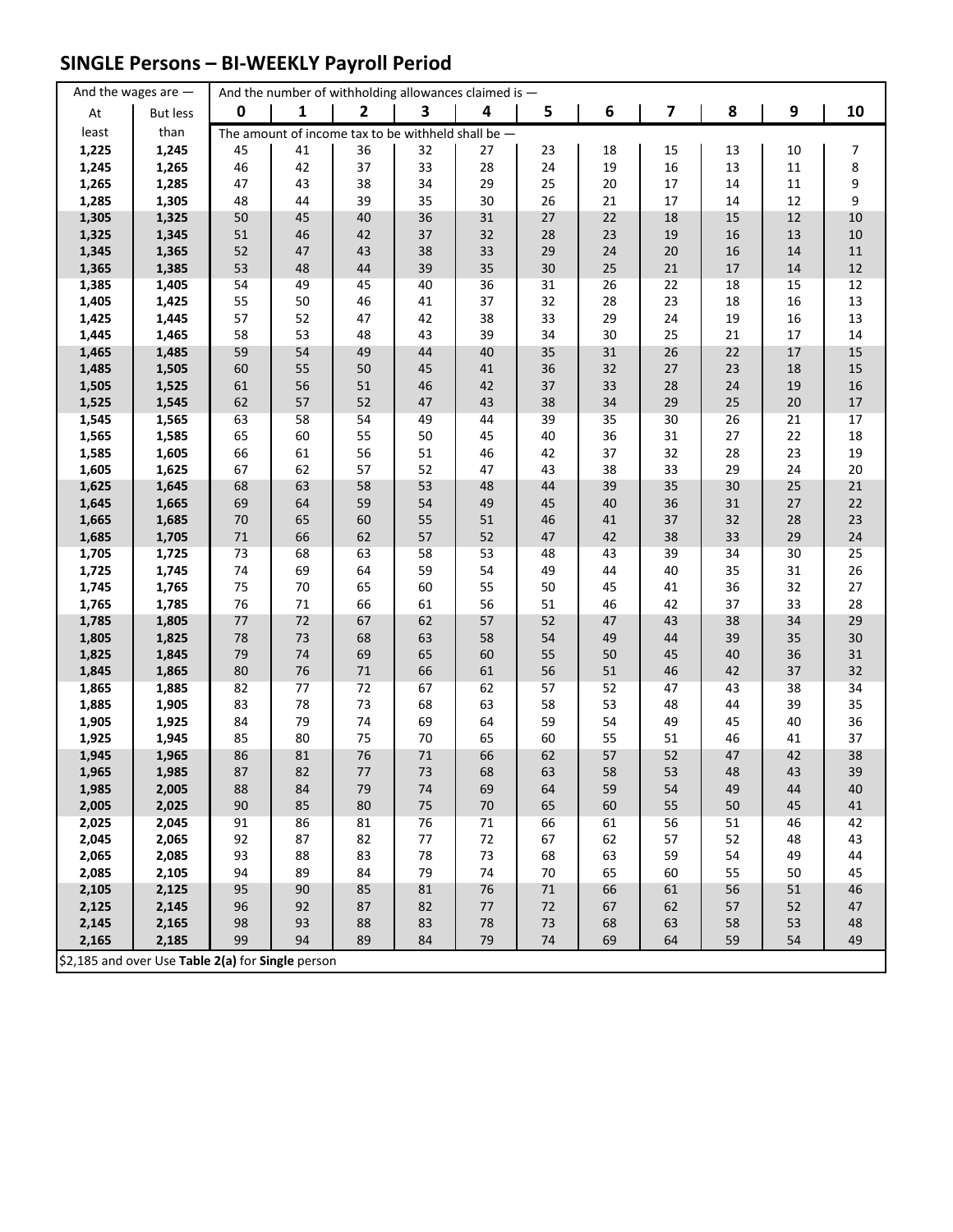## **SINGLE Persons – BI-WEEKLY Payroll Period**

|                | And the wages are $-$                             |          |          |              | And the number of withholding allowances claimed is - |          |          |          |          |          |              |                |
|----------------|---------------------------------------------------|----------|----------|--------------|-------------------------------------------------------|----------|----------|----------|----------|----------|--------------|----------------|
| At             | <b>But less</b>                                   | 0        | 1        | $\mathbf{2}$ | 3                                                     | 4        | 5        | 6        | 7        | 8        | 9            | 10             |
| least          | than                                              |          |          |              | The amount of income tax to be withheld shall be $-$  |          |          |          |          |          |              |                |
| 1,225          | 1,245                                             | 45       | 41       | 36           | 32                                                    | 27       | 23       | 18       | 15       | 13       | 10           | 7              |
| 1,245          | 1,265                                             | 46       | 42       | 37           | 33                                                    | 28       | 24       | 19       | 16       | 13       | 11           | 8              |
| 1,265          | 1,285                                             | 47       | 43       | 38           | 34                                                    | 29       | 25       | $20\,$   | 17       | 14       | 11           | 9              |
| 1,285          | 1,305                                             | 48       | 44       | 39           | 35                                                    | 30       | 26       | 21       | 17       | 14       | 12           | 9              |
| 1,305          | 1,325                                             | 50       | 45       | 40           | 36                                                    | 31       | $27$     | 22       | 18       | 15       | 12           | $10\,$         |
| 1,325          | 1,345                                             | 51       | 46       | 42           | 37                                                    | 32       | 28       | 23       | 19       | 16       | 13           | 10             |
| 1,345          | 1,365                                             | 52       | 47       | 43           | 38                                                    | 33       | 29       | 24       | 20       | 16       | 14           | 11             |
| 1,365          | 1,385                                             | 53       | 48       | 44           | 39                                                    | 35       | 30       | 25       | $21\,$   | 17       | 14           | 12             |
| 1,385          | 1,405                                             | 54       | 49       | 45           | 40                                                    | 36       | 31       | 26       | 22       | 18       | 15           | 12             |
| 1,405          | 1,425                                             | 55       | 50       | 46           | 41                                                    | 37       | 32       | 28       | 23       | 18       | 16           | 13             |
| 1,425          | 1,445                                             | 57       | 52       | 47           | 42                                                    | 38       | 33       | 29       | 24       | 19       | 16           | 13             |
| 1,445          | 1,465                                             | 58       | 53       | 48           | 43                                                    | 39       | 34       | 30       | 25       | 21       | 17           | 14             |
| 1,465          | 1,485                                             | 59       | 54       | 49           | 44                                                    | 40       | 35       | 31       | 26       | 22       | $17\,$       | 15             |
| 1,485          | 1,505                                             | 60       | 55       | 50           | 45                                                    | 41       | 36       | 32       | 27       | 23       | 18           | 15             |
| 1,505<br>1,525 | 1,525<br>1,545                                    | 61<br>62 | 56<br>57 | 51<br>52     | 46<br>47                                              | 42<br>43 | 37<br>38 | 33<br>34 | 28<br>29 | 24<br>25 | 19<br>$20\,$ | 16             |
| 1,545          | 1,565                                             | 63       | 58       | 54           | 49                                                    | 44       | 39       | 35       | 30       | 26       | 21           | $17\,$<br>$17$ |
| 1,565          | 1,585                                             | 65       | 60       | 55           | 50                                                    | 45       | 40       | 36       | 31       | 27       | 22           | 18             |
| 1,585          | 1,605                                             | 66       | 61       | 56           | 51                                                    | 46       | 42       | 37       | 32       | 28       | 23           | 19             |
| 1,605          | 1,625                                             | 67       | 62       | 57           | 52                                                    | 47       | 43       | 38       | 33       | 29       | 24           | 20             |
| 1,625          | 1,645                                             | 68       | 63       | 58           | 53                                                    | 48       | 44       | 39       | 35       | 30       | 25           | 21             |
| 1,645          | 1,665                                             | 69       | 64       | 59           | 54                                                    | 49       | 45       | 40       | 36       | 31       | 27           | 22             |
| 1,665          | 1,685                                             | 70       | 65       | 60           | 55                                                    | 51       | 46       | 41       | 37       | 32       | 28           | 23             |
| 1,685          | 1,705                                             | $71\,$   | 66       | 62           | 57                                                    | 52       | 47       | 42       | 38       | 33       | 29           | 24             |
| 1,705          | 1,725                                             | 73       | 68       | 63           | 58                                                    | 53       | 48       | 43       | 39       | 34       | 30           | 25             |
| 1,725          | 1,745                                             | 74       | 69       | 64           | 59                                                    | 54       | 49       | 44       | 40       | 35       | 31           | 26             |
| 1,745          | 1,765                                             | 75       | 70       | 65           | 60                                                    | 55       | 50       | 45       | 41       | 36       | 32           | 27             |
| 1,765          | 1,785                                             | 76       | 71       | 66           | 61                                                    | 56       | 51       | 46       | 42       | 37       | 33           | 28             |
| 1,785          | 1,805                                             | $77 \,$  | 72       | 67           | 62                                                    | 57       | 52       | 47       | 43       | 38       | 34           | 29             |
| 1,805          | 1,825                                             | 78       | 73       | 68           | 63                                                    | 58       | 54       | 49       | 44       | 39       | 35           | 30             |
| 1,825          | 1,845                                             | 79       | 74       | 69           | 65                                                    | 60       | 55       | 50       | 45       | 40       | 36           | 31             |
| 1,845          | 1,865                                             | 80       | 76       | $71\,$       | 66                                                    | 61       | 56       | 51       | 46       | 42       | 37           | 32             |
| 1,865          | 1,885                                             | 82       | 77       | 72           | 67                                                    | 62       | 57       | 52       | 47       | 43       | 38           | 34             |
| 1,885          | 1,905                                             | 83       | 78       | 73           | 68                                                    | 63       | 58       | 53       | 48       | 44       | 39           | 35             |
| 1,905          | 1,925                                             | 84       | 79       | 74           | 69                                                    | 64       | 59       | 54       | 49       | 45       | 40           | 36             |
| 1,925          | 1,945                                             | 85       | 80       | 75           | 70                                                    | 65       | 60       | 55       | 51       | 46       | 41           | 37             |
| 1,945          | 1,965                                             | 86       | 81       | 76           | 71                                                    | 66       | 62       | 57       | 52       | 47       | 42           | 38             |
| 1,965          | 1,985                                             | 87       | 82       | 77           | 73                                                    | 68       | 63       | 58       | 53       | 48       | 43           | 39             |
| 1,985          | 2,005<br>2,025                                    | 88<br>90 | 84       | 79<br>80     | 74                                                    | 69       | 64       | 59<br>60 | 54       | 49       | 44           | 40             |
| 2,005<br>2,025 | 2,045                                             |          | 85<br>86 | 81           | 75<br>76                                              | 70<br>71 | 65<br>66 | 61       | 55<br>56 | 50<br>51 | 45<br>46     | 41<br>42       |
| 2,045          | 2,065                                             | 91<br>92 | 87       | 82           | 77                                                    | 72       | 67       | 62       | 57       | 52       | 48           | 43             |
| 2,065          | 2,085                                             | 93       | 88       | 83           | 78                                                    | 73       | 68       | 63       | 59       | 54       | 49           | 44             |
| 2,085          | 2,105                                             | 94       | 89       | 84           | 79                                                    | 74       | 70       | 65       | 60       | 55       | 50           | 45             |
| 2,105          | 2,125                                             | 95       | 90       | 85           | 81                                                    | 76       | 71       | 66       | 61       | 56       | 51           | 46             |
| 2,125          | 2,145                                             | 96       | 92       | 87           | 82                                                    | 77       | 72       | 67       | 62       | 57       | 52           | 47             |
| 2,145          | 2,165                                             | 98       | 93       | 88           | 83                                                    | 78       | 73       | 68       | 63       | 58       | 53           | 48             |
| 2,165          | 2,185                                             | 99       | 94       | 89           | 84                                                    | 79       | 74       | 69       | 64       | 59       | 54           | 49             |
|                | \$2,185 and over Use Table 2(a) for Single person |          |          |              |                                                       |          |          |          |          |          |              |                |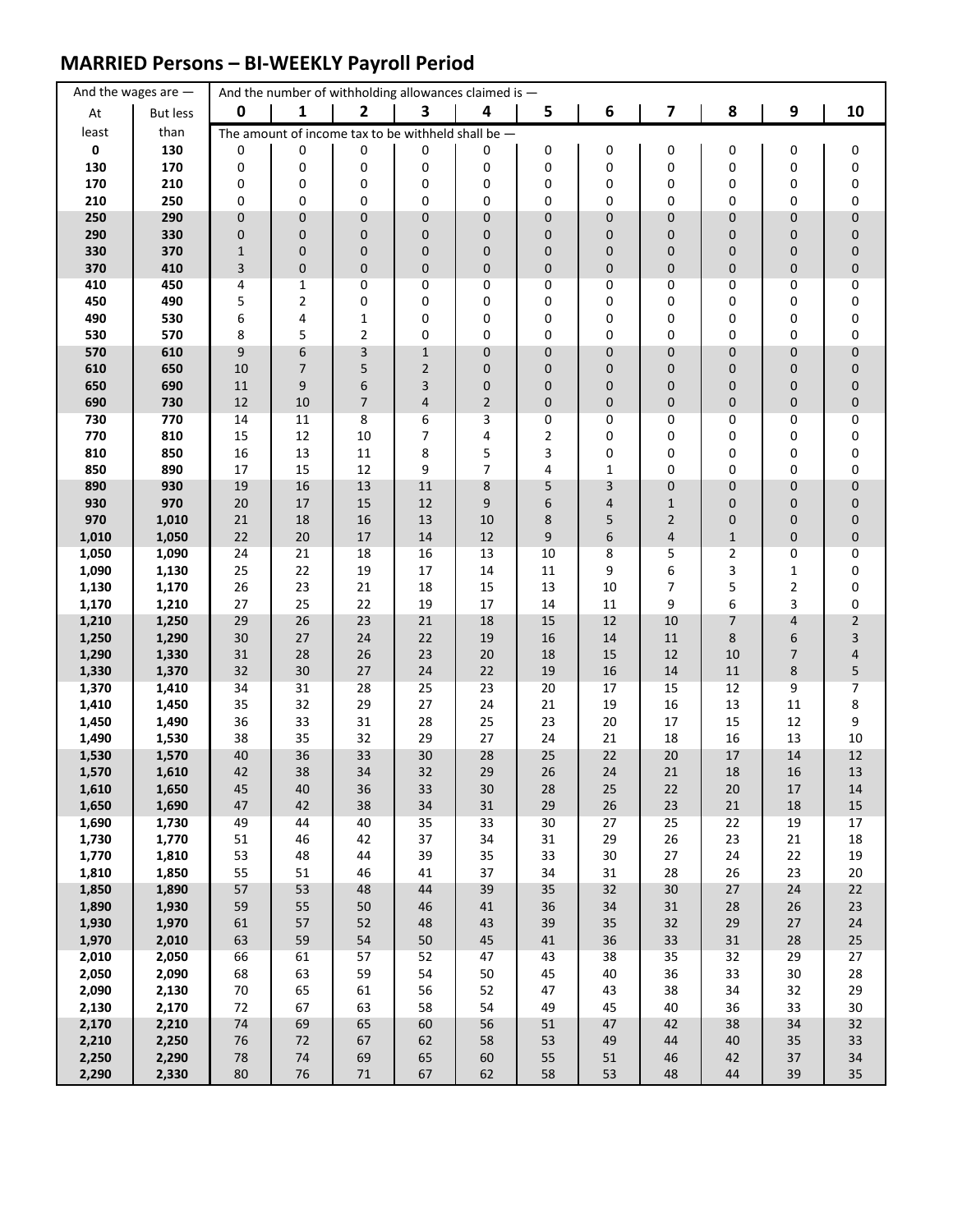### **MARRIED Persons – BI-WEEKLY Payroll Period**

| $\boldsymbol{9}$<br>$\mathbf 0$<br>1<br>$\overline{\mathbf{2}}$<br>3<br>4<br>6<br>7<br>8<br>5<br>At<br><b>But less</b><br>least<br>than<br>The amount of income tax to be withheld shall be $-$<br>130<br>$\mathbf 0$<br>0<br>0<br>0<br>0<br>0<br>0<br>0<br>0<br>0<br>0<br>170<br>0<br>0<br>0<br>130<br>0<br>0<br>0<br>0<br>0<br>0<br>0<br>170<br>210<br>0<br>0<br>0<br>0<br>0<br>0<br>0<br>0<br>0<br>0<br>210<br>250<br>0<br>0<br>0<br>0<br>0<br>0<br>0<br>0<br>0<br>0<br>290<br>250<br>$\mathbf 0$<br>$\pmb{0}$<br>0<br>$\mathbf 0$<br>0<br>0<br>0<br>0<br>0<br>0<br>290<br>330<br>$\pmb{0}$<br>$\mathbf 0$<br>0<br>0<br>0<br>0<br>0<br>0<br>0<br>0 | 10<br>0<br>0<br>0<br>0<br>0<br>0<br>0<br>$\mathbf 0$<br>0<br>0 |
|-------------------------------------------------------------------------------------------------------------------------------------------------------------------------------------------------------------------------------------------------------------------------------------------------------------------------------------------------------------------------------------------------------------------------------------------------------------------------------------------------------------------------------------------------------------------------------------------------------------------------------------------------------|----------------------------------------------------------------|
|                                                                                                                                                                                                                                                                                                                                                                                                                                                                                                                                                                                                                                                       |                                                                |
|                                                                                                                                                                                                                                                                                                                                                                                                                                                                                                                                                                                                                                                       |                                                                |
|                                                                                                                                                                                                                                                                                                                                                                                                                                                                                                                                                                                                                                                       |                                                                |
|                                                                                                                                                                                                                                                                                                                                                                                                                                                                                                                                                                                                                                                       |                                                                |
|                                                                                                                                                                                                                                                                                                                                                                                                                                                                                                                                                                                                                                                       |                                                                |
|                                                                                                                                                                                                                                                                                                                                                                                                                                                                                                                                                                                                                                                       |                                                                |
|                                                                                                                                                                                                                                                                                                                                                                                                                                                                                                                                                                                                                                                       |                                                                |
| 330<br>370<br>$\pmb{0}$<br>0<br>0<br>0<br>0<br>0<br>$\mathbf{1}$<br>0<br>0<br>0                                                                                                                                                                                                                                                                                                                                                                                                                                                                                                                                                                       |                                                                |
| $\mathsf 3$<br>$\pmb{0}$<br>$\pmb{0}$<br>0<br>0<br>370<br>410<br>0<br>0<br>0<br>0<br>0                                                                                                                                                                                                                                                                                                                                                                                                                                                                                                                                                                |                                                                |
| 410<br>450<br>$\mathbf{1}$<br>0<br>0<br>0<br>0<br>0<br>4<br>0<br>0<br>0                                                                                                                                                                                                                                                                                                                                                                                                                                                                                                                                                                               |                                                                |
| $\overline{2}$<br>450<br>490<br>5<br>0<br>0<br>0<br>0<br>0<br>0<br>0<br>0                                                                                                                                                                                                                                                                                                                                                                                                                                                                                                                                                                             |                                                                |
| 490<br>530<br>6<br>$\mathbf 1$<br>0<br>0<br>0<br>0<br>4<br>0<br>0<br>0<br>5<br>$\overline{2}$<br>530<br>570<br>8<br>0<br>0<br>0<br>0<br>0<br>0<br>0                                                                                                                                                                                                                                                                                                                                                                                                                                                                                                   | 0<br>$\pmb{0}$                                                 |
| 9<br>6<br>3<br>0<br>$\pmb{0}$<br>570<br>610<br>$1\,$<br>0<br>0<br>0<br>0                                                                                                                                                                                                                                                                                                                                                                                                                                                                                                                                                                              | $\pmb{0}$                                                      |
| 610<br>$\overline{7}$<br>5<br>$\overline{2}$<br>650<br>10<br>0<br>0<br>0<br>0<br>0<br>0                                                                                                                                                                                                                                                                                                                                                                                                                                                                                                                                                               | 0                                                              |
| $\boldsymbol{9}$<br>650<br>690<br>6<br>3<br>0<br>0<br>0<br>0<br>11<br>0<br>0                                                                                                                                                                                                                                                                                                                                                                                                                                                                                                                                                                          | 0                                                              |
| 690<br>730<br>12<br>10<br>7<br>$\overline{2}$<br>0<br>0<br>0<br>$\mathbf 0$<br>4<br>0                                                                                                                                                                                                                                                                                                                                                                                                                                                                                                                                                                 | 0                                                              |
| 730<br>770<br>14<br>11<br>8<br>6<br>0<br>0<br>3<br>0<br>0<br>0                                                                                                                                                                                                                                                                                                                                                                                                                                                                                                                                                                                        | 0                                                              |
| 15<br>12<br>10<br>7<br>2<br>0<br>770<br>810<br>4<br>0<br>0<br>0                                                                                                                                                                                                                                                                                                                                                                                                                                                                                                                                                                                       | 0                                                              |
| 810<br>13<br>8<br>5<br>3<br>850<br>16<br>11<br>0<br>0<br>0<br>0<br>890<br>9<br>0<br>850<br>17<br>15<br>12<br>$\overline{7}$<br>4<br>1<br>0<br>0                                                                                                                                                                                                                                                                                                                                                                                                                                                                                                       | 0<br>0                                                         |
| 16<br>890<br>930<br>19<br>13<br>11<br>8<br>3<br>0<br>$\mathbf 0$<br>5<br>$\mathbf 0$                                                                                                                                                                                                                                                                                                                                                                                                                                                                                                                                                                  | 0                                                              |
| 970<br>20<br>15<br>930<br>17<br>12<br>9<br>6<br>4<br>$1\,$<br>0<br>$\pmb{0}$                                                                                                                                                                                                                                                                                                                                                                                                                                                                                                                                                                          | 0                                                              |
| 970<br>18<br>16<br>8<br>$\mathbf 2$<br>1,010<br>21<br>13<br>10<br>5<br>0<br>0                                                                                                                                                                                                                                                                                                                                                                                                                                                                                                                                                                         | 0                                                              |
| 1,010<br>22<br>20<br>9<br>6<br>$\pmb{0}$<br>1,050<br>17<br>14<br>12<br>4<br>$\mathbf{1}$                                                                                                                                                                                                                                                                                                                                                                                                                                                                                                                                                              | $\pmb{0}$                                                      |
| 1,050<br>1,090<br>24<br>21<br>18<br>16<br>13<br>10<br>8<br>5<br>2<br>0                                                                                                                                                                                                                                                                                                                                                                                                                                                                                                                                                                                | 0                                                              |
| 6<br>1,090<br>25<br>22<br>19<br>14<br>11<br>9<br>3<br>$\mathbf{1}$<br>1,130<br>17<br>$\overline{7}$<br>5<br>26<br>23<br>21<br>13<br>10<br>2<br>18<br>15                                                                                                                                                                                                                                                                                                                                                                                                                                                                                               | 0<br>0                                                         |
| 1,130<br>1,170<br>3<br>1,210<br>25<br>22<br>19<br>17<br>9<br>6<br>1,170<br>27<br>14<br>11                                                                                                                                                                                                                                                                                                                                                                                                                                                                                                                                                             | 0                                                              |
| 29<br>26<br>23<br>1,210<br>1,250<br>21<br>18<br>15<br>12<br>10<br>7<br>4                                                                                                                                                                                                                                                                                                                                                                                                                                                                                                                                                                              | $\overline{2}$                                                 |
| $27$<br>14<br>1,250<br>1,290<br>30<br>24<br>22<br>19<br>16<br>$11\,$<br>8<br>6                                                                                                                                                                                                                                                                                                                                                                                                                                                                                                                                                                        | 3                                                              |
| 7<br>1,290<br>1,330<br>31<br>28<br>26<br>23<br>20<br>15<br>12<br>18<br>10                                                                                                                                                                                                                                                                                                                                                                                                                                                                                                                                                                             | 4                                                              |
| 30<br>27<br>24<br>22<br>19<br>16<br>8<br>1,330<br>1,370<br>32<br>14<br>11                                                                                                                                                                                                                                                                                                                                                                                                                                                                                                                                                                             | 5                                                              |
| 31<br>28<br>1,370<br>1,410<br>34<br>25<br>23<br>20<br>17<br>15<br>12<br>9<br>32<br>29<br>27<br>1,410<br>1,450<br>35<br>24<br>21<br>19<br>16<br>13<br>11                                                                                                                                                                                                                                                                                                                                                                                                                                                                                               | 7<br>8                                                         |
| 33<br>31<br>1,450<br>1,490<br>36<br>28<br>25<br>23<br>20<br>17<br>15<br>12                                                                                                                                                                                                                                                                                                                                                                                                                                                                                                                                                                            | 9                                                              |
| 1,490<br>38<br>35<br>32<br>29<br>27<br>24<br>21<br>18<br>13<br>1,530<br>16                                                                                                                                                                                                                                                                                                                                                                                                                                                                                                                                                                            | 10                                                             |
| 36<br>33<br>28<br>25<br>22<br>1,530<br>40<br>30<br>20<br>17<br>14<br>1,570                                                                                                                                                                                                                                                                                                                                                                                                                                                                                                                                                                            | 12                                                             |
| 1,570<br>42<br>38<br>34<br>32<br>29<br>26<br>24<br>21<br>18<br>16<br>1,610                                                                                                                                                                                                                                                                                                                                                                                                                                                                                                                                                                            | 13                                                             |
| 1,610<br>1,650<br>36<br>30<br>25<br>45<br>40<br>33<br>28<br>22<br>20<br>17                                                                                                                                                                                                                                                                                                                                                                                                                                                                                                                                                                            | 14                                                             |
| 1,650<br>1,690<br>47<br>42<br>38<br>34<br>31<br>29<br>26<br>$23\,$<br>21<br>$18\,$<br>1,690<br>1,730<br>49<br>40<br>35<br>33<br>30<br>27<br>25<br>22                                                                                                                                                                                                                                                                                                                                                                                                                                                                                                  | $15\,$<br>17                                                   |
| 44<br>19<br>34<br>29<br>23<br>1,730<br>1,770<br>51<br>46<br>42<br>37<br>31<br>26<br>21                                                                                                                                                                                                                                                                                                                                                                                                                                                                                                                                                                | 18                                                             |
| 1,770<br>1,810<br>53<br>35<br>33<br>30<br>27<br>24<br>22<br>48<br>44<br>39                                                                                                                                                                                                                                                                                                                                                                                                                                                                                                                                                                            | 19                                                             |
| 55<br>46<br>37<br>31<br>26<br>23<br>1,810<br>1,850<br>51<br>41<br>34<br>28                                                                                                                                                                                                                                                                                                                                                                                                                                                                                                                                                                            | $20\,$                                                         |
| 39<br>1,850<br>1,890<br>57<br>53<br>48<br>44<br>35<br>32<br>$30\,$<br>$27\,$<br>24                                                                                                                                                                                                                                                                                                                                                                                                                                                                                                                                                                    | $22\,$                                                         |
| 1,890<br>34<br>1,930<br>59<br>55<br>50<br>46<br>$41\,$<br>36<br>$31\,$<br>28<br>$26\,$                                                                                                                                                                                                                                                                                                                                                                                                                                                                                                                                                                | $23\,$                                                         |
| 1,930<br>52<br>1,970<br>61<br>57<br>48<br>43<br>39<br>35<br>32<br>29<br>27                                                                                                                                                                                                                                                                                                                                                                                                                                                                                                                                                                            | 24                                                             |
| 54<br>1,970<br>2,010<br>63<br>59<br>45<br>36<br>33<br>31<br>28<br>$50\,$<br>41<br>2,010<br>57<br>2,050<br>66<br>61<br>47<br>38<br>35<br>32<br>29<br>52<br>43                                                                                                                                                                                                                                                                                                                                                                                                                                                                                          | $25\,$<br>27                                                   |
| 2,050<br>63<br>59<br>54<br>33<br>2,090<br>68<br>50<br>45<br>40<br>36<br>30                                                                                                                                                                                                                                                                                                                                                                                                                                                                                                                                                                            | 28                                                             |
| 2,090<br>2,130<br>$70\,$<br>65<br>61<br>56<br>52<br>47<br>43<br>38<br>34<br>32                                                                                                                                                                                                                                                                                                                                                                                                                                                                                                                                                                        | 29                                                             |
| 2,130<br>67<br>63<br>58<br>54<br>45<br>36<br>33<br>2,170<br>72<br>49<br>40                                                                                                                                                                                                                                                                                                                                                                                                                                                                                                                                                                            | $30\,$                                                         |
| 65<br>56<br>47<br>2,170<br>2,210<br>74<br>69<br>60<br>51<br>42<br>38<br>34                                                                                                                                                                                                                                                                                                                                                                                                                                                                                                                                                                            | 32                                                             |
| 76<br>2,210<br>2,250<br>72<br>67<br>62<br>58<br>53<br>49<br>44<br>40<br>35                                                                                                                                                                                                                                                                                                                                                                                                                                                                                                                                                                            | 33                                                             |
| $74\,$<br>2,250<br>2,290<br>78<br>69<br>65<br>60<br>55<br>51<br>46<br>42<br>37<br>2,290<br>$76\,$<br>53<br>2,330<br>80<br>$71\,$<br>67<br>62<br>58<br>48<br>44<br>39                                                                                                                                                                                                                                                                                                                                                                                                                                                                                  | 34<br>35                                                       |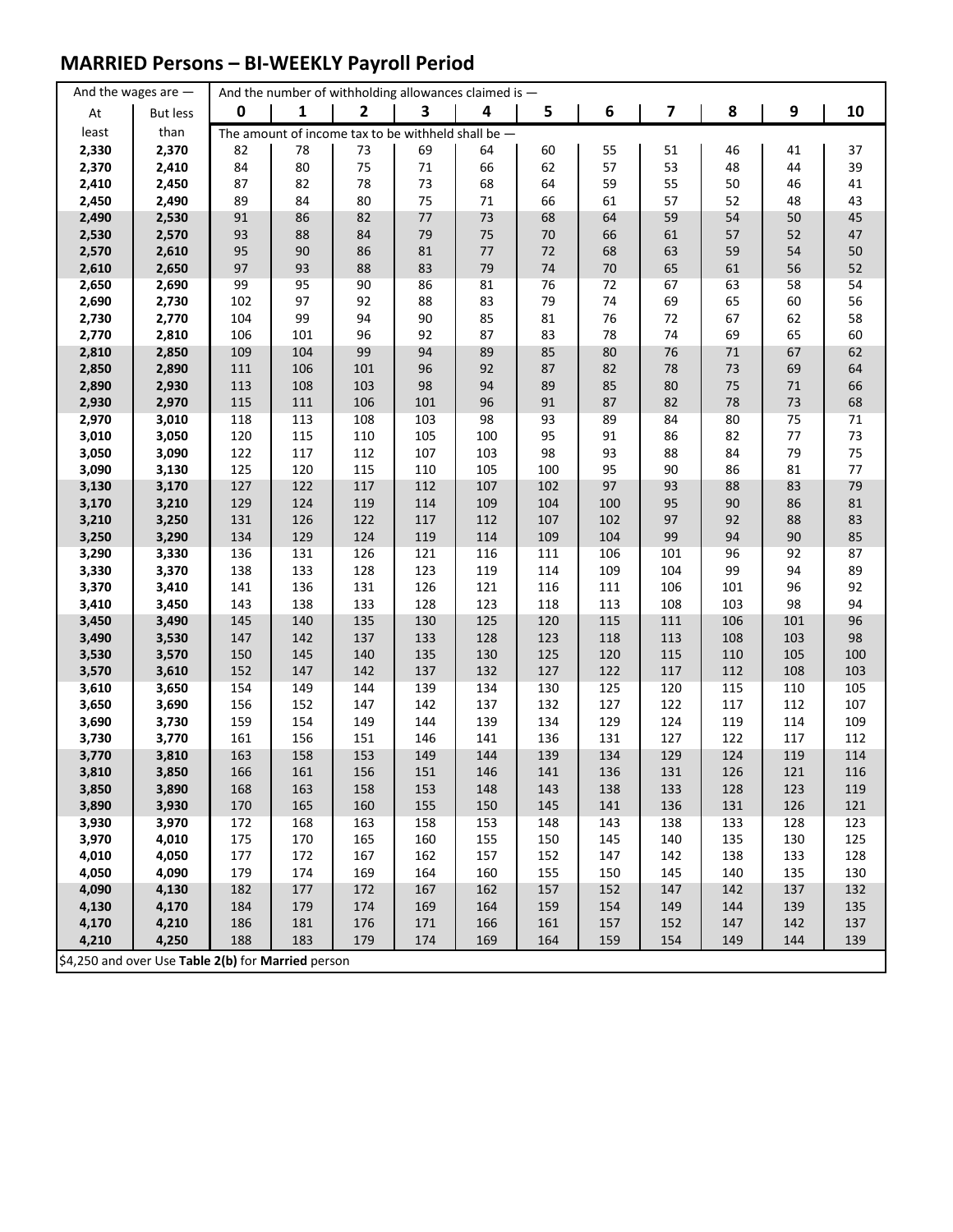### **MARRIED Persons – BI-WEEKLY Payroll Period**

|                | And the wages are $-$                              | And the number of withholding allowances claimed is $-$ |            |                |                                                      |            |            |            |            |              |            |            |
|----------------|----------------------------------------------------|---------------------------------------------------------|------------|----------------|------------------------------------------------------|------------|------------|------------|------------|--------------|------------|------------|
| At             | <b>But less</b>                                    | $\mathbf 0$                                             | 1          | $\overline{2}$ | 3                                                    | 4          | 5          | 6          | 7          | 8            | 9          | 10         |
| least          | than                                               |                                                         |            |                | The amount of income tax to be withheld shall be $-$ |            |            |            |            |              |            |            |
| 2,330          | 2,370                                              | 82                                                      | 78         | 73             | 69                                                   | 64         | 60         | 55         | 51         | 46           | 41         | 37         |
| 2,370          | 2,410                                              | 84                                                      | 80         | 75             | $71\,$                                               | 66         | 62         | 57         | 53         | 48           | 44         | 39         |
| 2,410          | 2,450                                              | 87                                                      | 82         | 78             | 73                                                   | 68         | 64         | 59         | 55         | 50           | 46         | 41         |
| 2,450          | 2,490                                              | 89                                                      | 84         | 80             | 75                                                   | 71         | 66         | 61         | 57         | 52           | 48         | 43         |
| 2,490          | 2,530                                              | 91                                                      | 86         | 82             | $77 \,$                                              | 73         | 68         | 64         | 59         | 54           | 50         | 45         |
| 2,530          | 2,570                                              | 93                                                      | 88         | 84             | 79                                                   | 75         | $70\,$     | 66         | 61         | 57           | 52         | 47         |
| 2,570          | 2,610                                              | 95                                                      | 90         | 86             | 81                                                   | 77         | $72\,$     | 68         | 63         | 59           | 54         | 50         |
| 2,610          | 2,650                                              | 97                                                      | 93         | 88             | 83                                                   | 79         | $74\,$     | 70         | 65         | 61           | 56         | 52         |
| 2,650          | 2,690                                              | 99                                                      | 95         | 90             | 86                                                   | 81         | 76         | 72         | 67         | 63           | 58         | 54         |
| 2,690          | 2,730                                              | 102                                                     | 97         | 92             | 88                                                   | 83         | 79         | 74         | 69         | 65           | 60         | 56         |
| 2,730          | 2,770                                              | 104                                                     | 99         | 94             | 90                                                   | 85         | 81         | 76         | $72\,$     | 67           | 62         | 58         |
| 2,770          | 2,810<br>2,850                                     | 106<br>109                                              | 101<br>104 | 96<br>99       | 92<br>94                                             | 87<br>89   | 83<br>85   | 78<br>80   | 74<br>76   | 69<br>$71\,$ | 65<br>67   | 60<br>62   |
| 2,810<br>2,850 | 2,890                                              | 111                                                     | 106        | 101            | 96                                                   | 92         | 87         | 82         | 78         | 73           | 69         | 64         |
| 2,890          | 2,930                                              | 113                                                     | 108        | 103            | 98                                                   | 94         | 89         | 85         | 80         | 75           | $71\,$     | 66         |
| 2,930          | 2,970                                              | 115                                                     | 111        | 106            | 101                                                  | 96         | 91         | 87         | 82         | 78           | $73\,$     | 68         |
| 2,970          | 3,010                                              | 118                                                     | 113        | 108            | 103                                                  | 98         | 93         | 89         | 84         | 80           | 75         | 71         |
| 3,010          | 3,050                                              | 120                                                     | 115        | 110            | 105                                                  | 100        | 95         | 91         | 86         | 82           | 77         | 73         |
| 3,050          | 3,090                                              | 122                                                     | 117        | 112            | 107                                                  | 103        | 98         | 93         | 88         | 84           | 79         | 75         |
| 3,090          | 3,130                                              | 125                                                     | 120        | 115            | 110                                                  | 105        | 100        | 95         | 90         | 86           | 81         | 77         |
| 3,130          | 3,170                                              | 127                                                     | 122        | 117            | 112                                                  | 107        | 102        | 97         | 93         | 88           | 83         | 79         |
| 3,170          | 3,210                                              | 129                                                     | 124        | 119            | 114                                                  | 109        | 104        | 100        | 95         | 90           | 86         | 81         |
| 3,210          | 3,250                                              | 131                                                     | 126        | 122            | $117\,$                                              | 112        | 107        | 102        | 97         | 92           | 88         | 83         |
| 3,250          | 3,290                                              | 134                                                     | 129        | 124            | 119                                                  | 114        | 109        | 104        | 99         | 94           | 90         | 85         |
| 3,290          | 3,330                                              | 136                                                     | 131        | 126            | 121                                                  | 116        | 111        | 106        | 101        | 96           | 92         | 87         |
| 3,330          | 3,370                                              | 138                                                     | 133        | 128            | 123                                                  | 119        | 114        | 109        | 104        | 99           | 94         | 89         |
| 3,370          | 3,410                                              | 141                                                     | 136        | 131            | 126                                                  | 121        | 116        | 111        | 106        | 101          | 96         | 92         |
| 3,410          | 3,450                                              | 143                                                     | 138        | 133            | 128                                                  | 123        | 118        | 113        | 108        | 103          | 98         | 94         |
| 3,450          | 3,490                                              | 145                                                     | 140        | 135            | 130                                                  | 125        | 120        | 115        | 111        | 106          | 101        | 96         |
| 3,490          | 3,530                                              | 147                                                     | 142        | 137            | 133                                                  | 128        | 123        | 118        | 113        | 108          | 103        | 98         |
| 3,530<br>3,570 | 3,570<br>3,610                                     | 150<br>152                                              | 145<br>147 | 140<br>142     | 135<br>137                                           | 130<br>132 | 125<br>127 | 120<br>122 | 115<br>117 | 110<br>112   | 105<br>108 | 100<br>103 |
| 3,610          | 3,650                                              | 154                                                     | 149        | 144            | 139                                                  | 134        | 130        | 125        | 120        | 115          | 110        | 105        |
| 3,650          | 3,690                                              | 156                                                     | 152        | 147            | 142                                                  | 137        | 132        | 127        | 122        | 117          | 112        | 107        |
| 3,690          | 3,730                                              | 159                                                     | 154        | 149            | 144                                                  | 139        | 134        | 129        | 124        | 119          | 114        | 109        |
| 3,730          | 3,770                                              | 161                                                     | 156        | 151            | 146                                                  | 141        | 136        | 131        | 127        | 122          | 117        | 112        |
| 3,770          | 3,810                                              | 163                                                     | 158        | 153            | 149                                                  | 144        | 139        | 134        | 129        | 124          | 119        | 114        |
| 3,810          | 3,850                                              | 166                                                     | 161        | 156            | 151                                                  | 146        | 141        | 136        | 131        | 126          | 121        | 116        |
| 3,850          | 3,890                                              | 168                                                     | 163        | 158            | 153                                                  | 148        | 143        | 138        | 133        | 128          | 123        | 119        |
| 3,890          | 3,930                                              | 170                                                     | 165        | 160            | 155                                                  | 150        | 145        | 141        | 136        | 131          | 126        | 121        |
| 3,930          | 3,970                                              | 172                                                     | 168        | 163            | 158                                                  | 153        | 148        | 143        | 138        | 133          | 128        | 123        |
| 3,970          | 4,010                                              | 175                                                     | 170        | 165            | 160                                                  | 155        | 150        | 145        | 140        | 135          | 130        | 125        |
| 4,010          | 4,050                                              | 177                                                     | 172        | 167            | 162                                                  | 157        | 152        | 147        | 142        | 138          | 133        | 128        |
| 4,050          | 4,090                                              | 179                                                     | 174        | 169            | 164                                                  | 160        | 155        | 150        | 145        | 140          | 135        | 130        |
| 4,090          | 4,130                                              | 182                                                     | 177        | 172            | 167                                                  | 162        | 157        | 152        | 147        | 142          | 137        | 132        |
| 4,130          | 4,170                                              | 184                                                     | 179        | 174            | 169                                                  | 164        | 159        | 154        | 149        | 144          | 139        | 135        |
| 4,170          | 4,210                                              | 186                                                     | 181        | 176            | 171                                                  | 166        | 161        | 157        | 152        | 147          | 142        | 137        |
| 4,210          | 4,250                                              | 188                                                     | 183        | 179            | 174                                                  | 169        | 164        | 159        | 154        | 149          | 144        | 139        |
|                | \$4,250 and over Use Table 2(b) for Married person |                                                         |            |                |                                                      |            |            |            |            |              |            |            |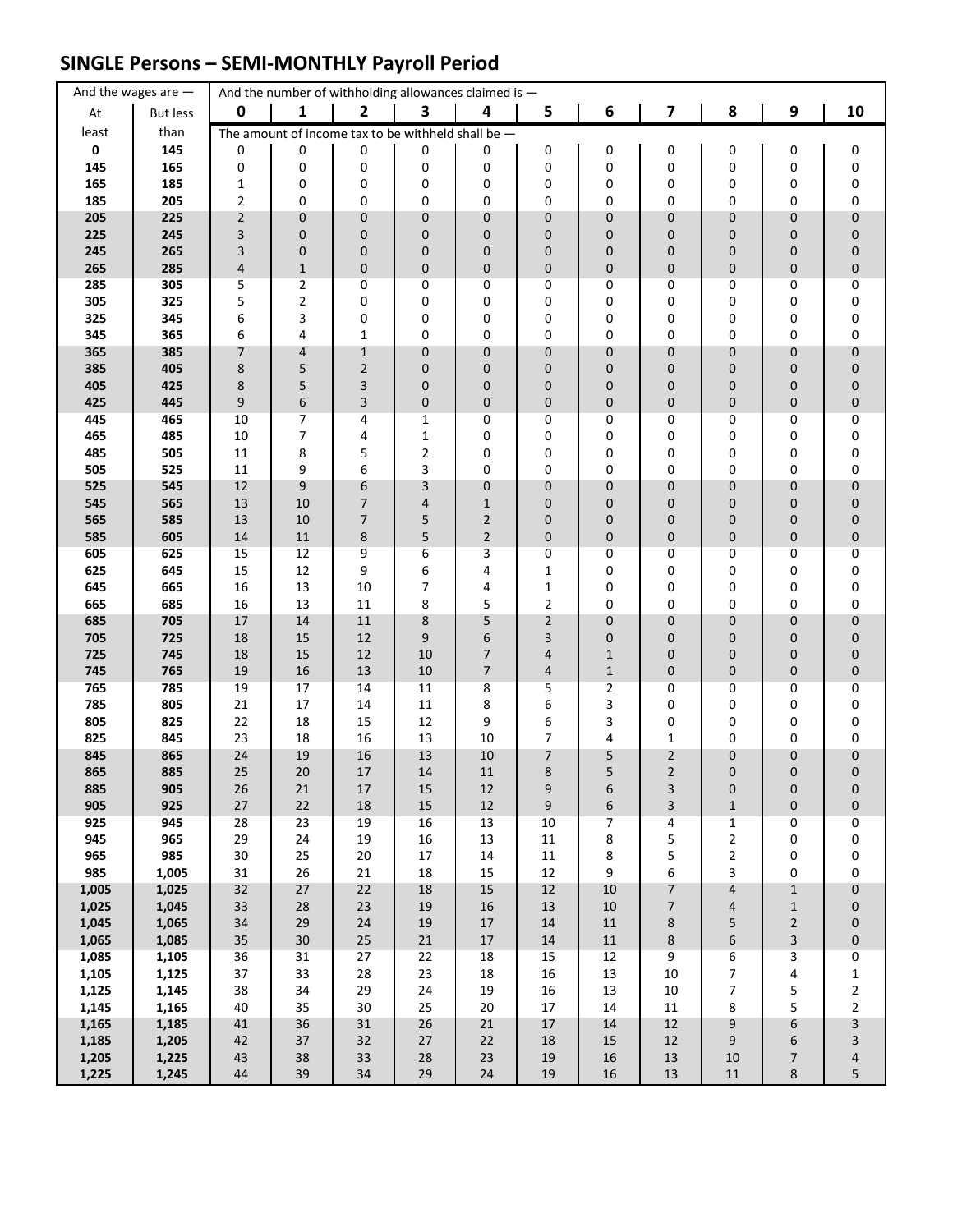## **SINGLE Persons – SEMI-MONTHLY Payroll Period**

|                | And the wages are $-$ |                                | And the number of withholding allowances claimed is - |                   |              |                |                  |                |                  |                                |                              |                         |
|----------------|-----------------------|--------------------------------|-------------------------------------------------------|-------------------|--------------|----------------|------------------|----------------|------------------|--------------------------------|------------------------------|-------------------------|
| At             | <b>But less</b>       | $\mathbf 0$                    | 1                                                     | $\mathbf{2}$      | 3            | 4              | 5                | 6              | 7                | 8                              | $\boldsymbol{9}$             | 10                      |
| least          | than                  |                                | The amount of income tax to be withheld shall be $-$  |                   |              |                |                  |                |                  |                                |                              |                         |
| $\mathbf 0$    | 145                   | 0                              | 0                                                     | 0                 | 0            | 0              | 0                | 0              | 0                | 0                              | 0                            | 0                       |
| 145            | 165                   | 0                              | 0                                                     | 0                 | 0            | 0              | 0                | 0              | 0                | 0                              | 0                            | $\pmb{0}$               |
| 165<br>185     | 185<br>205            | $\mathbf{1}$<br>$\overline{2}$ | 0<br>0                                                | 0<br>0            | 0<br>0       | 0<br>0         | 0<br>0           | 0<br>0         | 0<br>0           | 0<br>0                         | 0<br>0                       | 0<br>0                  |
| 205            | 225                   | $\overline{2}$                 | 0                                                     | $\pmb{0}$         | $\mathbf 0$  | 0              | 0                | 0              | 0                | 0                              | 0                            | $\pmb{0}$               |
| 225            | 245                   | 3                              | 0                                                     | $\mathbf 0$       | 0            | 0              | 0                | 0              | 0                | 0                              | 0                            | 0                       |
| 245            | 265                   | 3                              | 0                                                     | $\pmb{0}$         | 0            | 0              | 0                | 0              | 0                | 0                              | 0                            | 0                       |
| 265            | 285                   | $\overline{\mathbf{4}}$        | $\mathbf 1$                                           | $\pmb{0}$         | 0            | 0              | 0                | 0              | 0                | $\mathbf 0$                    | 0                            | $\pmb{0}$               |
| 285            | 305                   | 5                              | $\overline{2}$                                        | 0                 | 0            | 0              | 0                | 0              | 0                | 0                              | 0                            | 0                       |
| 305            | 325                   | 5                              | 2                                                     | 0                 | 0            | 0              | 0                | 0              | 0                | 0                              | 0                            | 0                       |
| 325<br>345     | 345<br>365            | 6<br>6                         | 3<br>4                                                | 0<br>$\mathbf{1}$ | 0<br>0       | 0<br>0         | 0<br>0           | 0<br>0         | 0<br>0           | 0<br>0                         | 0<br>0                       | 0<br>0                  |
| 365            | 385                   | 7                              | 4                                                     | $\mathbf{1}$      | 0            | 0              | 0                | 0              | 0                | 0                              | $\pmb{0}$                    | $\pmb{0}$               |
| 385            | 405                   | 8                              | 5                                                     | $\overline{2}$    | $\mathbf 0$  | 0              | 0                | 0              | 0                | 0                              | 0                            | 0                       |
| 405            | 425                   | 8                              | 5                                                     | 3                 | $\mathbf 0$  | 0              | 0                | 0              | 0                | 0                              | 0                            | 0                       |
| 425            | 445                   | 9                              | 6                                                     | 3                 | $\mathbf 0$  | 0              | 0                | 0              | 0                | 0                              | $\mathbf 0$                  | 0                       |
| 445            | 465                   | 10                             | 7                                                     | 4                 | 1            | 0              | 0                | 0              | 0                | 0                              | 0                            | 0                       |
| 465            | 485                   | 10                             | 7                                                     | 4                 | $\mathbf 1$  | 0              | 0                | 0              | 0                | 0                              | 0                            | 0                       |
| 485<br>505     | 505<br>525            | 11<br>11                       | 8<br>9                                                | 5<br>6            | 2<br>3       | 0<br>0         | 0<br>0           | 0<br>0         | 0<br>0           | 0<br>0                         | 0<br>0                       | 0<br>0                  |
| 525            | 545                   | $12\,$                         | 9                                                     | 6                 | 3            | 0              | 0                | 0              | 0                | $\mathbf 0$                    | $\mathbf 0$                  | 0                       |
| 545            | 565                   | 13                             | 10                                                    | 7                 | 4            | $\mathbf{1}$   | 0                | 0              | 0                | 0                              | 0                            | 0                       |
| 565            | 585                   | 13                             | 10                                                    | 7                 | 5            | $\overline{2}$ | 0                | 0              | 0                | 0                              | 0                            | 0                       |
| 585            | 605                   | 14                             | $11\,$                                                | $\bf 8$           | 5            | $\overline{2}$ | $\pmb{0}$        | 0              | 0                | 0                              | $\pmb{0}$                    | $\pmb{0}$               |
| 605            | 625                   | 15                             | 12                                                    | 9                 | 6            | 3              | 0                | 0              | 0                | 0                              | 0                            | 0                       |
| 625            | 645                   | 15<br>16                       | 12                                                    | 9<br>10           | 6<br>7       | 4<br>4         | 1                | 0              | 0<br>0           | 0<br>0                         | 0<br>0                       | 0                       |
| 645<br>665     | 665<br>685            | 16                             | 13<br>13                                              | 11                | 8            | 5              | $\mathbf 1$<br>2 | 0<br>0         | 0                | 0                              | 0                            | 0<br>0                  |
| 685            | 705                   | 17                             | 14                                                    | 11                | 8            | 5              | $\overline{2}$   | 0              | 0                | 0                              | $\mathbf 0$                  | 0                       |
| 705            | 725                   | 18                             | 15                                                    | 12                | 9            | 6              | 3                | 0              | 0                | 0                              | $\mathbf 0$                  | 0                       |
| 725            | 745                   | 18                             | 15                                                    | 12                | 10           | $\overline{7}$ | 4                | $\mathbf{1}$   | 0                | 0                              | $\mathbf 0$                  | 0                       |
| 745            | 765                   | 19                             | 16                                                    | 13                | 10           | 7              | 4                | $1\,$          | 0                | 0                              | 0                            | 0                       |
| 765<br>785     | 785                   | 19                             | 17                                                    | 14                | 11           | 8              | 5                | $\overline{2}$ | 0<br>0           | 0<br>0                         | 0<br>0                       | 0                       |
| 805            | 805<br>825            | 21<br>22                       | 17<br>18                                              | 14<br>15          | 11<br>12     | 8<br>9         | 6<br>6           | 3<br>3         | 0                | 0                              | 0                            | 0<br>0                  |
| 825            | 845                   | 23                             | 18                                                    | 16                | 13           | 10             | 7                | 4              | $\mathbf{1}$     | 0                              | 0                            | 0                       |
| 845            | 865                   | 24                             | 19                                                    | 16                | 13           | 10             | 7                | 5              | $\overline{2}$   | 0                              | 0                            | 0                       |
| 865            | 885                   | 25                             | 20                                                    | 17                | 14           | $11\,$         | 8                | 5              | $\overline{2}$   | 0                              | $\mathbf 0$                  | $\mathbf 0$             |
| 885            | 905                   | 26                             | 21                                                    | $17\,$            | 15           | 12             | 9                | 6              | 3                | 0                              | 0                            | 0                       |
| 905            | 925                   | $27\,$                         | 22                                                    | 18                | 15           | $12\,$         | 9                | 6              | 3                | $\mathbf 1$                    | $\mathbf 0$                  | 0                       |
| 925<br>945     | 945<br>965            | 28<br>29                       | 23<br>24                                              | 19<br>19          | 16<br>16     | 13<br>13       | 10<br>$11\,$     | 7<br>8         | 4<br>5           | $\mathbf{1}$<br>$\overline{2}$ | 0<br>0                       | 0<br>0                  |
| 965            | 985                   | $30\,$                         | 25                                                    | 20                | $17\,$       | $14\,$         | $11\,$           | 8              | 5                | $\overline{2}$                 | $\pmb{0}$                    | 0                       |
| 985            | 1,005                 | 31                             | 26                                                    | 21                | 18           | 15             | 12               | 9              | 6                | 3                              | 0                            | $\pmb{0}$               |
| 1,005          | 1,025                 | 32                             | $27\,$                                                | 22                | 18           | $15\,$         | $12\,$           | $10\,$         | $\overline{7}$   | $\overline{4}$                 | $\mathbf 1$                  | 0                       |
| 1,025          | 1,045                 | 33                             | 28                                                    | 23                | 19           | 16             | 13               | $10\,$         | 7                | 4                              | $\mathbf{1}$                 | 0                       |
| 1,045          | 1,065                 | 34                             | 29                                                    | 24                | 19           | 17             | 14               | $11\,$         | 8                | 5                              | $\overline{2}$               | 0                       |
| 1,065<br>1,085 | 1,085<br>1,105        | 35<br>36                       | 30<br>31                                              | 25<br>27          | $21\,$<br>22 | $17\,$<br>18   | 14<br>15         | $11\,$<br>12   | 8<br>9           | $\boldsymbol{6}$<br>6          | $\overline{\mathbf{3}}$<br>3 | 0<br>$\pmb{0}$          |
| 1,105          | 1,125                 | 37                             | 33                                                    | 28                | 23           | 18             | 16               | 13             | $10\,$           | $\overline{7}$                 | 4                            | $\mathbf{1}$            |
| 1,125          | 1,145                 | 38                             | 34                                                    | 29                | 24           | 19             | 16               | 13             | $10\,$           | 7                              | 5                            | $\overline{2}$          |
| 1,145          | 1,165                 | 40                             | 35                                                    | 30                | 25           | $20\,$         | 17               | $14\,$         | $11\,$           | 8                              | 5                            | $\mathbf{2}$            |
| 1,165          | 1,185                 | 41                             | 36                                                    | 31                | 26           | 21             | $17\,$           | $14\,$         | 12               | 9                              | 6                            | $\overline{\mathbf{3}}$ |
| 1,185          | 1,205                 | 42                             | 37                                                    | 32                | $27$         | 22             | 18               | 15             | 12               | 9                              | 6                            | 3                       |
| 1,205<br>1,225 | 1,225                 | 43<br>44                       | 38<br>39                                              | 33<br>34          | 28<br>29     | 23<br>24       | $19\,$<br>19     | 16<br>16       | $13\,$<br>$13\,$ | $10\,$<br>11                   | $\overline{7}$<br>8          | 4<br>5                  |
|                | 1,245                 |                                |                                                       |                   |              |                |                  |                |                  |                                |                              |                         |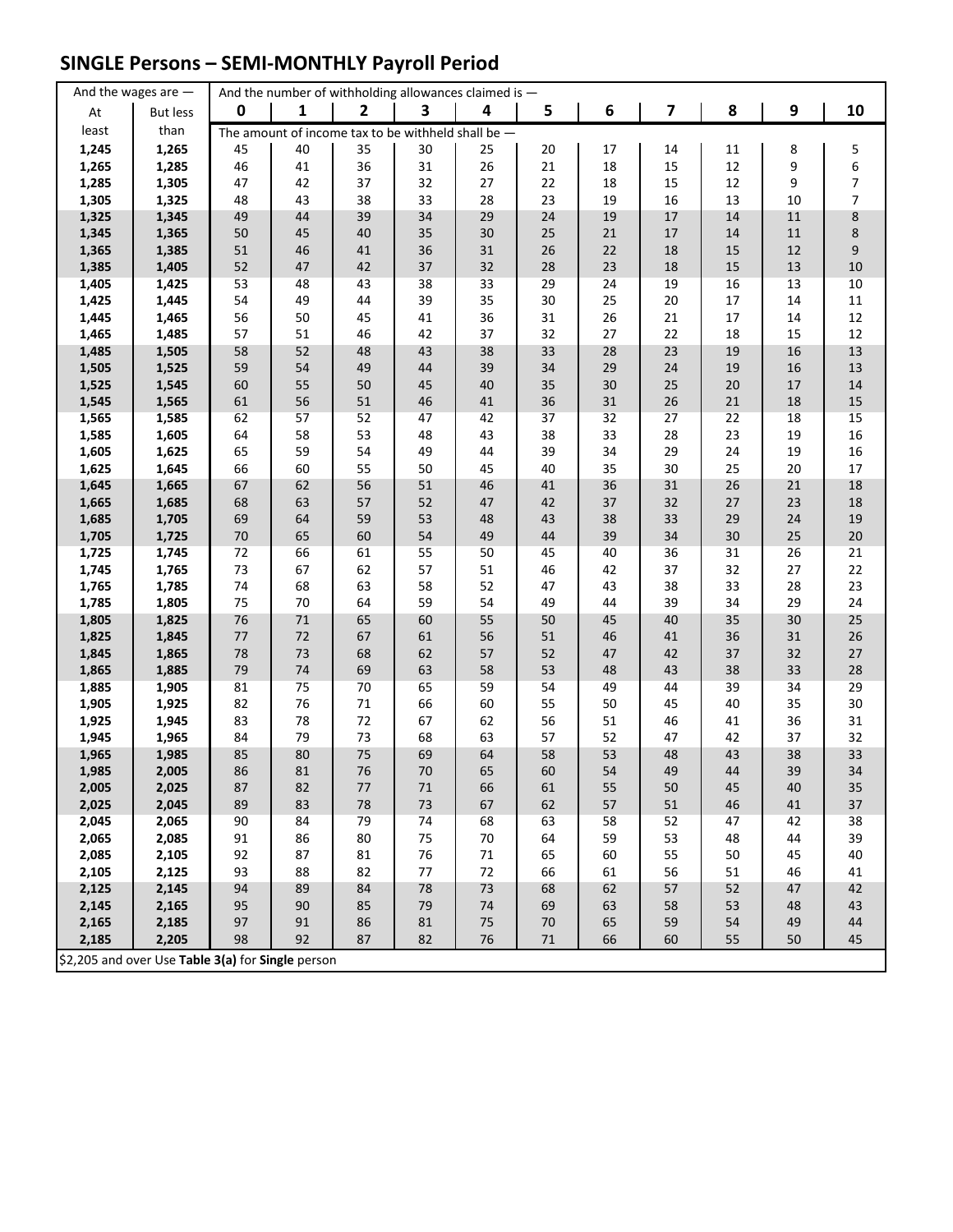## **SINGLE Persons – SEMI-MONTHLY Payroll Period**

|                | And the wages are $-$                             |          |          | And the number of withholding allowances claimed is - |          |          |          |          |          |          |          |                |
|----------------|---------------------------------------------------|----------|----------|-------------------------------------------------------|----------|----------|----------|----------|----------|----------|----------|----------------|
| At             | But less                                          | 0        | 1        | $\overline{2}$                                        | 3        | 4        | 5        | 6        | 7        | 8        | 9        | 10             |
| least          | than                                              |          |          | The amount of income tax to be withheld shall be $-$  |          |          |          |          |          |          |          |                |
| 1,245          | 1,265                                             | 45       | 40       | 35                                                    | 30       | 25       | 20       | 17       | 14       | 11       | 8        |                |
| 1,265          | 1,285                                             | 46       | 41       | 36                                                    | 31       | 26       | 21       | 18       | 15       | 12       | 9        | $\frac{5}{6}$  |
| 1,285          | 1,305                                             | 47       | 42       | 37                                                    | 32       | 27       | 22       | 18       | 15       | 12       | 9        | $\overline{7}$ |
| 1,305          | 1,325                                             | 48       | 43       | 38                                                    | 33       | 28       | 23       | 19       | 16       | 13       | 10       | $\overline{7}$ |
| 1,325          | 1,345                                             | 49       | 44       | 39                                                    | 34       | 29       | 24       | 19       | 17       | 14       | 11       | $\bf 8$        |
| 1,345          | 1,365                                             | 50       | 45       | 40                                                    | 35       | 30       | 25       | $21\,$   | 17       | 14       | $11\,$   | 8              |
| 1,365          | 1,385                                             | 51       | 46       | 41                                                    | 36       | 31       | 26       | 22       | 18       | 15       | 12       | 9              |
| 1,385          | 1,405                                             | 52       | 47       | 42                                                    | 37       | 32       | 28       | 23       | 18       | 15       | 13       | 10             |
| 1,405          | 1,425                                             | 53       | 48       | 43                                                    | 38       | 33       | 29       | 24       | 19       | 16       | 13       | 10             |
| 1,425          | 1,445                                             | 54       | 49       | 44                                                    | 39       | 35       | 30       | 25       | 20       | 17       | 14       | $11\,$         |
| 1,445          | 1,465                                             | 56       | 50       | 45                                                    | 41       | 36       | 31       | 26       | 21       | 17       | 14       | 12             |
| 1,465          | 1,485                                             | 57       | 51       | 46                                                    | 42       | 37       | 32       | 27       | 22       | 18       | 15       | 12             |
| 1,485          | 1,505                                             | 58       | 52       | 48                                                    | 43       | 38       | 33       | 28       | 23       | 19       | 16       | 13             |
| 1,505          | 1,525                                             | 59       | 54       | 49                                                    | 44       | 39       | 34       | 29       | 24       | 19       | 16       | 13             |
| 1,525          | 1,545                                             | 60       | 55       | 50                                                    | 45       | 40       | 35       | 30       | 25       | 20       | 17       | 14             |
| 1,545          | 1,565                                             | 61<br>62 | 56<br>57 | 51<br>52                                              | 46<br>47 | 41       | 36<br>37 | 31<br>32 | 26<br>27 | 21<br>22 | 18       | 15<br>15       |
| 1,565<br>1,585 | 1,585<br>1,605                                    | 64       | 58       | 53                                                    | 48       | 42<br>43 | 38       | 33       | 28       | 23       | 18<br>19 | 16             |
| 1,605          | 1,625                                             | 65       | 59       | 54                                                    | 49       | 44       | 39       | 34       | 29       | 24       | 19       | 16             |
| 1,625          | 1,645                                             | 66       | 60       | 55                                                    | 50       | 45       | 40       | 35       | 30       | 25       | 20       | 17             |
| 1,645          | 1,665                                             | 67       | 62       | 56                                                    | 51       | 46       | 41       | 36       | 31       | 26       | 21       | 18             |
| 1,665          | 1,685                                             | 68       | 63       | 57                                                    | 52       | 47       | 42       | 37       | 32       | 27       | 23       | 18             |
| 1,685          | 1,705                                             | 69       | 64       | 59                                                    | 53       | 48       | 43       | 38       | 33       | 29       | 24       | 19             |
| 1,705          | 1,725                                             | $70\,$   | 65       | 60                                                    | 54       | 49       | 44       | 39       | 34       | 30       | 25       | $20\,$         |
| 1,725          | 1,745                                             | 72       | 66       | 61                                                    | 55       | 50       | 45       | 40       | 36       | 31       | 26       | 21             |
| 1,745          | 1,765                                             | 73       | 67       | 62                                                    | 57       | 51       | 46       | 42       | 37       | 32       | 27       | 22             |
| 1,765          | 1,785                                             | 74       | 68       | 63                                                    | 58       | 52       | 47       | 43       | 38       | 33       | 28       | 23             |
| 1,785          | 1,805                                             | 75       | 70       | 64                                                    | 59       | 54       | 49       | 44       | 39       | 34       | 29       | 24             |
| 1,805          | 1,825                                             | 76       | 71       | 65                                                    | 60       | 55       | 50       | 45       | 40       | 35       | 30       | 25             |
| 1,825          | 1,845                                             | $77\,$   | 72       | 67                                                    | 61       | 56       | 51       | 46       | 41       | 36       | 31       | 26             |
| 1,845          | 1,865                                             | 78       | 73       | 68                                                    | 62       | 57       | 52       | 47       | 42       | 37       | 32       | 27             |
| 1,865          | 1,885                                             | 79       | 74       | 69                                                    | 63       | 58       | 53       | 48       | 43       | 38       | 33       | 28             |
| 1,885          | 1,905                                             | 81       | 75       | 70                                                    | 65       | 59       | 54       | 49       | 44       | 39       | 34       | 29             |
| 1,905          | 1,925                                             | 82       | 76       | $71\,$                                                | 66       | 60       | 55       | 50       | 45       | 40       | 35       | 30             |
| 1,925          | 1,945                                             | 83       | 78       | 72                                                    | 67       | 62       | 56       | 51       | 46       | 41       | 36       | 31             |
| 1,945          | 1,965                                             | 84       | 79       | 73                                                    | 68       | 63       | 57       | 52       | 47       | 42       | 37       | 32             |
| 1,965          | 1,985                                             | 85       | 80       | 75                                                    | 69       | 64       | 58       | 53       | 48       | 43<br>44 | 38       | 33             |
| 1,985<br>2,005 | 2,005<br>2,025                                    | 86<br>87 | 81<br>82 | 76<br>$77$                                            | 70<br>71 | 65<br>66 | 60<br>61 | 54<br>55 | 49<br>50 | 45       | 39<br>40 | 34<br>35       |
| 2,025          | 2,045                                             | 89       | 83       | 78                                                    | 73       | 67       | 62       | 57       | 51       | 46       | 41       | 37             |
| 2,045          | 2,065                                             | 90       | 84       | 79                                                    | 74       | 68       | 63       | 58       | 52       | 47       | 42       | 38             |
| 2,065          | 2,085                                             | 91       | 86       | 80                                                    | 75       | 70       | 64       | 59       | 53       | 48       | 44       | 39             |
| 2,085          | 2,105                                             | 92       | 87       | 81                                                    | 76       | 71       | 65       | 60       | 55       | 50       | 45       | 40             |
| 2,105          | 2,125                                             | 93       | 88       | 82                                                    | 77       | 72       | 66       | 61       | 56       | 51       | 46       | 41             |
| 2,125          | 2,145                                             | 94       | 89       | 84                                                    | 78       | 73       | 68       | 62       | 57       | 52       | 47       | 42             |
| 2,145          | 2,165                                             | 95       | 90       | 85                                                    | 79       | 74       | 69       | 63       | 58       | 53       | 48       | 43             |
| 2,165          | 2,185                                             | 97       | 91       | 86                                                    | 81       | 75       | $70\,$   | 65       | 59       | 54       | 49       | 44             |
| 2,185          | 2,205                                             | 98       | 92       | 87                                                    | 82       | 76       | $71\,$   | 66       | 60       | 55       | 50       | 45             |
|                | \$2,205 and over Use Table 3(a) for Single person |          |          |                                                       |          |          |          |          |          |          |          |                |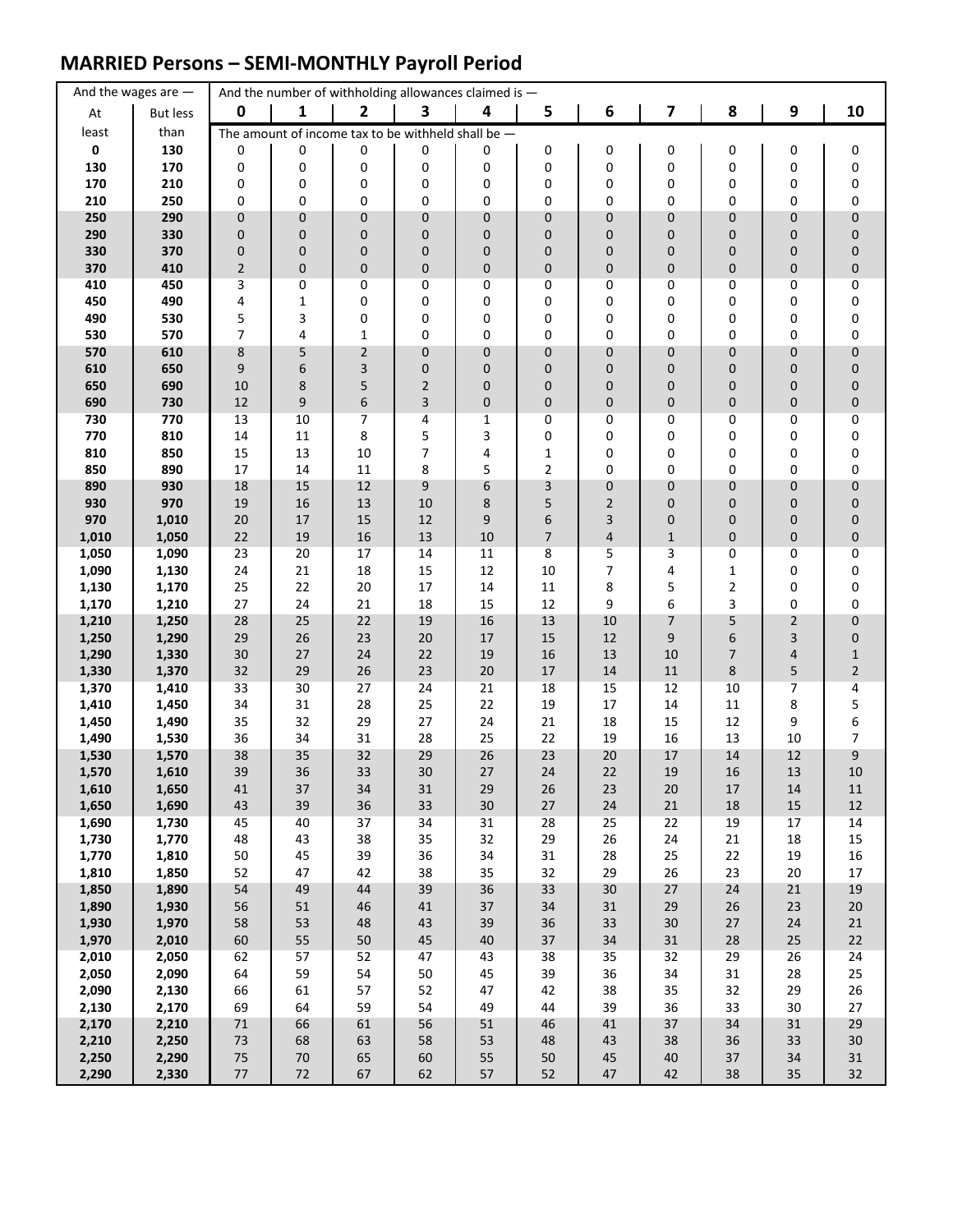### **MARRIED Persons – SEMI-MONTHLY Payroll Period**

|                | And the wages are $-$ |                     |              | And the number of withholding allowances claimed is - |                |              |                  |                         |                  |                     |                  |                  |
|----------------|-----------------------|---------------------|--------------|-------------------------------------------------------|----------------|--------------|------------------|-------------------------|------------------|---------------------|------------------|------------------|
| At             | <b>But less</b>       | 0                   | 1            | $\overline{\mathbf{2}}$                               | 3              | 4            | 5                | 6                       | 7                | 8                   | $\boldsymbol{9}$ | 10               |
| least          | than                  |                     |              | The amount of income tax to be withheld shall be $-$  |                |              |                  |                         |                  |                     |                  |                  |
| $\mathbf 0$    | 130                   | 0                   | 0            | 0                                                     | 0              | 0            | 0                | 0                       | 0                | 0                   | 0                | 0                |
| 130            | 170                   | 0                   | 0            | 0                                                     | 0              | 0            | 0                | 0                       | 0                | 0                   | 0                | 0                |
| 170<br>210     | 210<br>250            | 0<br>0              | 0<br>0       | 0<br>0                                                | 0<br>0         | 0<br>0       | 0<br>0           | 0<br>0                  | 0<br>0           | 0<br>0              | 0<br>0           | 0<br>0           |
| 250            | 290                   | $\mathbf 0$         | $\pmb{0}$    | 0                                                     | $\mathbf 0$    | 0            | 0                | 0                       | 0                | 0                   | 0                | 0                |
| 290            | 330                   | 0                   | $\pmb{0}$    | $\mathbf 0$                                           | 0              | 0            | 0                | 0                       | 0                | 0                   | 0                | 0                |
| 330            | 370                   | 0                   | $\pmb{0}$    | 0                                                     | 0              | 0            | 0                | 0                       | 0                | 0                   | 0                | 0                |
| 370            | 410                   | $\mathbf 2$         | $\pmb{0}$    | $\pmb{0}$                                             | 0              | 0            | 0                | 0                       | 0                | 0                   | 0                | $\mathbf 0$      |
| 410            | 450                   | 3                   | 0            | 0                                                     | 0              | 0            | 0                | 0                       | 0                | 0                   | 0                | 0                |
| 450            | 490                   | 4                   | $\mathbf 1$  | 0                                                     | 0              | 0            | 0                | 0                       | 0                | 0                   | 0                | 0                |
| 490<br>530     | 530<br>570            | 5<br>$\overline{7}$ | 3<br>4       | 0<br>$\mathbf{1}$                                     | 0<br>0         | 0<br>0       | 0<br>0           | 0<br>0                  | 0<br>0           | 0<br>0              | 0<br>0           | 0<br>$\pmb{0}$   |
| 570            | 610                   | 8                   | 5            | $\mathbf 2$                                           | 0              | 0            | 0                | 0                       | 0                | 0                   | $\pmb{0}$        | $\pmb{0}$        |
| 610            | 650                   | 9                   | 6            | 3                                                     | 0              | 0            | 0                | 0                       | 0                | 0                   | 0                | 0                |
| 650            | 690                   | 10                  | 8            | 5                                                     | $\overline{2}$ | 0            | 0                | 0                       | 0                | 0                   | 0                | 0                |
| 690            | 730                   | 12                  | 9            | 6                                                     | 3              | 0            | 0                | 0                       | 0                | 0                   | $\mathbf 0$      | 0                |
| 730            | 770                   | 13                  | 10           | 7                                                     | 4              | 1            | 0                | 0                       | 0                | 0                   | 0                | 0                |
| 770<br>810     | 810<br>850            | 14<br>15            | 11<br>13     | 8<br>10                                               | 5<br>7         | 3            | 0                | 0                       | 0                | 0                   | 0                | 0                |
| 850            | 890                   | 17                  | 14           | 11                                                    | 8              | 4<br>5       | $\mathbf 1$<br>2 | 0<br>0                  | 0<br>0           | 0<br>0              | 0<br>0           | 0<br>0           |
| 890            | 930                   | 18                  | 15           | 12                                                    | 9              | 6            | 3                | 0                       | 0                | $\mathbf{0}$        | $\mathbf 0$      | 0                |
| 930            | 970                   | 19                  | 16           | 13                                                    | 10             | 8            | 5                | 2                       | 0                | 0                   | $\pmb{0}$        | 0                |
| 970            | 1,010                 | 20                  | 17           | 15                                                    | 12             | 9            | 6                | 3                       | 0                | 0                   | 0                | 0                |
| 1,010          | 1,050                 | 22                  | 19           | 16                                                    | 13             | 10           | 7                | $\overline{\mathbf{4}}$ | $1\,$            | 0                   | $\mathbf 0$      | $\pmb{0}$        |
| 1,050          | 1,090                 | 23                  | 20           | 17                                                    | 14             | 11           | 8                | 5                       | 3                | 0                   | 0                | 0                |
| 1,090<br>1,130 | 1,130<br>1,170        | 24<br>25            | 21<br>22     | 18<br>20                                              | 15<br>17       | 12<br>14     | 10<br>11         | 7<br>8                  | 4<br>5           | 1<br>$\overline{2}$ | 0<br>0           | 0<br>0           |
| 1,170          | 1,210                 | 27                  | 24           | 21                                                    | 18             | 15           | 12               | 9                       | 6                | 3                   | 0                | 0                |
| 1,210          | 1,250                 | 28                  | 25           | 22                                                    | 19             | 16           | 13               | 10                      | $\overline{7}$   | 5                   | $\overline{2}$   | 0                |
| 1,250          | 1,290                 | 29                  | 26           | 23                                                    | 20             | 17           | 15               | 12                      | 9                | 6                   | 3                | 0                |
| 1,290          | 1,330                 | 30                  | $27$         | 24                                                    | 22             | 19           | 16               | 13                      | 10               | 7                   | 4                | $\mathbf 1$      |
| 1,330          | 1,370                 | 32                  | 29           | 26                                                    | 23             | 20           | 17               | 14                      | 11               | 8                   | 5                | $\overline{2}$   |
| 1,370<br>1,410 | 1,410<br>1,450        | 33<br>34            | 30<br>31     | 27<br>28                                              | 24<br>25       | 21<br>22     | 18<br>19         | 15<br>17                | 12<br>14         | 10<br>11            | 7<br>8           | 4<br>5           |
| 1,450          | 1,490                 | 35                  | 32           | 29                                                    | 27             | 24           | 21               | 18                      | 15               | 12                  | 9                | 6                |
| 1,490          | 1,530                 | 36                  | 34           | 31                                                    | 28             | 25           | 22               | 19                      | 16               | 13                  | 10               | 7                |
| 1,530          | 1,570                 | 38                  | 35           | 32                                                    | 29             | 26           | 23               | 20                      | 17               | 14                  | 12               | 9                |
| 1,570          | 1,610                 | 39                  | 36           | 33                                                    | 30             | 27           | 24               | 22                      | 19               | 16                  | 13               | 10               |
| 1,610          | 1,650                 | 41                  | 37           | 34                                                    | 31             | 29           | 26               | 23                      | 20               | 17                  | 14               | 11               |
| 1,650<br>1,690 | 1,690<br>1,730        | 43<br>45            | 39<br>40     | 36<br>37                                              | 33<br>34       | 30<br>31     | 27<br>28         | 24<br>25                | $21\,$<br>22     | $18\,$<br>19        | 15<br>17         | $12\,$<br>14     |
| 1,730          | 1,770                 | 48                  | 43           | 38                                                    | 35             | 32           | 29               | 26                      | 24               | 21                  | 18               | 15               |
| 1,770          | 1,810                 | 50                  | 45           | 39                                                    | 36             | 34           | 31               | 28                      | 25               | 22                  | 19               | $16\,$           |
| 1,810          | 1,850                 | 52                  | 47           | 42                                                    | 38             | 35           | 32               | 29                      | 26               | 23                  | 20               | $17\,$           |
| 1,850          | 1,890                 | 54                  | 49           | 44                                                    | 39             | 36           | 33               | 30                      | $27\,$           | 24                  | $21\,$           | $19\,$           |
| 1,890          | 1,930                 | 56                  | 51           | 46                                                    | 41             | 37           | 34               | 31                      | 29               | 26                  | 23               | $20\,$           |
| 1,930<br>1,970 | 1,970<br>2,010        | 58<br>60            | 53<br>55     | 48<br>50                                              | 43<br>45       | 39<br>$40\,$ | 36<br>37         | 33<br>34                | $30\,$<br>$31\,$ | $27\,$<br>28        | 24<br>25         | $21\,$<br>$22\,$ |
| 2,010          | 2,050                 | 62                  | 57           | 52                                                    | 47             | 43           | 38               | 35                      | 32               | 29                  | 26               | 24               |
| 2,050          | 2,090                 | 64                  | 59           | 54                                                    | 50             | 45           | 39               | 36                      | 34               | 31                  | 28               | 25               |
| 2,090          | 2,130                 | 66                  | 61           | 57                                                    | 52             | 47           | 42               | 38                      | 35               | 32                  | 29               | 26               |
| 2,130          | 2,170                 | 69                  | 64           | 59                                                    | 54             | 49           | 44               | 39                      | 36               | 33                  | 30               | $27\,$           |
| 2,170          | 2,210                 | $71\,$              | 66           | 61                                                    | 56             | 51           | 46               | 41                      | 37               | 34                  | 31               | 29               |
| 2,210<br>2,250 | 2,250<br>2,290        | 73<br>$75\,$        | 68<br>$70\,$ | 63<br>65                                              | 58<br>60       | 53<br>55     | 48<br>50         | 43<br>45                | 38<br>$40\,$     | 36<br>37            | 33<br>34         | 30<br>31         |
| 2,290          | 2,330                 | $77 \,$             | $72\,$       | 67                                                    | 62             | 57           | 52               | 47                      | 42               | 38                  | 35               | 32               |
|                |                       |                     |              |                                                       |                |              |                  |                         |                  |                     |                  |                  |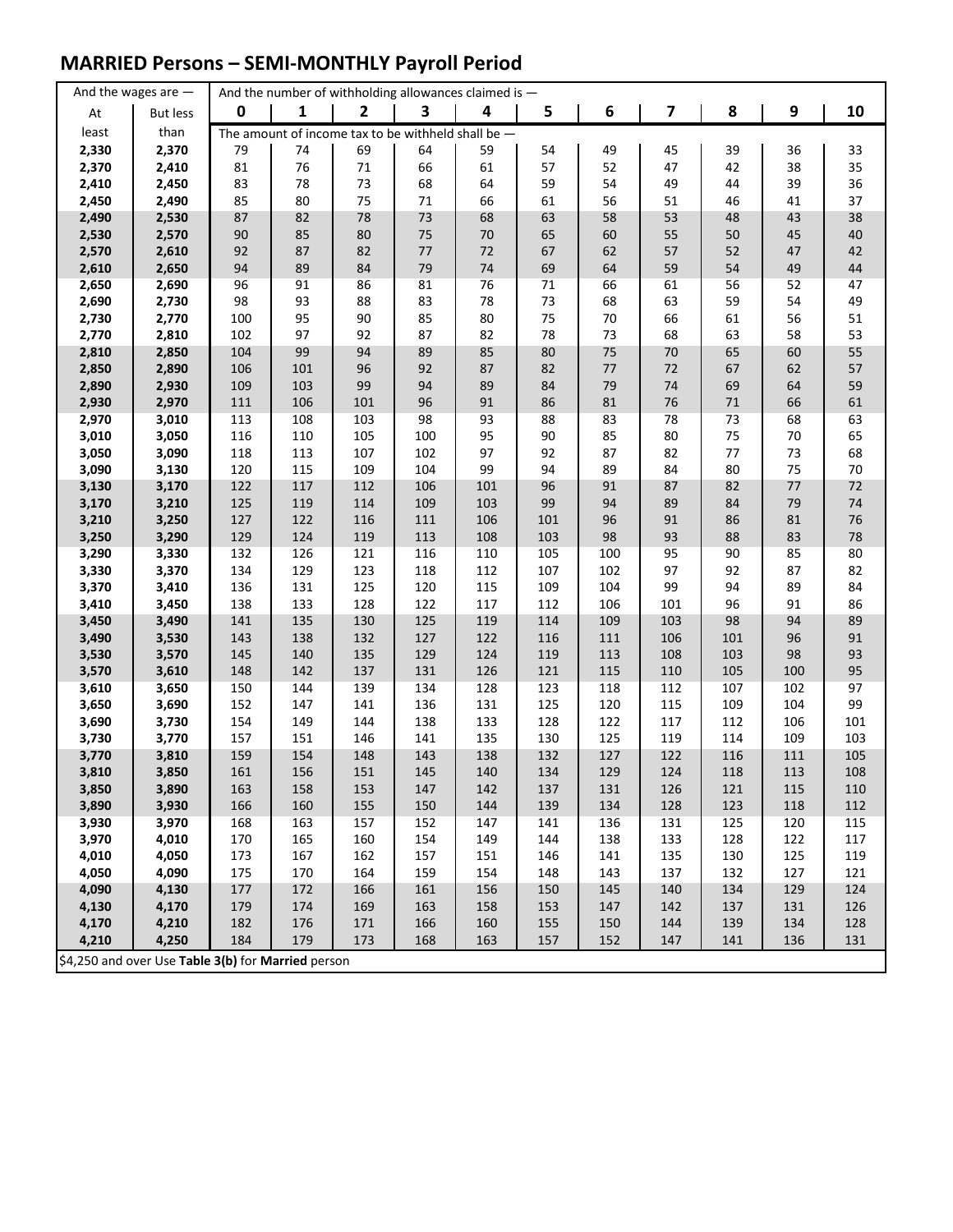## **MARRIED Persons – SEMI-MONTHLY Payroll Period**

|                | And the wages are $-$                              |             |            |                | And the number of withholding allowances claimed is $-$ |            |            |            |            |            |            |          |
|----------------|----------------------------------------------------|-------------|------------|----------------|---------------------------------------------------------|------------|------------|------------|------------|------------|------------|----------|
| At             | <b>But less</b>                                    | $\mathbf 0$ | 1          | $\overline{2}$ | 3                                                       | 4          | 5          | 6          | 7          | 8          | 9          | 10       |
| least          | than                                               |             |            |                | The amount of income tax to be withheld shall be $-$    |            |            |            |            |            |            |          |
| 2,330          | 2,370                                              | 79          | 74         | 69             | 64                                                      | 59         | 54         | 49         | 45         | 39         | 36         | 33       |
| 2,370          | 2,410                                              | 81          | 76         | 71             | 66                                                      | 61         | 57         | 52         | 47         | 42         | 38         | 35       |
| 2,410          | 2,450                                              | 83          | 78         | 73             | 68                                                      | 64         | 59         | 54         | 49         | 44         | 39         | 36       |
| 2,450          | 2,490                                              | 85          | 80         | 75             | 71                                                      | 66         | 61         | 56         | 51         | 46         | 41         | 37       |
| 2,490          | 2,530                                              | 87          | 82         | 78             | 73                                                      | 68         | 63         | 58         | 53         | 48         | 43         | 38       |
| 2,530          | 2,570                                              | $90\,$      | 85         | 80             | 75                                                      | 70         | 65         | 60         | 55         | 50         | 45         | 40       |
| 2,570          | 2,610                                              | 92          | 87         | 82             | $77 \,$                                                 | 72         | 67         | 62         | 57         | 52         | 47         | 42       |
| 2,610          | 2,650                                              | 94          | 89         | 84             | 79                                                      | $74\,$     | 69         | 64         | 59         | 54         | 49         | 44       |
| 2,650          | 2,690                                              | 96          | 91         | 86             | 81                                                      | 76         | 71         | 66         | 61         | 56         | 52         | 47       |
| 2,690          | 2,730                                              | 98          | 93         | 88             | 83                                                      | 78         | 73         | 68         | 63         | 59         | 54         | 49       |
| 2,730          | 2,770<br>2,810                                     | 100<br>102  | 95<br>97   | 90<br>92       | 85<br>87                                                | 80<br>82   | 75<br>78   | 70<br>73   | 66<br>68   | 61<br>63   | 56         | 51<br>53 |
| 2,770<br>2,810 | 2,850                                              | 104         | 99         | 94             | 89                                                      | 85         | 80         | 75         | $70\,$     | 65         | 58<br>60   | 55       |
| 2,850          | 2,890                                              | 106         | 101        | 96             | 92                                                      | 87         | 82         | $77$       | 72         | 67         | 62         | 57       |
| 2,890          | 2,930                                              | 109         | 103        | 99             | 94                                                      | 89         | 84         | 79         | 74         | 69         | 64         | 59       |
| 2,930          | 2,970                                              | 111         | 106        | 101            | 96                                                      | 91         | 86         | 81         | 76         | 71         | 66         | 61       |
| 2,970          | 3,010                                              | 113         | 108        | 103            | 98                                                      | 93         | 88         | 83         | 78         | 73         | 68         | 63       |
| 3,010          | 3,050                                              | 116         | 110        | 105            | 100                                                     | 95         | 90         | 85         | 80         | 75         | 70         | 65       |
| 3,050          | 3,090                                              | 118         | 113        | 107            | 102                                                     | 97         | 92         | 87         | 82         | 77         | 73         | 68       |
| 3,090          | 3,130                                              | 120         | 115        | 109            | 104                                                     | 99         | 94         | 89         | 84         | 80         | 75         | 70       |
| 3,130          | 3,170                                              | 122         | 117        | 112            | 106                                                     | 101        | 96         | 91         | 87         | 82         | 77         | 72       |
| 3,170          | 3,210                                              | 125         | 119        | 114            | 109                                                     | 103        | 99         | 94         | 89         | 84         | 79         | 74       |
| 3,210          | 3,250                                              | 127         | 122        | 116            | 111                                                     | 106        | 101        | 96         | 91         | 86         | 81         | 76       |
| 3,250          | 3,290                                              | 129         | 124        | 119            | 113                                                     | 108        | 103        | 98         | 93         | 88         | 83         | 78       |
| 3,290          | 3,330                                              | 132         | 126        | 121            | 116                                                     | 110        | 105        | 100        | 95         | 90         | 85         | 80       |
| 3,330          | 3,370                                              | 134         | 129        | 123            | 118                                                     | 112        | 107        | 102        | 97         | 92         | 87         | 82       |
| 3,370          | 3,410                                              | 136         | 131        | 125            | 120                                                     | 115        | 109        | 104        | 99         | 94         | 89         | 84       |
| 3,410          | 3,450                                              | 138         | 133        | 128            | 122                                                     | 117        | 112        | 106        | 101        | 96         | 91         | 86       |
| 3,450          | 3,490                                              | 141         | 135        | 130            | 125                                                     | 119        | 114        | 109        | 103        | 98         | 94         | 89       |
| 3,490          | 3,530                                              | 143         | 138        | 132            | 127                                                     | 122        | 116        | 111        | 106        | 101        | 96         | 91       |
| 3,530          | 3,570                                              | 145         | 140        | 135            | 129                                                     | 124        | 119        | 113        | 108        | 103        | 98         | 93       |
| 3,570          | 3,610                                              | 148         | 142        | 137            | 131                                                     | 126        | 121        | 115        | 110        | 105        | 100        | 95       |
| 3,610          | 3,650                                              | 150         | 144<br>147 | 139            | 134                                                     | 128        | 123        | 118<br>120 | 112        | 107<br>109 | 102        | 97<br>99 |
| 3,650<br>3,690 | 3,690<br>3,730                                     | 152<br>154  | 149        | 141<br>144     | 136<br>138                                              | 131<br>133 | 125<br>128 | 122        | 115<br>117 | 112        | 104<br>106 | 101      |
| 3,730          | 3,770                                              | 157         | 151        | 146            | 141                                                     | 135        | 130        | 125        | 119        | 114        | 109        | 103      |
| 3,770          | 3,810                                              | 159         | 154        | 148            | 143                                                     | 138        | 132        | 127        | 122        | 116        | 111        | 105      |
| 3,810          | 3,850                                              | 161         | 156        | 151            | 145                                                     | 140        | 134        | 129        | 124        | 118        | 113        | 108      |
| 3,850          | 3,890                                              | 163         | 158        | 153            | 147                                                     | 142        | 137        | 131        | 126        | 121        | 115        | 110      |
| 3,890          | 3,930                                              | 166         | 160        | 155            | 150                                                     | 144        | 139        | 134        | 128        | 123        | 118        | 112      |
| 3,930          | 3,970                                              | 168         | 163        | 157            | 152                                                     | 147        | 141        | 136        | 131        | 125        | 120        | 115      |
| 3,970          | 4,010                                              | 170         | 165        | 160            | 154                                                     | 149        | 144        | 138        | 133        | 128        | 122        | 117      |
| 4,010          | 4,050                                              | 173         | 167        | 162            | 157                                                     | 151        | 146        | 141        | 135        | 130        | 125        | 119      |
| 4,050          | 4,090                                              | 175         | 170        | 164            | 159                                                     | 154        | 148        | 143        | 137        | 132        | 127        | 121      |
| 4,090          | 4,130                                              | 177         | 172        | 166            | 161                                                     | 156        | 150        | 145        | 140        | 134        | 129        | 124      |
| 4,130          | 4,170                                              | 179         | 174        | 169            | 163                                                     | 158        | 153        | 147        | 142        | 137        | 131        | 126      |
| 4,170          | 4,210                                              | 182         | 176        | 171            | 166                                                     | 160        | 155        | 150        | 144        | 139        | 134        | 128      |
| 4,210          | 4,250                                              | 184         | 179        | 173            | 168                                                     | 163        | 157        | 152        | 147        | 141        | 136        | 131      |
|                | \$4,250 and over Use Table 3(b) for Married person |             |            |                |                                                         |            |            |            |            |            |            |          |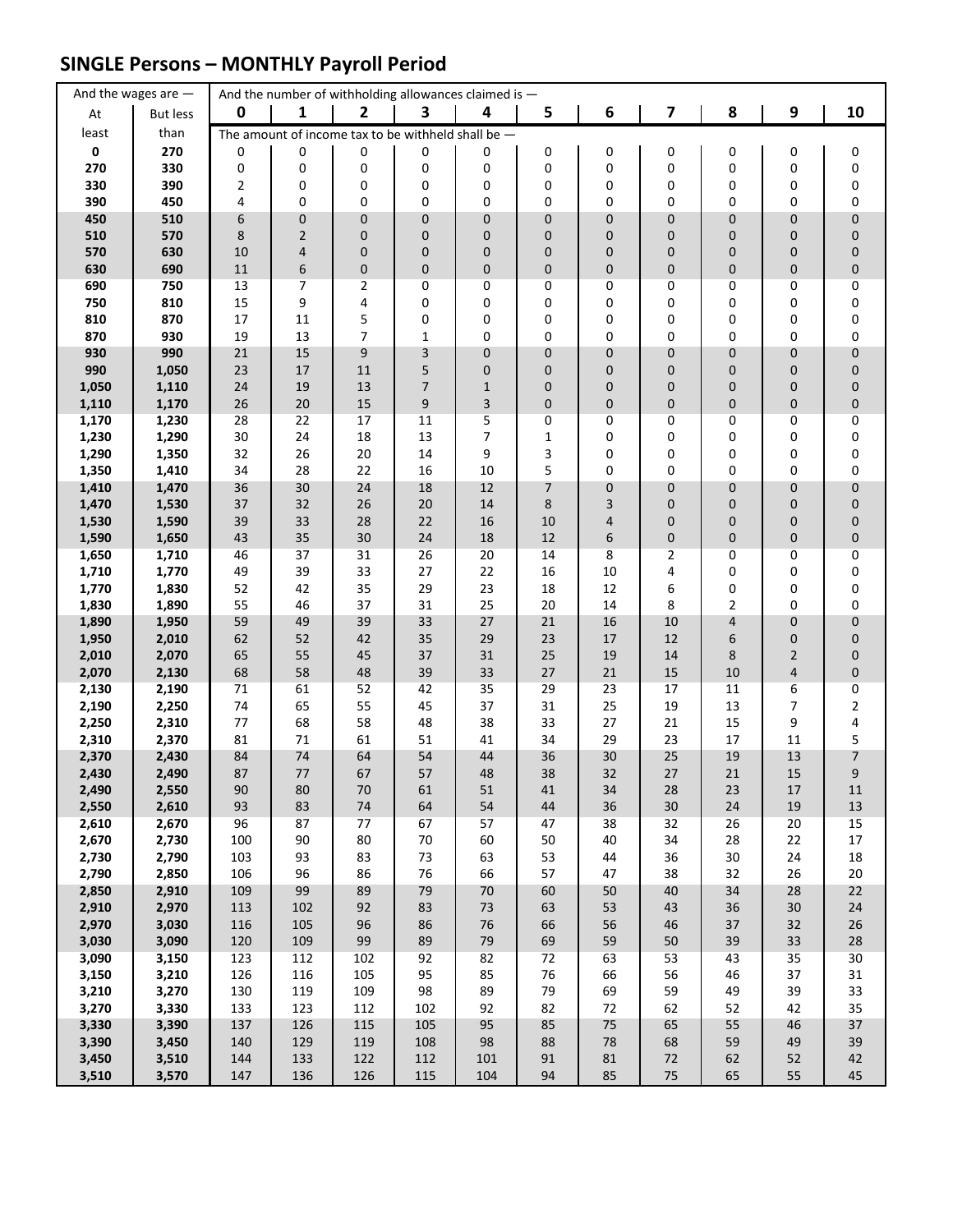### **SINGLE Persons – MONTHLY Payroll Period**

|                | And the wages are $-$ |             |                  | And the number of withholding allowances claimed is - |                  |                  |             |              |          |          |                  |                        |
|----------------|-----------------------|-------------|------------------|-------------------------------------------------------|------------------|------------------|-------------|--------------|----------|----------|------------------|------------------------|
| At             | But less              | $\mathbf 0$ | 1                | $\overline{\mathbf{2}}$                               | 3                | 4                | 5           | 6            | 7        | 8        | $\boldsymbol{9}$ | 10                     |
| least          | than                  |             |                  | The amount of income tax to be withheld shall be -    |                  |                  |             |              |          |          |                  |                        |
| $\mathbf 0$    | 270                   | 0           | 0                | 0                                                     | 0                | 0                | 0           | 0            | 0        | 0        | 0                | 0                      |
| 270            | 330                   | 0           | 0                | 0                                                     | 0                | 0                | 0           | 0            | 0        | 0        | 0                | 0                      |
| 330            | 390                   | 2           | 0                | 0                                                     | 0                | 0                | 0           | 0            | 0        | 0        | 0                | $\pmb{0}$              |
| 390<br>450     | 450<br>510            | 4<br>6      | 0<br>$\pmb{0}$   | 0<br>$\mathbf 0$                                      | 0<br>$\mathbf 0$ | 0<br>$\mathbf 0$ | 0<br>0      | 0<br>0       | 0<br>0   | 0<br>0   | 0<br>0           | $\pmb{0}$<br>$\pmb{0}$ |
| 510            | 570                   | 8           | $\mathbf 2$      | $\mathbf 0$                                           | 0                | $\mathbf 0$      | 0           | 0            | 0        | 0        | 0                | $\pmb{0}$              |
| 570            | 630                   | 10          | 4                | $\mathbf 0$                                           | $\mathbf 0$      | $\mathbf 0$      | 0           | 0            | 0        | 0        | 0                | $\pmb{0}$              |
| 630            | 690                   | $11\,$      | $\boldsymbol{6}$ | $\pmb{0}$                                             | $\mathbf 0$      | $\pmb{0}$        | 0           | 0            | 0        | 0        | 0                | $\pmb{0}$              |
| 690            | 750                   | 13          | 7                | 2                                                     | 0                | 0                | 0           | 0            | 0        | 0        | 0                | 0                      |
| 750            | 810                   | 15          | 9                | 4                                                     | 0                | 0                | 0           | 0            | 0        | 0        | 0                | $\pmb{0}$              |
| 810            | 870                   | 17          | 11               | 5                                                     | 0                | 0                | 0           | 0            | 0        | 0        | 0                | 0                      |
| 870            | 930<br>990            | 19<br>21    | 13<br>15         | $\overline{7}$                                        | $\mathbf{1}$     | 0                | 0           | 0            | 0        | 0<br>0   | 0                | 0                      |
| 930<br>990     | 1,050                 | 23          | $17\,$           | $\boldsymbol{9}$<br>11                                | 3<br>5           | $\pmb{0}$<br>0   | 0<br>0      | 0<br>0       | 0<br>0   | 0        | 0<br>0           | $\pmb{0}$<br>$\pmb{0}$ |
| 1,050          | 1,110                 | 24          | 19               | 13                                                    | $\overline{7}$   | $\mathbf{1}$     | 0           | 0            | 0        | 0        | 0                | $\pmb{0}$              |
| 1,110          | 1,170                 | 26          | 20               | 15                                                    | 9                | 3                | 0           | 0            | 0        | 0        | 0                | $\pmb{0}$              |
| 1,170          | 1,230                 | 28          | 22               | 17                                                    | 11               | 5                | 0           | 0            | 0        | 0        | 0                | 0                      |
| 1,230          | 1,290                 | 30          | 24               | 18                                                    | 13               | 7                | $\mathbf 1$ | 0            | 0        | 0        | 0                | $\pmb{0}$              |
| 1,290          | 1,350                 | 32          | 26               | 20                                                    | 14               | 9                | 3           | 0            | 0        | 0        | 0                | $\pmb{0}$              |
| 1,350          | 1,410                 | 34<br>36    | 28               | 22<br>24                                              | 16               | 10               | 5           | 0            | 0        | 0        | 0                | 0                      |
| 1,410<br>1,470 | 1,470<br>1,530        | 37          | 30<br>32         | 26                                                    | 18<br>20         | 12<br>14         | 7<br>8      | 0<br>3       | 0<br>0   | 0<br>0   | 0<br>0           | $\pmb{0}$<br>$\pmb{0}$ |
| 1,530          | 1,590                 | 39          | 33               | 28                                                    | 22               | 16               | 10          | 4            | 0        | 0        | 0                | $\pmb{0}$              |
| 1,590          | 1,650                 | 43          | 35               | 30                                                    | 24               | 18               | 12          | 6            | 0        | 0        | 0                | $\pmb{0}$              |
| 1,650          | 1,710                 | 46          | 37               | 31                                                    | 26               | 20               | 14          | 8            | 2        | 0        | 0                | 0                      |
| 1,710          | 1,770                 | 49          | 39               | 33                                                    | 27               | 22               | 16          | 10           | 4        | 0        | 0                | 0                      |
| 1,770          | 1,830                 | 52          | 42               | 35                                                    | 29               | 23               | 18          | 12           | 6        | 0        | 0                | 0                      |
| 1,830          | 1,890                 | 55          | 46               | 37                                                    | 31               | 25               | 20          | 14           | 8        | 2        | 0                | 0                      |
| 1,890<br>1,950 | 1,950<br>2,010        | 59<br>62    | 49<br>52         | 39<br>42                                              | 33<br>35         | 27<br>29         | 21<br>23    | 16<br>17     | 10<br>12 | 4<br>6   | 0<br>0           | $\pmb{0}$<br>$\pmb{0}$ |
| 2,010          | 2,070                 | 65          | 55               | 45                                                    | 37               | 31               | 25          | 19           | 14       | 8        | $\overline{2}$   | $\pmb{0}$              |
| 2,070          | 2,130                 | 68          | 58               | 48                                                    | 39               | 33               | 27          | 21           | 15       | 10       | 4                | $\pmb{0}$              |
| 2,130          | 2,190                 | 71          | 61               | 52                                                    | 42               | 35               | 29          | 23           | 17       | 11       | 6                | $\pmb{0}$              |
| 2,190          | 2,250                 | 74          | 65               | 55                                                    | 45               | 37               | 31          | 25           | 19       | 13       | 7                | $\mathbf 2$            |
| 2,250          | 2,310                 | 77          | 68               | 58                                                    | 48               | 38               | 33          | 27           | 21       | 15       | 9                | 4                      |
| 2,310<br>2,370 | 2,370<br>2,430        | 81<br>84    | 71<br>74         | 61<br>64                                              | 51<br>54         | 41<br>44         | 34<br>36    | 29<br>30     | 23<br>25 | 17<br>19 | 11<br>13         | 5<br>7                 |
| 2,430          | 2,490                 | 87          | 77               | 67                                                    | 57               | 48               | 38          | 32           | 27       | 21       | 15               | 9                      |
| 2,490          | 2,550                 | 90          | 80               | $70\,$                                                | 61               | 51               | 41          | 34           | 28       | 23       | 17               | 11                     |
| 2,550          | 2,610                 | 93          | 83               | $74\,$                                                | 64               | 54               | 44          | 36           | 30       | 24       | 19               | $13\,$                 |
| 2,610          | 2,670                 | 96          | 87               | 77                                                    | 67               | 57               | 47          | 38           | 32       | 26       | 20               | 15                     |
| 2,670          | 2,730                 | 100         | 90               | 80                                                    | $70\,$           | 60               | 50          | 40           | 34       | 28       | 22               | $17\,$                 |
| 2,730<br>2,790 | 2,790<br>2,850        | 103<br>106  | 93<br>96         | 83<br>86                                              | 73<br>76         | 63<br>66         | 53<br>57    | 44<br>47     | 36<br>38 | 30<br>32 | 24<br>26         | 18<br>20               |
| 2,850          | 2,910                 | 109         | 99               | 89                                                    | 79               | $70\,$           | 60          | 50           | 40       | 34       | 28               | 22                     |
| 2,910          | 2,970                 | 113         | 102              | 92                                                    | 83               | $73\,$           | 63          | 53           | 43       | 36       | 30               | 24                     |
| 2,970          | 3,030                 | 116         | 105              | 96                                                    | 86               | $76\,$           | 66          | 56           | 46       | 37       | 32               | 26                     |
| 3,030          | 3,090                 | 120         | 109              | 99                                                    | 89               | 79               | 69          | 59           | 50       | 39       | 33               | 28                     |
| 3,090          | 3,150                 | 123         | 112              | 102                                                   | 92               | 82               | 72          | 63           | 53       | 43       | 35               | 30                     |
| 3,150          | 3,210                 | 126         | 116              | 105                                                   | 95               | 85               | 76          | 66           | 56       | 46       | 37               | $31\,$                 |
| 3,210<br>3,270 | 3,270<br>3,330        | 130<br>133  | 119<br>123       | 109<br>112                                            | 98<br>102        | 89<br>92         | 79<br>82    | 69<br>$72\,$ | 59<br>62 | 49<br>52 | 39<br>42         | 33<br>35               |
| 3,330          | 3,390                 | 137         | 126              | 115                                                   | 105              | 95               | 85          | 75           | 65       | 55       | 46               | 37                     |
| 3,390          | 3,450                 | 140         | 129              | 119                                                   | 108              | 98               | 88          | 78           | 68       | 59       | 49               | 39                     |
| 3,450          | 3,510                 | 144         | 133              | 122                                                   | 112              | 101              | 91          | 81           | 72       | 62       | 52               | 42                     |
| 3,510          | 3,570                 | 147         | 136              | 126                                                   | 115              | 104              | 94          | 85           | 75       | 65       | 55               | 45                     |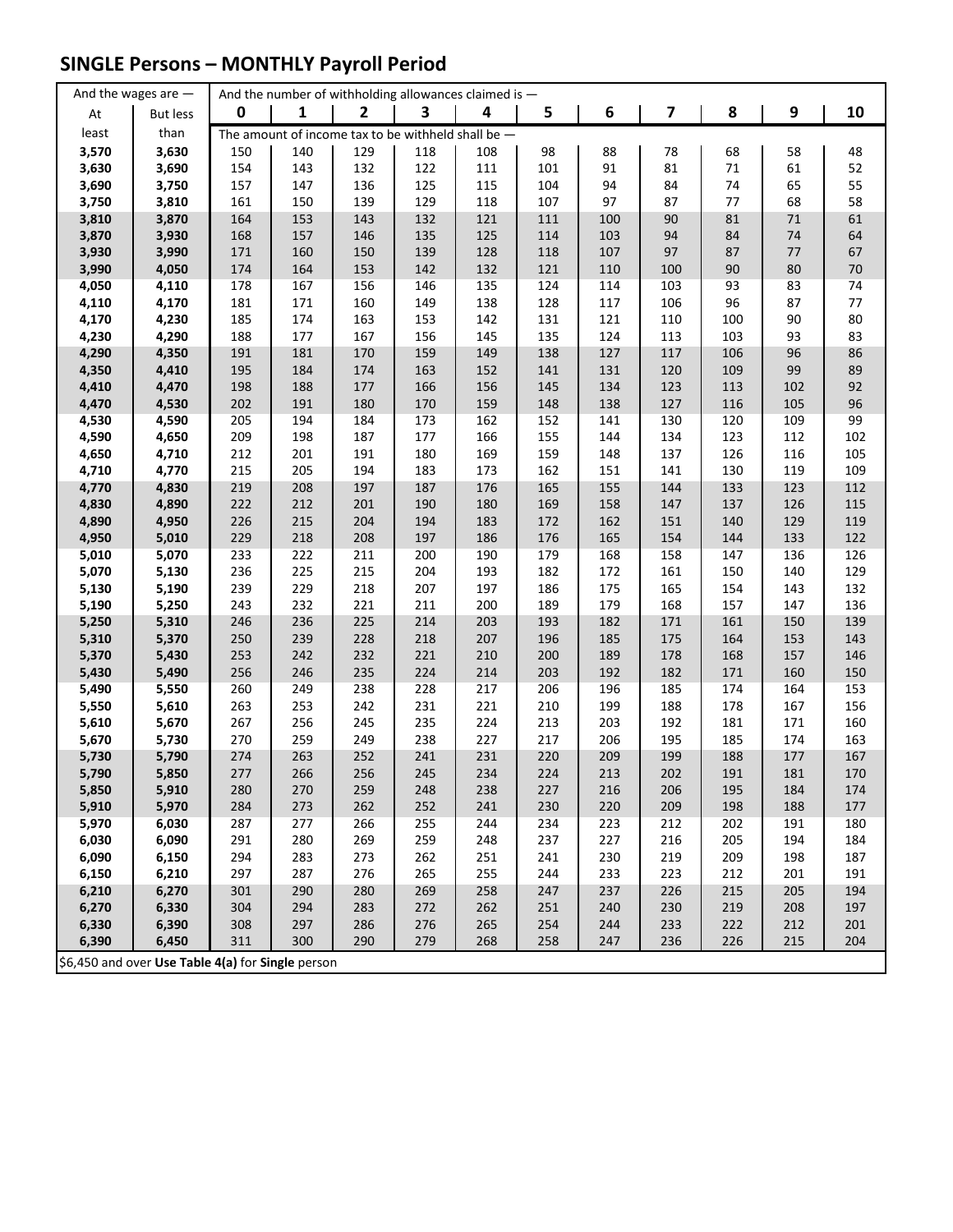## **SINGLE Persons – MONTHLY Payroll Period**

|                                                   | And the wages are $-$ |             | And the number of withholding allowances claimed is - |                |            |            |            |            |                         |            |            |            |
|---------------------------------------------------|-----------------------|-------------|-------------------------------------------------------|----------------|------------|------------|------------|------------|-------------------------|------------|------------|------------|
| At                                                | <b>But less</b>       | $\mathbf 0$ | 1                                                     | $\overline{2}$ | 3          | 4          | 5          | 6          | $\overline{\mathbf{z}}$ | 8          | 9          | 10         |
| least                                             | than                  |             | The amount of income tax to be withheld shall be $-$  |                |            |            |            |            |                         |            |            |            |
| 3,570                                             | 3,630                 | 150         | 140                                                   | 129            | 118        | 108        | 98         | 88         | 78                      | 68         | 58         | 48         |
| 3,630                                             | 3,690                 | 154         | 143                                                   | 132            | 122        | 111        | 101        | 91         | 81                      | $71\,$     | 61         | 52         |
| 3,690                                             | 3,750                 | 157         | 147                                                   | 136            | 125        | 115        | 104        | 94         | 84                      | 74         | 65         | 55         |
| 3,750                                             | 3,810                 | 161         | 150                                                   | 139            | 129        | 118        | 107        | 97         | 87                      | 77         | 68         | 58         |
| 3,810                                             | 3,870                 | 164         | 153                                                   | 143            | 132        | 121        | 111        | 100        | 90                      | 81         | 71         | 61         |
| 3,870                                             | 3,930                 | 168         | 157                                                   | 146            | 135        | 125        | 114        | 103        | 94                      | 84         | $74\,$     | 64         |
| 3,930                                             | 3,990                 | 171         | 160                                                   | 150            | 139        | 128        | 118        | 107        | 97                      | 87         | 77         | 67         |
| 3,990                                             | 4,050                 | 174         | 164                                                   | 153            | 142        | 132        | 121        | 110        | 100                     | 90         | 80         | $70\,$     |
| 4,050                                             | 4,110                 | 178         | 167                                                   | 156            | 146        | 135        | 124        | 114        | 103                     | 93         | 83         | 74         |
| 4,110                                             | 4,170                 | 181         | 171                                                   | 160            | 149        | 138        | 128        | 117        | 106                     | 96         | 87         | 77         |
| 4,170                                             | 4,230                 | 185         | 174                                                   | 163            | 153        | 142        | 131        | 121        | 110                     | 100        | 90         | 80         |
| 4,230                                             | 4,290                 | 188         | 177                                                   | 167            | 156        | 145        | 135        | 124        | 113                     | 103        | 93         | 83         |
| 4,290                                             | 4,350                 | 191         | 181                                                   | 170            | 159        | 149        | 138        | 127        | 117                     | 106        | 96         | 86         |
| 4,350                                             | 4,410                 | 195         | 184                                                   | 174            | 163        | 152        | 141        | 131        | 120                     | 109        | 99         | 89         |
| 4,410                                             | 4,470                 | 198         | 188                                                   | 177            | 166        | 156        | 145        | 134        | 123                     | 113        | 102        | 92         |
| 4,470                                             | 4,530                 | 202         | 191                                                   | 180            | 170        | 159        | 148        | 138        | 127                     | 116        | 105        | 96         |
| 4,530                                             | 4,590                 | 205         | 194                                                   | 184            | 173        | 162        | 152        | 141        | 130                     | 120        | 109        | 99         |
| 4,590                                             | 4,650                 | 209         | 198                                                   | 187            | 177        | 166        | 155        | 144        | 134                     | 123        | 112        | 102        |
| 4,650                                             | 4,710                 | 212         | 201                                                   | 191            | 180        | 169        | 159        | 148        | 137                     | 126        | 116        | 105        |
| 4,710                                             | 4,770                 | 215         | 205                                                   | 194            | 183        | 173        | 162        | 151        | 141                     | 130        | 119        | 109        |
| 4,770                                             | 4,830                 | 219         | 208                                                   | 197            | 187        | 176        | 165        | 155        | 144                     | 133        | 123        | 112        |
| 4,830                                             | 4,890                 | 222         | 212                                                   | 201            | 190        | 180        | 169        | 158        | 147                     | 137        | 126        | 115        |
| 4,890                                             | 4,950                 | 226         | 215                                                   | 204            | 194        | 183        | 172        | 162        | 151                     | 140        | 129        | 119        |
| 4,950                                             | 5,010                 | 229         | 218                                                   | 208            | 197        | 186        | 176        | 165        | 154                     | 144        | 133        | 122        |
| 5,010                                             | 5,070                 | 233         | 222                                                   | 211            | 200        | 190        | 179        | 168        | 158                     | 147        | 136        | 126        |
| 5,070                                             | 5,130                 | 236         | 225                                                   | 215            | 204        | 193        | 182        | 172        | 161                     | 150        | 140        | 129        |
| 5,130                                             | 5,190                 | 239         | 229                                                   | 218            | 207        | 197        | 186        | 175        | 165                     | 154        | 143        | 132        |
| 5,190                                             | 5,250                 | 243         | 232                                                   | 221            | 211        | 200        | 189        | 179        | 168                     | 157        | 147        | 136        |
| 5,250                                             | 5,310                 | 246         | 236                                                   | 225            | 214        | 203        | 193        | 182        | 171                     | 161        | 150        | 139        |
| 5,310<br>5,370                                    | 5,370<br>5,430        | 250<br>253  | 239<br>242                                            | 228<br>232     | 218<br>221 | 207<br>210 | 196<br>200 | 185<br>189 | 175<br>178              | 164<br>168 | 153<br>157 | 143<br>146 |
| 5,430                                             | 5,490                 | 256         | 246                                                   | 235            | 224        | 214        | 203        | 192        | 182                     | 171        | 160        | 150        |
| 5,490                                             | 5,550                 | 260         | 249                                                   | 238            | 228        | 217        | 206        | 196        | 185                     | 174        | 164        | 153        |
| 5,550                                             | 5,610                 | 263         | 253                                                   | 242            | 231        | 221        | 210        | 199        | 188                     | 178        | 167        | 156        |
| 5,610                                             | 5,670                 | 267         | 256                                                   | 245            | 235        | 224        | 213        | 203        | 192                     | 181        | 171        | 160        |
| 5,670                                             | 5,730                 | 270         | 259                                                   | 249            | 238        | 227        | 217        | 206        | 195                     | 185        | 174        | 163        |
| 5,730                                             | 5,790                 | 274         | 263                                                   | 252            | 241        | 231        | 220        | 209        | 199                     | 188        | 177        | 167        |
| 5,790                                             | 5,850                 | 277         | 266                                                   | 256            | 245        | 234        | 224        | 213        | 202                     | 191        | 181        | 170        |
| 5,850                                             | 5,910                 | 280         | 270                                                   | 259            | 248        | 238        | 227        | 216        | 206                     | 195        | 184        | 174        |
| 5,910                                             | 5,970                 | 284         | 273                                                   | 262            | 252        | 241        | 230        | 220        | 209                     | 198        | 188        | 177        |
| 5,970                                             | 6,030                 | 287         | 277                                                   | 266            | 255        | 244        | 234        | 223        | 212                     | 202        | 191        | 180        |
| 6,030                                             | 6,090                 | 291         | 280                                                   | 269            | 259        | 248        | 237        | 227        | 216                     | 205        | 194        | 184        |
| 6,090                                             | 6,150                 | 294         | 283                                                   | 273            | 262        | 251        | 241        | 230        | 219                     | 209        | 198        | 187        |
| 6,150                                             | 6,210                 | 297         | 287                                                   | 276            | 265        | 255        | 244        | 233        | 223                     | 212        | 201        | 191        |
| 6,210                                             | 6,270                 | 301         | 290                                                   | 280            | 269        | 258        | 247        | 237        | 226                     | 215        | 205        | 194        |
| 6,270                                             | 6,330                 | 304         | 294                                                   | 283            | 272        | 262        | 251        | 240        | 230                     | 219        | 208        | 197        |
| 6,330                                             | 6,390                 | 308         | 297                                                   | 286            | 276        | 265        | 254        | 244        | 233                     | 222        | 212        | 201        |
| 6,390                                             | 6,450                 | 311         | 300                                                   | 290            | 279        | 268        | 258        | 247        | 236                     | 226        | 215        | 204        |
| \$6,450 and over Use Table 4(a) for Single person |                       |             |                                                       |                |            |            |            |            |                         |            |            |            |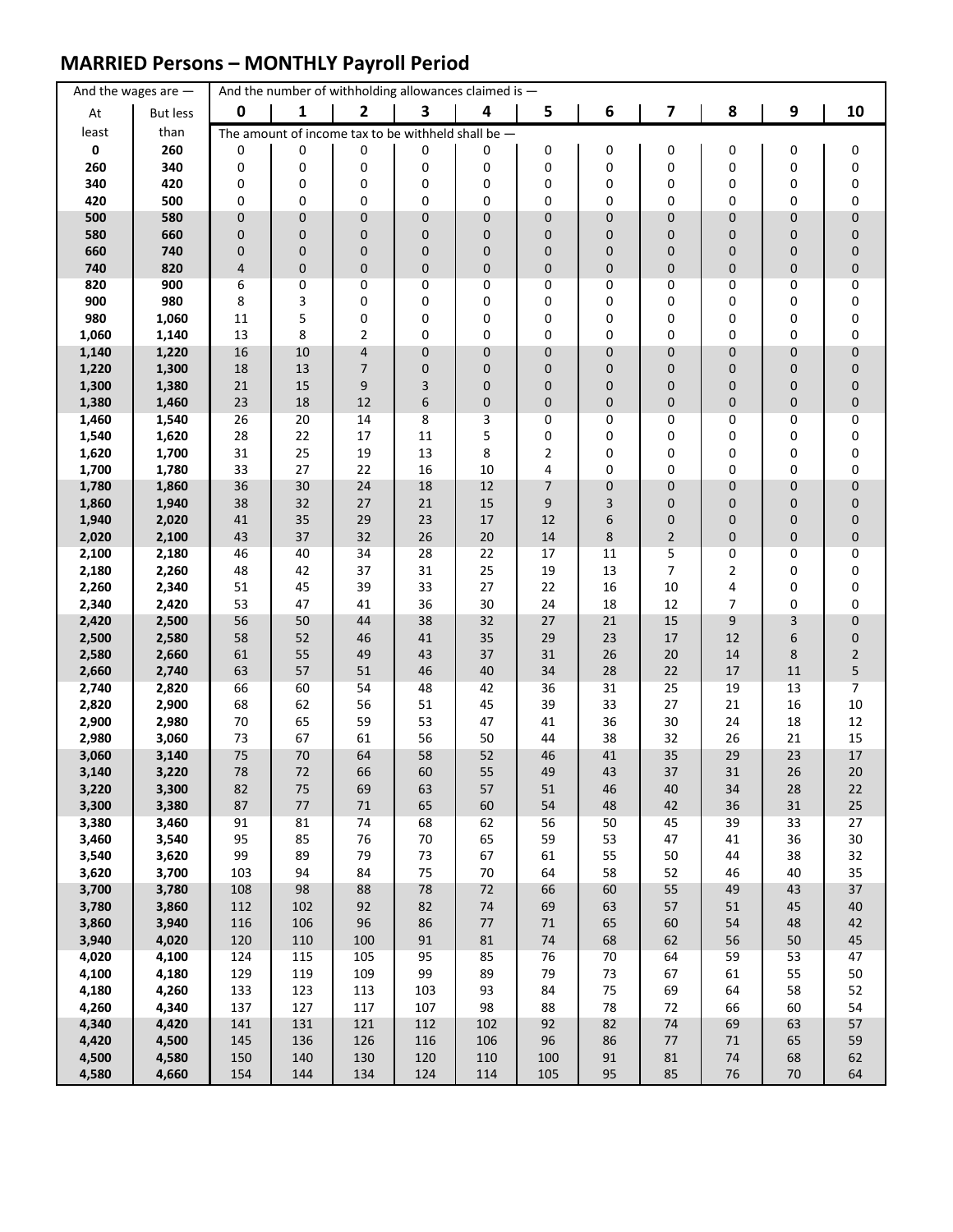### **MARRIED Persons – MONTHLY Payroll Period**

|                | And the wages are $-$ |            |               | And the number of withholding allowances claimed is - |             |                  |              |          |                |          |          |                         |
|----------------|-----------------------|------------|---------------|-------------------------------------------------------|-------------|------------------|--------------|----------|----------------|----------|----------|-------------------------|
| At             | <b>But less</b>       | 0          | 1             | $\overline{2}$                                        | 3           | 4                | 5            | 6        | 7              | 8        | 9        | 10                      |
| least          | than                  |            |               | The amount of income tax to be withheld shall be $-$  |             |                  |              |          |                |          |          |                         |
| 0              | 260                   | 0          | 0             | 0                                                     | 0           | 0                | 0            | 0        | 0              | 0        | 0        | 0                       |
| 260            | 340                   | 0          | 0             | 0                                                     | 0           | 0                | 0            | 0        | 0              | 0        | 0        | 0                       |
| 340<br>420     | 420<br>500            | 0<br>0     | 0<br>0        | 0<br>0                                                | 0<br>0      | 0<br>0           | 0<br>0       | 0<br>0   | 0<br>0         | 0<br>0   | 0<br>0   | $\pmb{0}$<br>$\pmb{0}$  |
| 500            | 580                   | 0          | $\pmb{0}$     | $\mathbf 0$                                           | $\mathbf 0$ | $\mathbf 0$      | 0            | 0        | 0              | 0        | 0        | $\pmb{0}$               |
| 580            | 660                   | 0          | $\mathbf 0$   | $\mathbf 0$                                           | $\mathbf 0$ | $\mathbf 0$      | 0            | 0        | 0              | 0        | 0        | $\pmb{0}$               |
| 660            | 740                   | 0          | $\mathbf 0$   | $\mathbf 0$                                           | 0           | $\mathbf 0$      | 0            | 0        | 0              | 0        | 0        | $\pmb{0}$               |
| 740            | 820                   | 4          | $\pmb{0}$     | $\pmb{0}$                                             | $\pmb{0}$   | $\pmb{0}$        | 0            | 0        | 0              | 0        | 0        | $\pmb{0}$               |
| 820            | 900                   | 6          | 0             | 0                                                     | 0           | 0                | 0            | 0        | 0              | 0        | 0        | 0                       |
| 900            | 980                   | 8          | 3             | 0                                                     | 0           | 0                | 0            | 0        | 0              | 0        | 0        | $\pmb{0}$               |
| 980<br>1,060   | 1,060<br>1,140        | 11<br>13   | 5<br>8        | 0<br>$\overline{2}$                                   | 0<br>0      | 0<br>$\mathbf 0$ | 0<br>0       | 0<br>0   | 0<br>0         | 0<br>0   | 0<br>0   | 0<br>0                  |
| 1,140          | 1,220                 | 16         | 10            | $\overline{\mathbf{r}}$                               | $\mathbf 0$ | $\pmb{0}$        | 0            | 0        | 0              | 0        | 0        | $\pmb{0}$               |
| 1,220          | 1,300                 | 18         | 13            | $\overline{7}$                                        | $\mathbf 0$ | 0                | 0            | 0        | 0              | 0        | 0        | $\pmb{0}$               |
| 1,300          | 1,380                 | 21         | 15            | 9                                                     | 3           | $\mathbf 0$      | 0            | 0        | 0              | 0        | 0        | $\pmb{0}$               |
| 1,380          | 1,460                 | 23         | 18            | 12                                                    | 6           | $\pmb{0}$        | 0            | 0        | 0              | 0        | 0        | $\pmb{0}$               |
| 1,460          | 1,540                 | 26         | 20            | 14                                                    | 8           | 3                | 0            | 0        | 0              | 0        | 0        | 0                       |
| 1,540<br>1,620 | 1,620<br>1,700        | 28<br>31   | 22<br>25      | 17<br>19                                              | 11<br>13    | 5<br>8           | 0<br>2       | 0<br>0   | 0<br>0         | 0<br>0   | 0<br>0   | 0<br>0                  |
| 1,700          | 1,780                 | 33         | 27            | 22                                                    | 16          | 10               | 4            | 0        | 0              | 0        | 0        | 0                       |
| 1,780          | 1,860                 | 36         | 30            | 24                                                    | 18          | 12               | 7            | 0        | 0              | 0        | 0        | 0                       |
| 1,860          | 1,940                 | 38         | 32            | 27                                                    | 21          | 15               | 9            | 3        | 0              | 0        | 0        | $\pmb{0}$               |
| 1,940          | 2,020                 | 41         | 35            | 29                                                    | 23          | 17               | 12           | 6        | 0              | 0        | 0        | $\pmb{0}$               |
| 2,020          | 2,100                 | 43         | 37            | 32                                                    | 26          | 20               | 14           | 8        | $\overline{2}$ | 0        | 0        | $\pmb{0}$               |
| 2,100          | 2,180                 | 46         | 40            | 34                                                    | 28          | 22               | 17           | 11       | 5              | 0        | 0        | 0                       |
| 2,180<br>2,260 | 2,260<br>2,340        | 48<br>51   | 42<br>45      | 37<br>39                                              | 31<br>33    | 25<br>27         | 19<br>22     | 13<br>16 | 7<br>10        | 2<br>4   | 0<br>0   | 0<br>0                  |
| 2,340          | 2,420                 | 53         | 47            | 41                                                    | 36          | 30               | 24           | 18       | 12             | 7        | 0        | 0                       |
| 2,420          | 2,500                 | 56         | 50            | 44                                                    | 38          | 32               | 27           | 21       | 15             | 9        | 3        | $\pmb{0}$               |
| 2,500          | 2,580                 | 58         | 52            | 46                                                    | 41          | 35               | 29           | 23       | 17             | 12       | 6        | $\pmb{0}$               |
| 2,580          | 2,660                 | 61         | 55            | 49                                                    | 43          | 37               | 31           | 26       | $20\,$         | 14       | 8        | $\overline{\mathbf{c}}$ |
| 2,660<br>2,740 | 2,740<br>2,820        | 63<br>66   | 57<br>60      | 51<br>54                                              | 46<br>48    | 40<br>42         | 34<br>36     | 28<br>31 | 22<br>25       | 17<br>19 | 11<br>13 | 5<br>$\overline{7}$     |
| 2,820          | 2,900                 | 68         | 62            | 56                                                    | 51          | 45               | 39           | 33       | 27             | 21       | 16       | $10\,$                  |
| 2,900          | 2,980                 | 70         | 65            | 59                                                    | 53          | 47               | 41           | 36       | 30             | 24       | 18       | 12                      |
| 2,980          | 3,060                 | 73         | 67            | 61                                                    | 56          | 50               | 44           | 38       | 32             | 26       | 21       | 15                      |
| 3,060          | 3,140                 | 75         | 70            | 64                                                    | 58          | 52               | 46           | 41       | 35             | 29       | 23       | 17                      |
| 3,140          | 3,220                 | 78         | 72            | 66                                                    | 60          | 55               | 49           | 43       | 37             | 31       | 26       | 20                      |
| 3,220<br>3,300 | 3,300<br>3,380        | 82<br>87   | 75<br>$77 \,$ | 69<br>$71\,$                                          | 63<br>65    | 57<br>60         | 51<br>54     | 46<br>48 | 40<br>42       | 34<br>36 | 28<br>31 | 22<br>25                |
| 3,380          | 3,460                 | 91         | 81            | 74                                                    | 68          | 62               | 56           | 50       | 45             | 39       | 33       | 27                      |
| 3,460          | 3,540                 | 95         | 85            | 76                                                    | $70\,$      | 65               | 59           | 53       | 47             | 41       | 36       | $30\,$                  |
| 3,540          | 3,620                 | 99         | 89            | 79                                                    | 73          | 67               | 61           | 55       | 50             | 44       | 38       | 32                      |
| 3,620          | 3,700                 | 103        | 94            | 84                                                    | 75          | $70\,$           | 64           | 58       | 52             | 46       | 40       | 35                      |
| 3,700          | 3,780                 | 108        | 98            | 88                                                    | 78          | $72\,$           | 66           | 60       | 55             | 49       | 43       | 37                      |
| 3,780<br>3,860 | 3,860<br>3,940        | 112<br>116 | 102<br>106    | 92<br>96                                              | 82<br>86    | $74\,$<br>77     | 69<br>$71\,$ | 63<br>65 | 57<br>60       | 51<br>54 | 45<br>48 | 40<br>42                |
| 3,940          | 4,020                 | 120        | 110           | 100                                                   | 91          | $81\,$           | $74\,$       | 68       | 62             | 56       | 50       | 45                      |
| 4,020          | 4,100                 | 124        | 115           | 105                                                   | 95          | 85               | 76           | 70       | 64             | 59       | 53       | 47                      |
| 4,100          | 4,180                 | 129        | 119           | 109                                                   | 99          | 89               | 79           | 73       | 67             | 61       | 55       | 50                      |
| 4,180          | 4,260                 | 133        | 123           | 113                                                   | 103         | 93               | 84           | 75       | 69             | 64       | 58       | 52                      |
| 4,260          | 4,340                 | 137        | 127           | 117                                                   | 107         | 98               | 88           | 78       | 72             | 66       | 60       | 54                      |
| 4,340<br>4,420 | 4,420<br>4,500        | 141<br>145 | 131<br>136    | 121<br>126                                            | 112<br>116  | 102<br>106       | 92<br>96     | 82<br>86 | 74<br>$77 \,$  | 69<br>71 | 63<br>65 | 57<br>59                |
| 4,500          | 4,580                 | 150        | 140           | 130                                                   | 120         | 110              | 100          | 91       | 81             | 74       | 68       | 62                      |
| 4,580          | 4,660                 | 154        | 144           | 134                                                   | 124         | 114              | 105          | 95       | 85             | 76       | 70       | 64                      |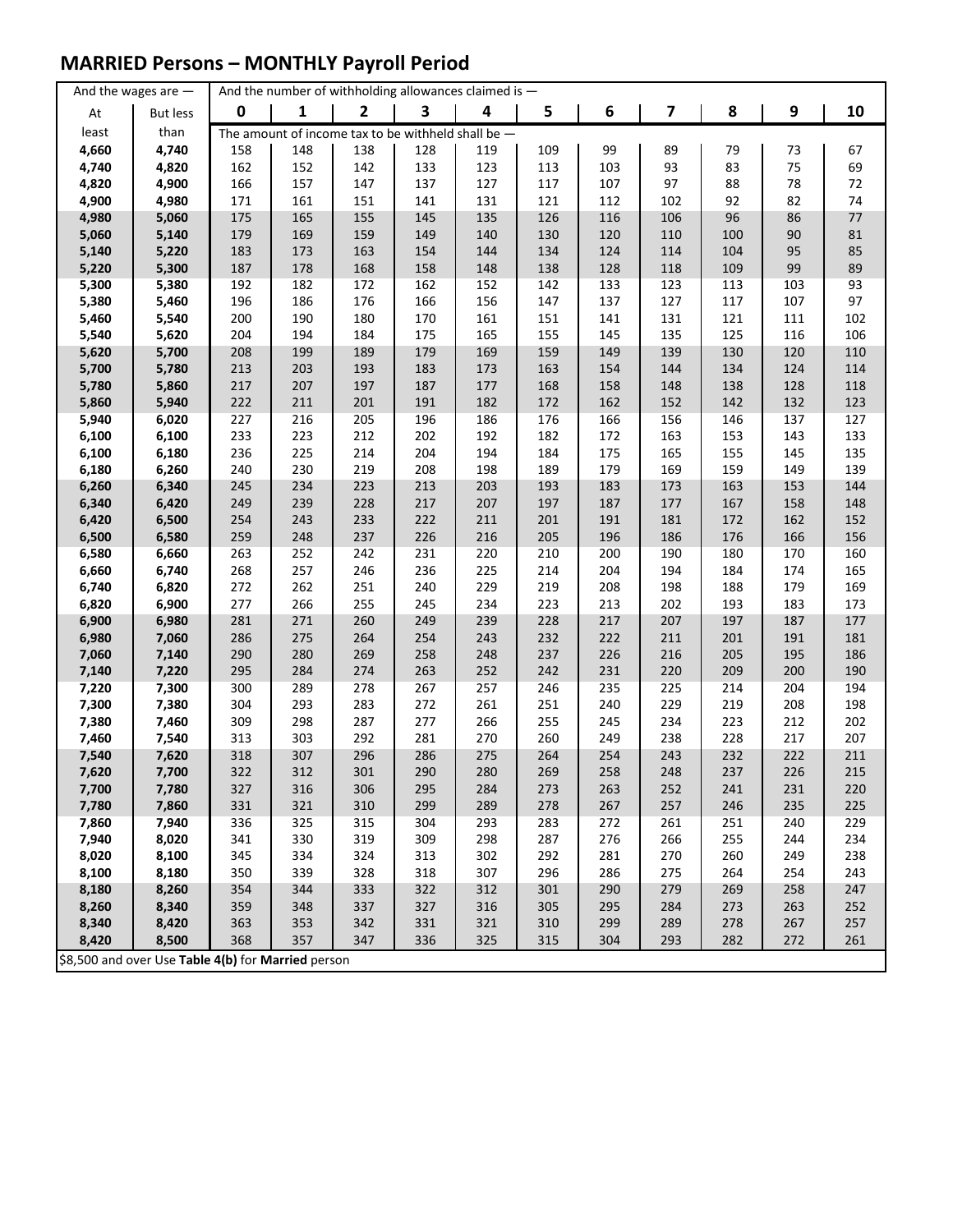### **MARRIED Persons – MONTHLY Payroll Period**

|                | And the wages are $-$                              |            | And the number of withholding allowances claimed is - |              |            |            |            |            |            |            |            |            |
|----------------|----------------------------------------------------|------------|-------------------------------------------------------|--------------|------------|------------|------------|------------|------------|------------|------------|------------|
| At             | <b>But less</b>                                    | $\pmb{0}$  | 1                                                     | $\mathbf{2}$ | 3          | 4          | 5          | 6          | 7          | 8          | 9          | 10         |
| least          | than                                               |            | The amount of income tax to be withheld shall be $-$  |              |            |            |            |            |            |            |            |            |
| 4,660          | 4,740                                              | 158        | 148                                                   | 138          | 128        | 119        | 109        | 99         | 89         | 79         | 73         | 67         |
| 4,740          | 4,820                                              | 162        | 152                                                   | 142          | 133        | 123        | 113        | 103        | 93         | 83         | 75         | 69         |
| 4,820          | 4,900                                              | 166        | 157                                                   | 147          | 137        | 127        | 117        | 107        | 97         | 88         | 78         | 72         |
| 4,900          | 4,980                                              | 171        | 161                                                   | 151          | 141        | 131        | 121        | 112        | 102        | 92         | 82         | 74         |
| 4,980          | 5,060                                              | 175        | 165                                                   | 155          | 145        | 135        | 126        | 116        | 106        | 96         | 86         | 77         |
| 5,060          | 5,140                                              | 179        | 169                                                   | 159          | 149        | 140        | 130        | 120        | 110        | 100        | 90         | 81         |
| 5,140          | 5,220                                              | 183        | 173                                                   | 163          | 154        | 144        | 134        | 124        | 114        | 104        | 95         | 85         |
| 5,220          | 5,300                                              | 187        | 178                                                   | 168          | 158        | 148        | 138        | 128        | 118        | 109        | 99         | 89         |
| 5,300          | 5,380                                              | 192        | 182                                                   | 172          | 162        | 152        | 142        | 133        | 123        | 113        | 103        | 93         |
| 5,380          | 5,460                                              | 196        | 186                                                   | 176          | 166        | 156        | 147        | 137        | 127        | 117        | 107        | 97         |
| 5,460          | 5,540                                              | 200        | 190                                                   | 180          | 170        | 161        | 151        | 141        | 131        | 121        | 111        | 102        |
| 5,540          | 5,620                                              | 204        | 194                                                   | 184          | 175        | 165        | 155        | 145        | 135        | 125        | 116        | 106        |
| 5,620          | 5,700                                              | 208        | 199                                                   | 189          | 179        | 169        | 159        | 149        | 139        | 130        | 120        | 110        |
| 5,700          | 5,780                                              | 213        | 203                                                   | 193          | 183        | 173        | 163        | 154        | 144        | 134        | 124        | 114        |
| 5,780          | 5,860                                              | 217        | 207                                                   | 197          | 187        | 177        | 168        | 158        | 148        | 138        | 128        | 118        |
| 5,860          | 5,940                                              | 222        | 211                                                   | 201          | 191        | 182        | 172        | 162        | 152        | 142        | 132        | 123        |
| 5,940          | 6,020                                              | 227        | 216                                                   | 205          | 196        | 186        | 176        | 166        | 156        | 146        | 137        | 127        |
| 6,100          | 6,100                                              | 233        | 223                                                   | 212          | 202        | 192        | 182        | 172        | 163        | 153        | 143        | 133        |
| 6,100          | 6,180                                              | 236        | 225                                                   | 214          | 204        | 194        | 184        | 175        | 165        | 155        | 145        | 135        |
| 6,180          | 6,260                                              | 240        | 230                                                   | 219          | 208        | 198        | 189        | 179        | 169        | 159        | 149        | 139        |
| 6,260          | 6,340                                              | 245        | 234                                                   | 223          | 213        | 203        | 193        | 183        | 173        | 163        | 153        | 144        |
| 6,340          | 6,420                                              | 249        | 239                                                   | 228          | 217        | 207        | 197        | 187        | 177        | 167        | 158        | 148        |
| 6,420          | 6,500                                              | 254        | 243                                                   | 233          | 222        | 211        | 201        | 191        | 181        | 172        | 162        | 152        |
| 6,500          | 6,580                                              | 259        | 248                                                   | 237          | 226        | 216        | 205        | 196        | 186        | 176        | 166        | 156        |
| 6,580          | 6,660                                              | 263        | 252                                                   | 242          | 231        | 220        | 210        | 200        | 190        | 180        | 170        | 160        |
| 6,660          | 6,740                                              | 268        | 257                                                   | 246          | 236        | 225        | 214        | 204        | 194        | 184        | 174        | 165        |
| 6,740          | 6,820                                              | 272        | 262                                                   | 251          | 240        | 229        | 219        | 208        | 198        | 188        | 179        | 169        |
| 6,820          | 6,900                                              | 277        | 266                                                   | 255          | 245        | 234        | 223        | 213        | 202        | 193        | 183        | 173        |
| 6,900          | 6,980                                              | 281        | 271                                                   | 260          | 249        | 239        | 228        | 217        | 207        | 197        | 187        | 177        |
| 6,980          | 7,060                                              | 286        | 275                                                   | 264          | 254        | 243        | 232        | 222        | 211        | 201        | 191        | 181        |
| 7,060          | 7,140                                              | 290        | 280                                                   | 269          | 258        | 248        | 237        | 226        | 216        | 205        | 195        | 186        |
| 7,140          | 7,220                                              | 295        | 284                                                   | 274          | 263        | 252        | 242        | 231        | 220        | 209        | 200        | 190        |
| 7,220          | 7,300                                              | 300<br>304 | 289<br>293                                            | 278<br>283   | 267<br>272 | 257<br>261 | 246<br>251 | 235<br>240 | 225<br>229 | 214        | 204<br>208 | 194<br>198 |
| 7,300          | 7,380<br>7,460                                     | 309        | 298                                                   | 287          | 277        | 266        | 255        | 245        | 234        | 219<br>223 | 212        | 202        |
| 7,380<br>7,460 | 7,540                                              | 313        | 303                                                   | 292          | 281        | 270        | 260        | 249        | 238        | 228        | 217        | 207        |
| 7,540          | 7,620                                              | 318        | 307                                                   | 296          | 286        | 275        | 264        | 254        | 243        | 232        | 222        | 211        |
| 7,620          | 7,700                                              | 322        | 312                                                   | 301          | 290        | 280        | 269        | 258        | 248        | 237        | 226        | 215        |
| 7,700          | 7,780                                              | 327        | 316                                                   | 306          | 295        | 284        | 273        | 263        | 252        | 241        | 231        | 220        |
| 7,780          | 7,860                                              | 331        | 321                                                   | 310          | 299        | 289        | 278        | 267        | 257        | 246        | 235        | 225        |
| 7,860          | 7,940                                              | 336        | 325                                                   | 315          | 304        | 293        | 283        | 272        | 261        | 251        | 240        | 229        |
| 7,940          | 8,020                                              | 341        | 330                                                   | 319          | 309        | 298        | 287        | 276        | 266        | 255        | 244        | 234        |
| 8,020          | 8,100                                              | 345        | 334                                                   | 324          | 313        | 302        | 292        | 281        | 270        | 260        | 249        | 238        |
| 8,100          | 8,180                                              | 350        | 339                                                   | 328          | 318        | 307        | 296        | 286        | 275        | 264        | 254        | 243        |
| 8,180          | 8,260                                              | 354        | 344                                                   | 333          | 322        | 312        | 301        | 290        | 279        | 269        | 258        | 247        |
| 8,260          | 8,340                                              | 359        | 348                                                   | 337          | 327        | 316        | 305        | 295        | 284        | 273        | 263        | 252        |
| 8,340          | 8,420                                              | 363        | 353                                                   | 342          | 331        | 321        | 310        | 299        | 289        | 278        | 267        | 257        |
| 8,420          | 8,500                                              | 368        | 357                                                   | 347          | 336        | 325        | 315        | 304        | 293        | 282        | 272        | 261        |
|                | \$8,500 and over Use Table 4(b) for Married person |            |                                                       |              |            |            |            |            |            |            |            |            |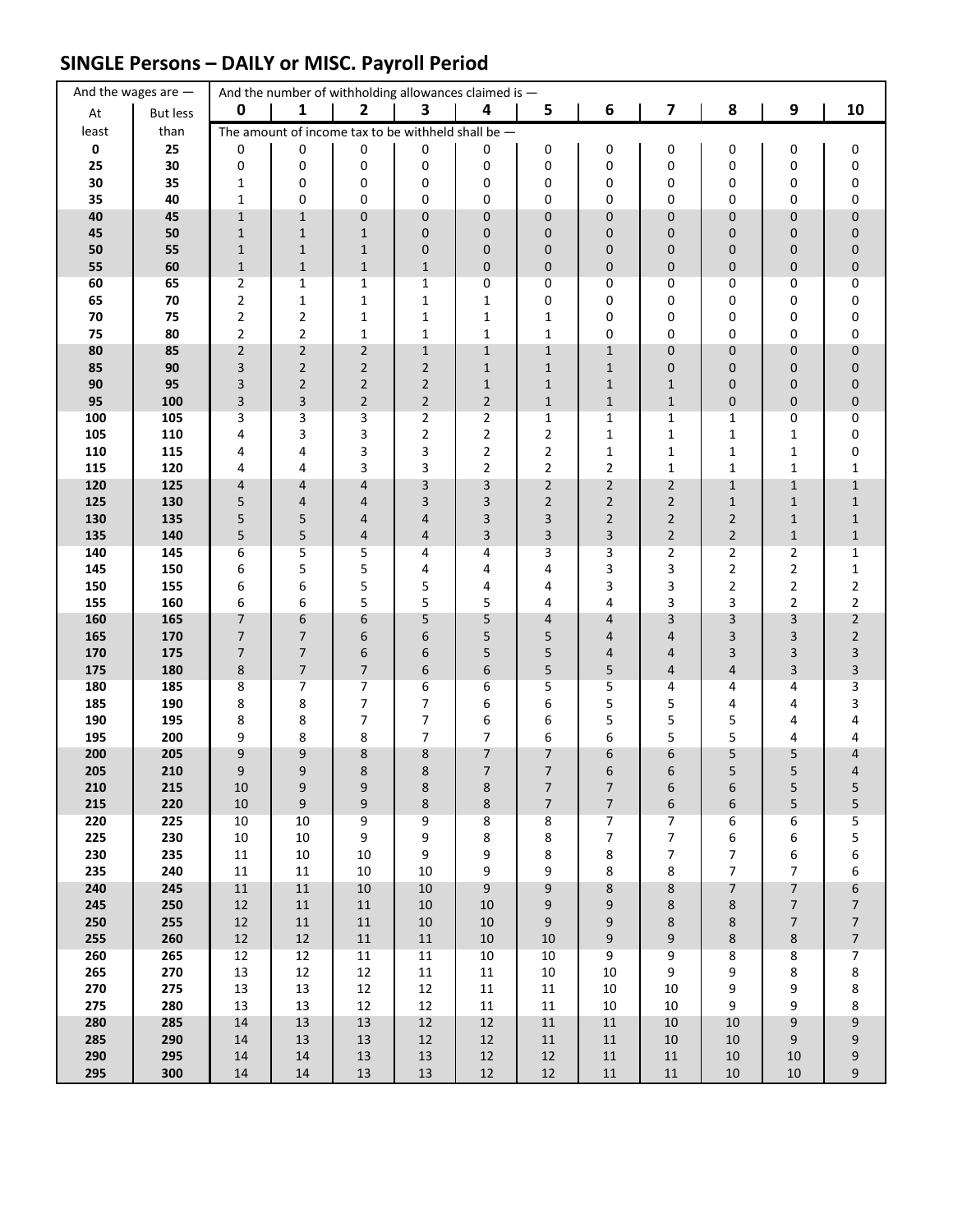## **SINGLE Persons – DAILY or MISC. Payroll Period**

|             | And the wages are $-$ |                                  |                       | And the number of withholding allowances claimed is - |                     |                     |                              |                              |                   |                |                                            |                                        |
|-------------|-----------------------|----------------------------------|-----------------------|-------------------------------------------------------|---------------------|---------------------|------------------------------|------------------------------|-------------------|----------------|--------------------------------------------|----------------------------------------|
| At          | <b>But less</b>       | $\mathbf 0$                      | 1                     | $\overline{2}$                                        | 3                   | 4                   | 5                            | 6                            | 7                 | 8              | 9                                          | 10                                     |
| least       | than                  |                                  |                       | The amount of income tax to be withheld shall be -    |                     |                     |                              |                              |                   |                |                                            |                                        |
| $\mathbf 0$ | 25                    | 0                                | 0                     | 0                                                     | 0                   | 0                   | 0                            | 0                            | 0                 | 0              | 0                                          | 0                                      |
| 25          | 30                    | 0                                | 0                     | 0                                                     | 0                   | 0                   | 0                            | 0                            | 0                 | 0              | 0                                          | 0                                      |
| 30          | 35<br>40              | 1                                | 0<br>0                | 0<br>0                                                | 0<br>0              | 0<br>0              | 0<br>0                       | 0<br>0                       | 0<br>0            | 0<br>0         | 0<br>0                                     | 0                                      |
| 35<br>40    | 45                    | 1<br>$\mathbf{1}$                | $1\,$                 | $\pmb{0}$                                             | 0                   | $\mathbf{0}$        | 0                            | 0                            | 0                 | 0              | $\mathbf 0$                                | 0<br>$\pmb{0}$                         |
| 45          | 50                    | $\mathbf{1}$                     | $\mathbf 1$           | $\mathbf{1}$                                          | 0                   | 0                   | 0                            | 0                            | 0                 | 0              | 0                                          | $\pmb{0}$                              |
| 50          | 55                    | $\mathbf{1}$                     | $\mathbf 1$           | $1\,$                                                 | 0                   | 0                   | 0                            | 0                            | 0                 | 0              | $\mathbf 0$                                | $\pmb{0}$                              |
| 55          | 60                    | $\mathbf{1}$                     | $\mathbf{1}$          | $\mathbf{1}$                                          | $\mathbf{1}$        | 0                   | 0                            | 0                            | 0                 | 0              | $\mathbf 0$                                | $\pmb{0}$                              |
| 60          | 65                    | $\overline{2}$                   | 1                     | 1                                                     | 1                   | 0                   | 0                            | 0                            | 0                 | 0              | 0                                          | 0                                      |
| 65          | 70                    | $\overline{2}$                   | $\mathbf{1}$          | $\mathbf{1}$                                          | 1                   | 1                   | 0                            | 0                            | 0                 | 0              | 0                                          | 0                                      |
| 70<br>75    | 75<br>80              | $\overline{2}$<br>$\overline{2}$ | 2<br>$\overline{2}$   | $\mathbf{1}$<br>$\mathbf{1}$                          | 1<br>$\mathbf{1}$   | 1<br>$\mathbf{1}$   | 1<br>$\mathbf{1}$            | 0<br>0                       | 0<br>0            | 0<br>0         | 0<br>0                                     | 0<br>0                                 |
| 80          | 85                    | $\overline{2}$                   | $\overline{2}$        | $\overline{2}$                                        | $\mathbf{1}$        | $\mathbf{1}$        | $\mathbf 1$                  | $\mathbf{1}$                 | 0                 | 0              | $\mathbf 0$                                | $\pmb{0}$                              |
| 85          | 90                    | 3                                | $\overline{2}$        | $\overline{2}$                                        | $\overline{2}$      | $\mathbf{1}$        | $\mathbf{1}$                 | $1\,$                        | 0                 | 0              | $\mathbf 0$                                | $\pmb{0}$                              |
| 90          | 95                    | 3                                | $\overline{2}$        | $\overline{2}$                                        | $\overline{2}$      | $\mathbf{1}$        | $\mathbf{1}$                 | 1                            | $\mathbf{1}$      | 0              | 0                                          | $\pmb{0}$                              |
| 95          | 100                   | 3                                | 3                     | $\overline{2}$                                        | $\overline{2}$      | $\overline{2}$      | $\mathbf{1}$                 | $\mathbf{1}$                 | $\mathbf{1}$      | 0              | 0                                          | $\pmb{0}$                              |
| 100         | 105                   | 3                                | 3                     | 3                                                     | $\overline{2}$      | 2                   | $\mathbf{1}$                 | 1                            | $\mathbf{1}$      | 1              | 0                                          | $\pmb{0}$                              |
| 105<br>110  | 110<br>115            | 4<br>4                           | 3<br>4                | 3<br>3                                                | $\overline{2}$<br>3 | 2<br>$\overline{2}$ | 2<br>$\overline{\mathbf{c}}$ | $\mathbf 1$<br>1             | $\mathbf{1}$<br>1 | 1<br>1         | $\mathbf{1}$<br>1                          | 0<br>0                                 |
| 115         | 120                   | 4                                | 4                     | 3                                                     | 3                   | $\overline{2}$      | $\overline{2}$               | $\overline{2}$               | $\mathbf{1}$      | $\mathbf{1}$   | $\mathbf{1}$                               | $\mathbf 1$                            |
| 120         | 125                   | 4                                | 4                     | 4                                                     | 3                   | 3                   | $\overline{2}$               | $\overline{2}$               | $\overline{2}$    | $\mathbf{1}$   | $1\,$                                      | $\mathbf 1$                            |
| 125         | 130                   | 5                                | 4                     | 4                                                     | 3                   | 3                   | $\overline{2}$               | $\overline{2}$               | $\overline{2}$    | $\mathbf{1}$   | $1\,$                                      | $\mathbf{1}$                           |
| 130         | 135                   | 5                                | 5                     | 4                                                     | 4                   | 3                   | 3                            | $\overline{2}$               | $\overline{2}$    | $\overline{2}$ | $\mathbf{1}$                               | $\mathbf 1$                            |
| 135         | 140                   | 5                                | 5                     | 4                                                     | 4                   | 3                   | 3                            | 3                            | $\overline{2}$    | $\overline{2}$ | $\mathbf{1}$                               | $\mathbf 1$                            |
| 140<br>145  | 145                   | 6                                | 5                     | 5<br>5                                                | 4                   | 4                   | 3                            | 3                            | 2                 | $\overline{2}$ | $\overline{2}$                             | 1                                      |
| 150         | 150<br>155            | 6<br>6                           | 5<br>6                | 5                                                     | 4<br>5              | 4<br>4              | 4<br>4                       | 3<br>3                       | 3<br>3            | 2<br>2         | $\overline{2}$<br>$\mathbf 2$              | $\mathbf 1$<br>$\overline{\mathbf{c}}$ |
| 155         | 160                   | 6                                | 6                     | 5                                                     | 5                   | 5                   | 4                            | 4                            | 3                 | 3              | $\overline{2}$                             | $\mathbf 2$                            |
| 160         | 165                   | 7                                | 6                     | 6                                                     | 5                   | 5                   | 4                            | 4                            | 3                 | 3              | 3                                          | $\overline{c}$                         |
| 165         | 170                   | $\overline{7}$                   | 7                     | 6                                                     | 6                   | 5                   | 5                            | 4                            | 4                 | 3              | 3                                          | $\sqrt{2}$                             |
| 170         | 175                   | $\overline{7}$                   | $\overline{7}$        | 6                                                     | 6                   | 5                   | 5                            | 4                            | 4                 | 3              | 3                                          | 3                                      |
| 175<br>180  | 180<br>185            | $\bf 8$<br>8                     | $\boldsymbol{7}$<br>7 | $\overline{7}$<br>$\overline{7}$                      | 6<br>6              | 6<br>6              | 5<br>5                       | 5<br>5                       | 4<br>4            | 4<br>4         | $\ensuremath{\mathsf{3}}$<br>4             | 3<br>3                                 |
| 185         | 190                   | 8                                | 8                     | $\overline{7}$                                        | $\overline{7}$      | 6                   | 6                            | 5                            | 5                 | 4              | 4                                          | 3                                      |
| 190         | 195                   | 8                                | 8                     | 7                                                     | 7                   | 6                   | 6                            | 5                            | 5                 | 5              | 4                                          | 4                                      |
| 195         | 200                   | 9                                | 8                     | 8                                                     | $\overline{7}$      | $\overline{7}$      | 6                            | 6                            | 5                 | 5              | 4                                          | 4                                      |
| 200         | 205                   | 9                                | 9                     | $\bf 8$                                               | 8                   | 7                   | 7                            | 6                            | 6                 | 5              | 5                                          | 4                                      |
| 205         | 210                   | 9                                | 9                     | 8                                                     | 8                   | $\overline{7}$      | $\overline{7}$               | 6                            | 6                 | 5              | 5                                          | 4                                      |
| 210<br>215  | 215<br>220            | 10<br>$10\,$                     | 9<br>$\boldsymbol{9}$ | 9<br>9                                                | 8<br>8              | 8<br>8              | 7<br>$\overline{7}$          | 7<br>$\overline{\mathbf{z}}$ | 6                 | 6<br>6         | 5<br>5                                     | $\frac{5}{5}$                          |
| 220         | 225                   | $10\,$                           | 10                    | 9                                                     | 9                   | 8                   | 8                            | 7                            | 6<br>7            | 6              | 6                                          |                                        |
| 225         | 230                   | $10\,$                           | 10                    | 9                                                     | 9                   | 8                   | 8                            | $\overline{7}$               | 7                 | 6              | 6                                          | 5<br>5                                 |
| 230         | 235                   | $11\,$                           | 10                    | $10\,$                                                | 9                   | 9                   | 8                            | 8                            | 7                 | 7              | 6                                          | 6                                      |
| 235         | 240                   | $11\,$                           | $11\,$                | $10\,$                                                | 10                  | 9                   | 9                            | 8                            | 8                 | $\overline{7}$ | $\overline{7}$                             | 6                                      |
| 240         | 245                   | $11\,$                           | $11\,$                | $10\,$                                                | $10\,$              | 9                   | 9                            | 8                            | 8                 | $\overline{7}$ | $\overline{7}$                             | 6                                      |
| 245<br>250  | 250<br>255            | $12\,$<br>$12\,$                 | $11\,$<br>$11\,$      | $11\,$<br>$11\,$                                      | $10\,$<br>$10\,$    | $10\,$<br>$10\,$    | 9<br>9                       | 9<br>9                       | 8<br>8            | 8<br>$\bf 8$   | $\overline{7}$<br>$\overline{\mathcal{I}}$ | $\overline{7}$<br>$\overline{7}$       |
| 255         | 260                   | $12\,$                           | $12\,$                | $11\,$                                                | $11\,$              | $10\,$              | 10                           | 9                            | 9                 | 8              | 8                                          | $\overline{\mathbf{7}}$                |
| 260         | 265                   | 12                               | 12                    | 11                                                    | $11\,$              | $10\,$              | $10\,$                       | 9                            | 9                 | 8              | 8                                          | $\overline{7}$                         |
| 265         | 270                   | 13                               | $12\,$                | $12\,$                                                | $11\,$              | $11\,$              | $10\,$                       | $10\,$                       | 9                 | 9              | 8                                          | 8                                      |
| 270         | 275                   | 13                               | 13                    | $12\,$                                                | 12                  | $11\,$              | 11                           | $10\,$                       | 10                | 9              | 9                                          | 8                                      |
| 275         | 280                   | 13                               | 13                    | $12\,$                                                | 12                  | $11\,$              | $11\,$                       | $10\,$                       | 10                | 9              | 9                                          | 8                                      |
| 280         | 285                   | $14\,$                           | 13                    | 13                                                    | $12\,$              | 12                  | 11                           | $11\,$                       | 10                | 10             | 9                                          | 9                                      |
| 285<br>290  | 290<br>295            | 14<br>$14\,$                     | $13\,$<br>14          | 13<br>$13\,$                                          | 12<br>$13\,$        | $12\,$<br>$12\,$    | $11\,$<br>12                 | $11\,$<br>$11\,$             | $10\,$<br>$11\,$  | 10<br>$10\,$   | 9<br>10                                    | 9<br>9                                 |
| 295         | 300                   | $14\,$                           | $14\,$                | $13\,$                                                | $13\,$              | $12\,$              | 12                           | $11\,$                       | $11\,$            | $10\,$         | $10\,$                                     | 9                                      |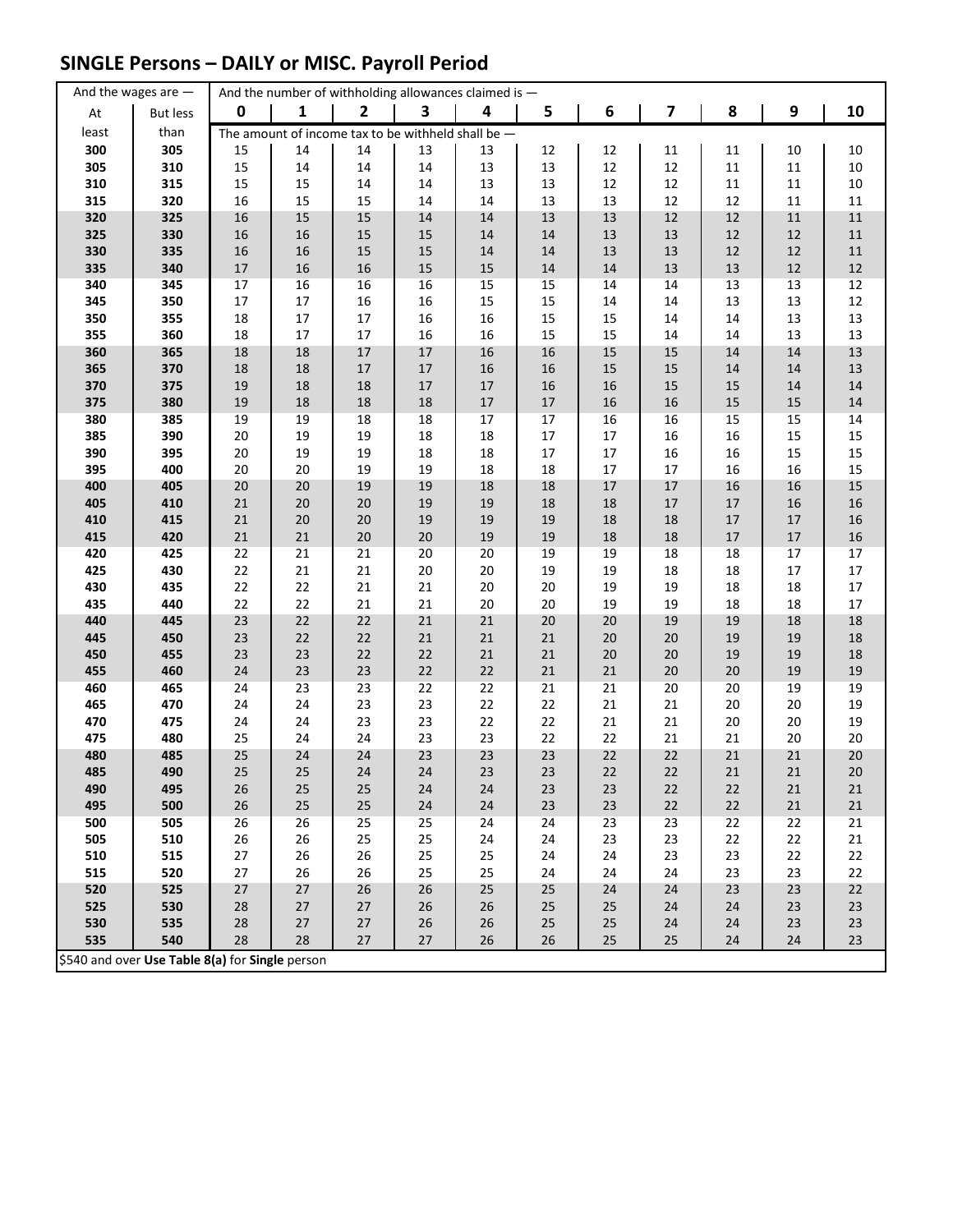## **SINGLE Persons – DAILY or MISC. Payroll Period**

|            | And the wages are $-$                           |              |              |                  | And the number of withholding allowances claimed is - |          |          |          |          |          |          |            |
|------------|-------------------------------------------------|--------------|--------------|------------------|-------------------------------------------------------|----------|----------|----------|----------|----------|----------|------------|
| At         | <b>But less</b>                                 | 0            | 1            | $\overline{2}$   | 3                                                     | 4        | 5        | 6        | 7        | 8        | 9        | 10         |
| least      | than                                            |              |              |                  | The amount of income tax to be withheld shall be $-$  |          |          |          |          |          |          |            |
| 300        | 305                                             | 15           | 14           | 14               | 13                                                    | 13       | 12       | 12       | 11       | 11       | 10       | $10\,$     |
| 305        | 310                                             | 15           | $14\,$       | 14               | 14                                                    | 13       | 13       | 12       | 12       | $11\,$   | 11       | $10\,$     |
| 310        | 315                                             | 15           | 15           | 14               | 14                                                    | 13       | 13       | 12       | 12       | 11       | 11       | $10\,$     |
| 315        | 320                                             | 16           | 15           | 15               | 14                                                    | 14       | 13       | 13       | 12       | 12       | 11       | $11\,$     |
| 320        | 325                                             | 16           | 15           | 15               | 14                                                    | 14       | 13       | 13       | 12       | 12       | $11\,$   | $11\,$     |
| 325        | 330                                             | 16           | 16           | 15               | 15                                                    | 14       | 14       | 13       | 13       | 12       | 12       | ${\bf 11}$ |
| 330        | 335                                             | 16           | 16           | 15               | 15                                                    | 14       | 14       | 13       | 13       | 12       | 12       | ${\bf 11}$ |
| 335        | 340                                             | $17\,$       | 16           | 16               | 15                                                    | 15       | 14       | 14       | 13       | 13       | $12\,$   | 12         |
| 340        | 345                                             | $17\,$       | 16           | 16               | 16                                                    | 15       | 15       | 14       | 14       | 13       | 13       | $12\,$     |
| 345        | 350                                             | $17\,$       | $17\,$       | 16               | 16                                                    | 15       | 15       | 14       | 14       | 13       | 13       | 12         |
| 350        | 355                                             | 18           | $17\,$       | 17               | 16                                                    | 16       | 15       | 15       | 14       | 14       | 13       | 13         |
| 355        | 360                                             | 18           | 17           | 17               | 16                                                    | 16       | 15       | 15       | 14       | 14       | 13       | 13         |
| 360        | 365                                             | 18           | 18           | $17\,$           | 17                                                    | $16\,$   | 16       | 15       | $15\,$   | 14       | 14       | 13         |
| 365        | 370                                             | 18           | 18           | $17\,$           | 17                                                    | 16       | 16       | 15       | 15       | 14       | 14       | 13         |
| 370        | 375                                             | 19           | 18           | $18\,$           | 17                                                    | 17       | 16       | 16       | 15       | 15       | 14       | 14         |
| 375        | 380                                             | 19           | 18           | $18\,$           | 18                                                    | $17\,$   | $17\,$   | 16       | 16       | 15       | $15\,$   | 14         |
| 380        | 385                                             | 19           | 19           | 18               | 18                                                    | 17       | $17$     | 16       | 16       | 15       | 15       | 14         |
| 385        | 390                                             | $20\,$       | 19           | 19               | 18                                                    | $18\,$   | $17\,$   | $17\,$   | 16       | 16       | 15       | 15         |
| 390        | 395                                             | 20           | 19           | 19               | 18                                                    | 18       | $17\,$   | 17       | 16       | 16       | 15       | 15         |
| 395        | 400                                             | 20           | 20           | 19               | 19                                                    | 18       | 18       | $17\,$   | 17       | 16       | 16       | 15         |
| 400        | 405                                             | 20           | $20\,$       | 19               | 19                                                    | 18       | 18       | $17\,$   | $17\,$   | 16       | 16       | 15         |
| 405<br>410 | 410<br>415                                      | $21\,$<br>21 | 20<br>$20\,$ | $20\,$<br>$20\,$ | 19<br>19                                              | 19<br>19 | 18<br>19 | 18<br>18 | 17<br>18 | 17<br>17 | 16<br>17 | 16<br>16   |
| 415        | 420                                             | $21\,$       | $21\,$       | 20               | $20\,$                                                | 19       | 19       | 18       | 18       | $17\,$   | 17       | 16         |
| 420        | 425                                             | 22           | 21           | 21               | 20                                                    | 20       | 19       | 19       | 18       | 18       | 17       | 17         |
| 425        | 430                                             | 22           | 21           | 21               | 20                                                    | 20       | 19       | 19       | 18       | 18       | 17       | $17\,$     |
| 430        | 435                                             | 22           | 22           | 21               | 21                                                    | 20       | 20       | 19       | 19       | 18       | 18       | $17\,$     |
| 435        | 440                                             | 22           | 22           | 21               | 21                                                    | 20       | 20       | 19       | 19       | 18       | 18       | 17         |
| 440        | 445                                             | 23           | 22           | 22               | 21                                                    | $21\,$   | 20       | $20\,$   | 19       | 19       | 18       | 18         |
| 445        | 450                                             | 23           | 22           | 22               | 21                                                    | 21       | 21       | $20\,$   | 20       | 19       | 19       | 18         |
| 450        | 455                                             | 23           | 23           | 22               | 22                                                    | 21       | $21\,$   | 20       | $20\,$   | 19       | 19       | 18         |
| 455        | 460                                             | 24           | 23           | 23               | 22                                                    | $22\,$   | $21\,$   | $21\,$   | 20       | 20       | 19       | 19         |
| 460        | 465                                             | 24           | 23           | 23               | 22                                                    | 22       | 21       | 21       | 20       | 20       | 19       | 19         |
| 465        | 470                                             | 24           | 24           | 23               | 23                                                    | 22       | 22       | 21       | $21\,$   | 20       | 20       | 19         |
| 470        | 475                                             | 24           | 24           | 23               | 23                                                    | 22       | 22       | $21\,$   | 21       | 20       | 20       | 19         |
| 475        | 480                                             | 25           | 24           | 24               | 23                                                    | 23       | 22       | 22       | 21       | 21       | 20       | 20         |
| 480        | 485                                             | 25           | 24           | 24               | 23                                                    | 23       | 23       | 22       | 22       | 21       | 21       | 20         |
| 485        | 490                                             | 25           | 25           | 24               | 24                                                    | 23       | 23       | 22       | 22       | 21       | 21       | 20         |
| 490        | 495                                             | 26           | 25           | 25               | 24                                                    | 24       | 23       | 23       | 22       | 22       | 21       | 21         |
| 495        | 500                                             | 26           | 25           | 25               | 24                                                    | 24       | 23       | 23       | 22       | 22       | 21       | 21         |
| 500        | 505                                             | 26           | 26           | 25               | 25                                                    | 24       | 24       | 23       | 23       | 22       | 22       | 21         |
| 505        | 510                                             | 26           | 26           | 25               | 25                                                    | 24       | 24       | 23       | 23       | 22       | 22       | 21         |
| 510        | 515                                             | 27           | 26           | 26               | 25                                                    | 25       | 24       | 24       | 23       | 23       | 22       | 22         |
| 515        | 520                                             | 27           | 26           | 26               | 25                                                    | 25       | 24       | 24       | 24       | 23       | 23       | 22         |
| 520<br>525 | 525                                             | 27           | 27           | 26               | 26                                                    | 25       | 25       | 24       | 24       | 23       | 23       | 22<br>23   |
| 530        | 530<br>535                                      | 28<br>28     | 27<br>$27$   | $27\,$<br>$27\,$ | $26\,$<br>26                                          | 26<br>26 | 25<br>25 | 25<br>25 | 24<br>24 | 24<br>24 | 23<br>23 | 23         |
| 535        | 540                                             | 28           | 28           | 27               | 27                                                    | 26       | 26       | 25       | 25       | 24       | 24       | 23         |
|            | \$540 and over Use Table 8(a) for Single person |              |              |                  |                                                       |          |          |          |          |          |          |            |
|            |                                                 |              |              |                  |                                                       |          |          |          |          |          |          |            |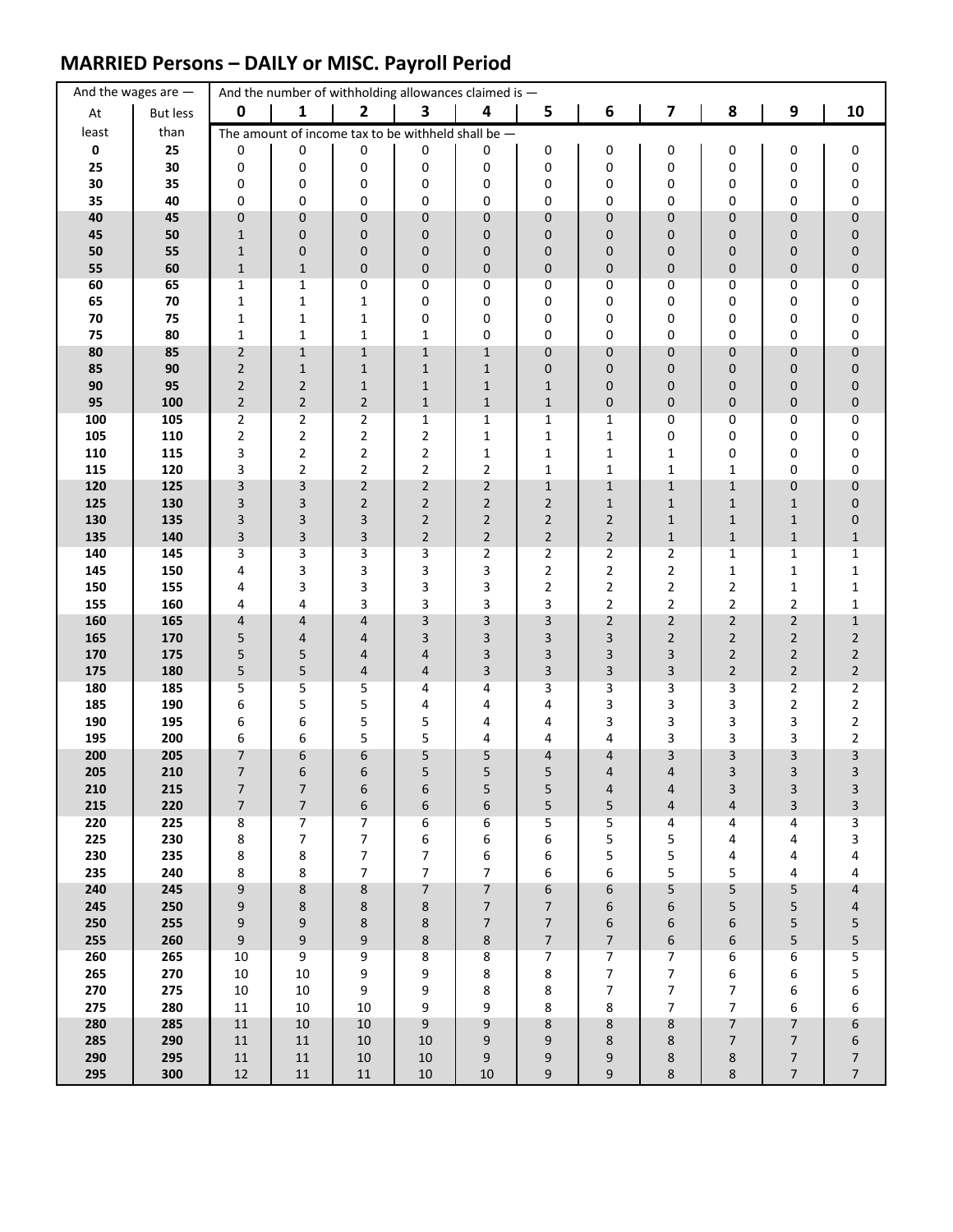## **MARRIED Persons – DAILY or MISC. Payroll Period**

|             | And the wages are $-$ |                              |                                            | And the number of withholding allowances claimed is - |                                  |                              |                                            |                            |                         |                |                                  |                                  |
|-------------|-----------------------|------------------------------|--------------------------------------------|-------------------------------------------------------|----------------------------------|------------------------------|--------------------------------------------|----------------------------|-------------------------|----------------|----------------------------------|----------------------------------|
| At          | <b>But less</b>       | $\mathbf 0$                  | 1                                          | $\mathbf{2}$                                          | 3                                | 4                            | 5                                          | 6                          | $\overline{\mathbf{z}}$ | 8              | $\boldsymbol{9}$                 | 10                               |
| least       | than                  |                              |                                            | The amount of income tax to be withheld shall be $-$  |                                  |                              |                                            |                            |                         |                |                                  |                                  |
| $\mathbf 0$ | 25                    | 0                            | 0                                          | 0                                                     | 0                                | 0                            | 0                                          | 0                          | 0                       | 0              | 0                                | 0                                |
| 25          | 30                    | 0                            | 0                                          | 0                                                     | 0                                | 0                            | 0                                          | 0                          | 0                       | 0              | 0                                | 0                                |
| 30<br>35    | 35<br>40              | 0<br>0                       | 0<br>0                                     | 0<br>0                                                | 0<br>0                           | 0<br>0                       | 0<br>0                                     | 0<br>0                     | 0<br>0                  | 0<br>0         | 0<br>0                           | 0<br>0                           |
| 40          | 45                    | 0                            | $\pmb{0}$                                  | $\pmb{0}$                                             | $\mathbf 0$                      | $\mathbf 0$                  | 0                                          | 0                          | 0                       | 0              | 0                                | $\pmb{0}$                        |
| 45          | 50                    | $\mathbf{1}$                 | $\pmb{0}$                                  | 0                                                     | 0                                | 0                            | 0                                          | 0                          | 0                       | 0              | 0                                | $\pmb{0}$                        |
| 50          | 55                    | $\mathbf{1}$                 | $\pmb{0}$                                  | $\mathbf 0$                                           | 0                                | 0                            | 0                                          | 0                          | 0                       | 0              | 0                                | $\pmb{0}$                        |
| 55          | 60                    | $1\,$                        | $\mathbf 1$                                | $\pmb{0}$                                             | $\mathbf 0$                      | 0                            | 0                                          | 0                          | 0                       | 0              | 0                                | $\pmb{0}$                        |
| 60          | 65                    | 1                            | $\mathbf{1}$                               | 0                                                     | 0                                | 0                            | 0                                          | 0                          | 0                       | 0              | 0                                | 0                                |
| 65          | 70                    | 1                            | $\mathbf 1$                                | 1                                                     | 0                                | 0                            | 0                                          | 0                          | 0                       | 0              | 0                                | 0                                |
| 70<br>75    | 75<br>80              | 1<br>$\mathbf 1$             | $\mathbf 1$<br>$\mathbf 1$                 | $\mathbf 1$<br>$\mathbf{1}$                           | 0<br>$\mathbf{1}$                | 0<br>0                       | 0<br>0                                     | 0<br>0                     | 0<br>0                  | 0<br>0         | 0<br>0                           | 0<br>0                           |
| 80          | 85                    | $\overline{2}$               | $\mathbf 1$                                | $\mathbf 1$                                           | $\mathbf{1}$                     | $1\,$                        | 0                                          | 0                          | 0                       | 0              | 0                                | $\pmb{0}$                        |
| 85          | 90                    | $\overline{2}$               | $1\,$                                      | $\mathbf{1}$                                          | $\mathbf{1}$                     | $\mathbf{1}$                 | 0                                          | 0                          | 0                       | 0              | 0                                | 0                                |
| 90          | 95                    | $\overline{2}$               | $\mathbf 2$                                | $\mathbf{1}$                                          | $\mathbf{1}$                     | $\mathbf{1}$                 | $\mathbf{1}$                               | 0                          | 0                       | 0              | 0                                | $\pmb{0}$                        |
| 95          | 100                   | $\overline{2}$               | $\overline{2}$                             | $\overline{2}$                                        | $\mathbf{1}$                     | $\mathbf{1}$                 | $\mathbf{1}$                               | 0                          | 0                       | 0              | 0                                | $\pmb{0}$                        |
| 100         | 105                   | 2                            | $\overline{2}$                             | $\overline{2}$                                        | 1                                | 1                            | 1                                          | 1                          | 0                       | 0              | 0                                | 0                                |
| 105<br>110  | 110<br>115            | $\overline{\mathbf{c}}$<br>3 | $\mathbf 2$<br>$\overline{2}$              | $\mathbf 2$<br>$\overline{2}$                         | $\overline{2}$<br>$\overline{2}$ | $\mathbf{1}$<br>$\mathbf{1}$ | $\mathbf{1}$<br>$\mathbf{1}$               | $\mathbf 1$<br>$\mathbf 1$ | 0<br>1                  | 0<br>0         | 0<br>0                           | 0<br>0                           |
| 115         | 120                   | 3                            | $\overline{2}$                             | $\overline{2}$                                        | $\overline{2}$                   | $\overline{2}$               | $\mathbf 1$                                | $\mathbf 1$                | $\mathbf{1}$            | $\mathbf{1}$   | 0                                | 0                                |
| 120         | 125                   | 3                            | 3                                          | $\sqrt{2}$                                            | $\overline{2}$                   | $\overline{2}$               | $\mathbf{1}$                               | $\mathbf 1$                | $\mathbf{1}$            | $\mathbf{1}$   | 0                                | $\pmb{0}$                        |
| 125         | 130                   | 3                            | $\mathsf 3$                                | $\overline{2}$                                        | $\overline{2}$                   | $\overline{2}$               | $\overline{2}$                             | $1\,$                      | $1\,$                   | $\mathbf{1}$   | $\mathbf{1}$                     | $\pmb{0}$                        |
| 130         | 135                   | 3                            | 3                                          | $\ensuremath{\mathsf{3}}$                             | $\overline{2}$                   | $\overline{2}$               | $\overline{2}$                             | $\overline{2}$             | $\mathbf{1}$            | $\mathbf{1}$   | $1\,$                            | $\pmb{0}$                        |
| 135         | 140                   | 3                            | $\mathsf 3$                                | 3                                                     | $\overline{2}$                   | $\overline{2}$               | $\overline{2}$                             | $\overline{2}$             | $\mathbf{1}$            | $\mathbf{1}$   | $\mathbf{1}$                     | $1\,$                            |
| 140         | 145                   | 3                            | 3                                          | 3                                                     | 3                                | $\overline{2}$               | 2                                          | 2                          | $\overline{2}$          | 1              | 1                                | $\mathbf{1}$                     |
| 145<br>150  | 150<br>155            | 4<br>4                       | 3<br>3                                     | 3<br>3                                                | 3<br>3                           | 3<br>3                       | 2<br>2                                     | 2<br>2                     | 2<br>$\overline{2}$     | 1<br>2         | 1<br>1                           | $\mathbf 1$<br>$\mathbf 1$       |
| 155         | 160                   | 4                            | 4                                          | 3                                                     | 3                                | 3                            | 3                                          | 2                          | $\overline{2}$          | $\overline{2}$ | 2                                | $\mathbf 1$                      |
| 160         | 165                   | 4                            | 4                                          | $\overline{4}$                                        | 3                                | 3                            | 3                                          | $\overline{2}$             | $\overline{2}$          | $\overline{2}$ | $\mathbf 2$                      | $1\,$                            |
| 165         | 170                   | 5                            | 4                                          | $\overline{4}$                                        | 3                                | 3                            | 3                                          | 3                          | $\overline{2}$          | $\overline{2}$ | $\mathbf 2$                      | $\overline{\mathbf{c}}$          |
| 170         | 175                   | 5                            | 5                                          | $\overline{4}$                                        | 4                                | 3                            | 3                                          | 3                          | 3                       | $\overline{2}$ | $\overline{2}$                   | $\sqrt{2}$                       |
| 175         | 180                   | 5                            | 5                                          | $\overline{4}$                                        | 4                                | 3                            | 3                                          | 3                          | 3                       | $\overline{2}$ | $\overline{2}$                   | $\overline{2}$                   |
| 180<br>185  | 185<br>190            | 5<br>6                       | 5<br>5                                     | 5<br>5                                                | 4<br>4                           | 4<br>4                       | 3<br>4                                     | 3<br>3                     | 3<br>3                  | 3<br>3         | $\overline{2}$<br>2              | $\overline{2}$<br>$\overline{c}$ |
| 190         | 195                   | 6                            | 6                                          | 5                                                     | 5                                | 4                            | 4                                          | 3                          | 3                       | 3              | 3                                | $\overline{2}$                   |
| 195         | 200                   | 6                            | 6                                          | 5                                                     | 5                                | 4                            | 4                                          | 4                          | 3                       | 3              | 3                                | $\overline{2}$                   |
| 200         | 205                   | 7                            | 6                                          | 6                                                     | 5                                | 5                            | 4                                          | 4                          | 3                       | 3              | 3                                | 3                                |
| 205         | 210                   | $\overline{7}$               | 6                                          | 6                                                     | 5                                | 5                            | 5                                          | $\overline{4}$             | $\overline{4}$          | 3              | 3                                | 3                                |
| 210         | 215                   | 7                            | $\overline{7}$                             | 6                                                     | 6                                | 5                            | 5                                          | 4                          | 4                       | 3              | 3                                | 3                                |
| 215<br>220  | 220<br>225            | $\overline{7}$<br>8          | $\overline{\mathcal{I}}$<br>$\overline{7}$ | $\boldsymbol{6}$<br>7                                 | 6<br>6                           | 6<br>6                       | 5<br>5                                     | 5<br>5                     | 4<br>4                  | 4<br>4         | 3<br>4                           | 3<br>3                           |
| 225         | 230                   | 8                            | $\overline{7}$                             | $\boldsymbol{7}$                                      | 6                                | 6                            | 6                                          | 5                          | 5                       | 4              | 4                                | 3                                |
| 230         | 235                   | 8                            | 8                                          | $\boldsymbol{7}$                                      | $\overline{7}$                   | 6                            | 6                                          | 5                          | 5                       | 4              | 4                                | 4                                |
| 235         | 240                   | 8                            | 8                                          | $\overline{7}$                                        | $\overline{7}$                   | $\boldsymbol{7}$             | 6                                          | 6                          | 5                       | 5              | 4                                | 4                                |
| 240         | 245                   | 9                            | 8                                          | $\bf 8$                                               | $\overline{7}$                   | $\overline{7}$               | 6                                          | 6                          | 5                       | 5              | 5                                | $\overline{\mathbf{r}}$          |
| 245         | 250                   | 9                            | 8                                          | 8                                                     | 8                                | $\overline{7}$               | $\overline{7}$                             | 6                          | 6                       | 5              | 5                                | $\overline{\mathcal{L}}$         |
| 250<br>255  | 255<br>260            | 9<br>9                       | 9<br>9                                     | $\bf 8$<br>$\boldsymbol{9}$                           | 8<br>8                           | $\overline{7}$<br>$\bf 8$    | $\overline{7}$<br>$\overline{\phantom{a}}$ | 6<br>$\overline{7}$        | 6<br>6                  | 6<br>6         | 5<br>5                           | 5<br>5                           |
| 260         | 265                   | 10                           | 9                                          | 9                                                     | 8                                | 8                            | $\overline{7}$                             | 7                          | 7                       | 6              | 6                                | 5                                |
| 265         | 270                   | $10\,$                       | 10                                         | 9                                                     | 9                                | 8                            | 8                                          | $\overline{7}$             | $\overline{7}$          | 6              | 6                                | 5                                |
| 270         | 275                   | $10\,$                       | 10                                         | 9                                                     | 9                                | 8                            | 8                                          | $\overline{7}$             | 7                       | 7              | 6                                | 6                                |
| 275         | 280                   | 11                           | 10                                         | 10                                                    | 9                                | 9                            | 8                                          | 8                          | 7                       | 7              | 6                                | 6                                |
| 280         | 285                   | $11\,$                       | $10\,$                                     | 10                                                    | 9                                | 9                            | 8                                          | 8                          | 8                       | $\overline{7}$ | $\overline{7}$                   | 6                                |
| 285<br>290  | 290<br>295            | 11<br>$11\,$                 | $11\,$<br>$11\,$                           | 10<br>$10\,$                                          | 10<br>$10\,$                     | 9<br>9                       | 9<br>9                                     | 8<br>9                     | 8<br>8                  | 7<br>8         | $\overline{7}$<br>$\overline{7}$ | 6<br>$\boldsymbol{7}$            |
| 295         | 300                   | 12                           | $11\,$                                     | $11\,$                                                | 10                               | 10                           | 9                                          | 9                          | 8                       | $\,8\,$        | $\overline{7}$                   | $\overline{7}$                   |